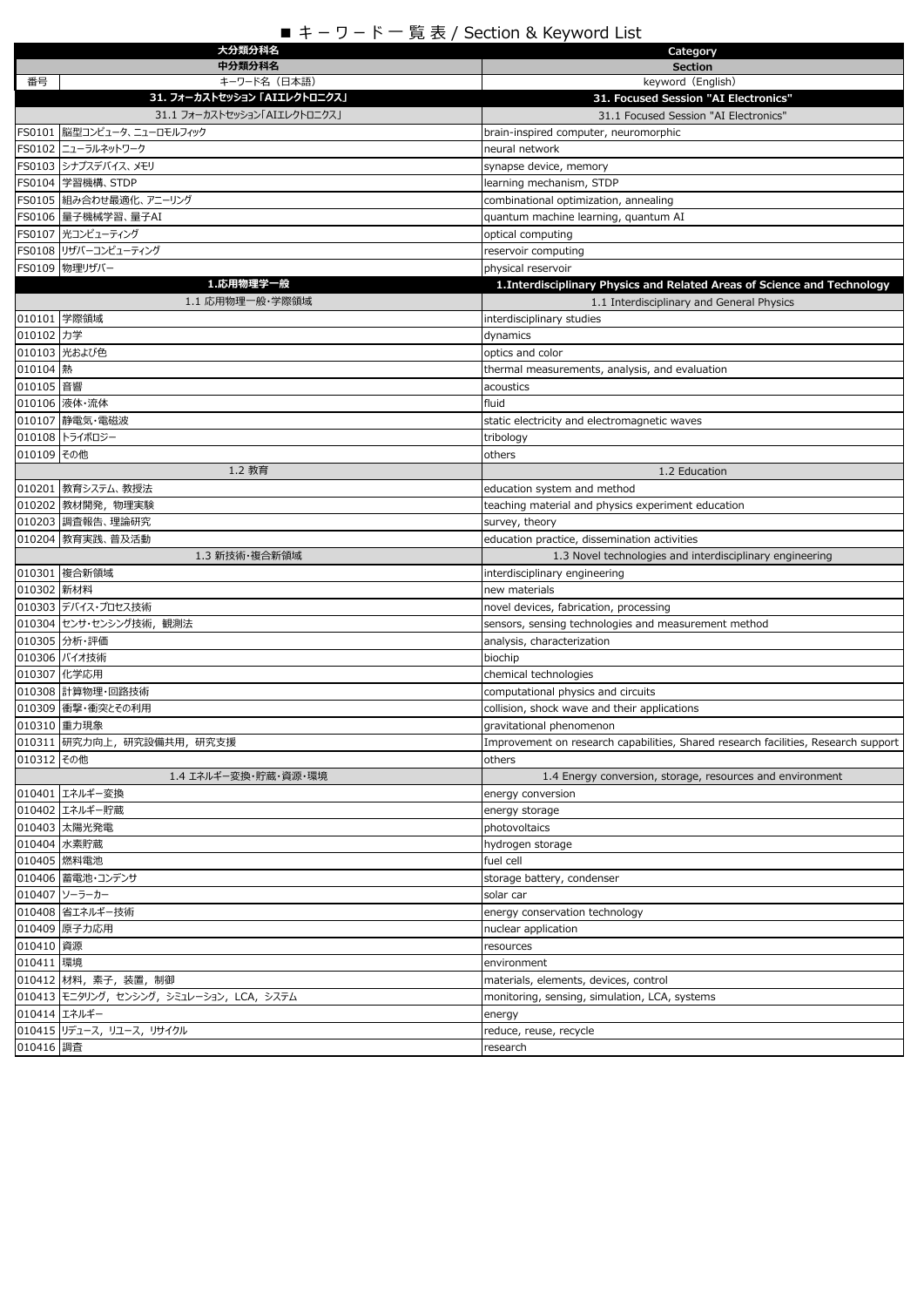## ■ キ – ワ – ド 一 覧 表 / Section & Keyword List

| 大分類分科名                                    | Category                                                                           |
|-------------------------------------------|------------------------------------------------------------------------------------|
| 中分類分科名                                    | <b>Section</b>                                                                     |
| 番号<br>キーワード名(日本語)                         | keyword (English)                                                                  |
| 31. フォーカストセッション「AIIレクトロニクス」               | 31. Focused Session "AI Electronics"                                               |
| 31.1 フォーカストセッション「AIエレクトロニクス」              | 31.1 Focused Session "AI Electronics"                                              |
| FS0101 脳型コンピュータ、ニューロモルフィック                | brain-inspired computer, neuromorphic                                              |
| FS0102 ニューラルネットワーク                        | neural network                                                                     |
| FS0103 シナプスデバイス、メモリ                       | synapse device, memory                                                             |
| FS0104 学習機構、STDP                          | learning mechanism, STDP                                                           |
| FS0105   組み合わせ最適化、 アニーリング                 | combinational optimization, annealing                                              |
| FS0106 量子機械学習、量子AI                        | quantum machine learning, quantum AI                                               |
| FS0107 光コンピューティング                         | optical computing                                                                  |
| FS0108 リザバーコンピューティング                      | reservoir computing                                                                |
| FS0109 物理リザバー                             | physical reservoir                                                                 |
| 1.応用物理学一般<br>1.1 応用物理一般・学際領域              | 1. Interdisciplinary Physics and Related Areas of Science and Technology           |
|                                           | 1.1 Interdisciplinary and General Physics                                          |
| 010101 学際領域<br>010102 力学                  | interdisciplinary studies                                                          |
| 010103 光および色                              | dynamics<br>optics and color                                                       |
| 010104 熱                                  | thermal measurements, analysis, and evaluation                                     |
| 010105 音響                                 | acoustics                                                                          |
| 010106 液体·流体                              | fluid                                                                              |
| 010107 静電気·電磁波                            | static electricity and electromagnetic waves                                       |
| 010108 トライボロジー                            | tribology                                                                          |
| 010109 その他                                | others                                                                             |
| 1.2 教育                                    | 1.2 Education                                                                      |
| 010201 教育システム、教授法                         | education system and method                                                        |
| 010202 教材開発, 物理実験                         | teaching material and physics experiment education                                 |
| 010203 調査報告、理論研究                          | survey, theory                                                                     |
| 010204 教育実践、普及活動                          | education practice, dissemination activities                                       |
| 1.3 新技術・複合新領域                             | 1.3 Novel technologies and interdisciplinary engineering                           |
| 010301 複合新領域                              | interdisciplinary engineering                                                      |
| 010302 新材料                                | new materials                                                                      |
| 010303 デバイス・プロセス技術                        | novel devices, fabrication, processing                                             |
| 010304 センサ・センシング技術, 観測法                   | sensors, sensing technologies and measurement method                               |
| 010305 分析·評価                              | analysis, characterization                                                         |
| 010306 バイオ技術                              | biochip                                                                            |
| 010307 化学応用                               | chemical technologies                                                              |
| 010308 計算物理·回路技術                          | computational physics and circuits                                                 |
| 010309 衝撃・衝突とその利用                         | collision, shock wave and their applications                                       |
| 010310 重力現象                               | gravitational phenomenon                                                           |
| 010311 研究力向上, 研究設備共用, 研究支援                | Improvement on research capabilities, Shared research facilities, Research support |
| 010312 その他                                | others                                                                             |
| 1.4 エネルギー変換・貯蔵・資源・環境                      | 1.4 Energy conversion, storage, resources and environment                          |
| 010401 エネルギー変換                            | energy conversion                                                                  |
| 010402 エネルギー貯蔵                            | energy storage                                                                     |
| 010403 太陽光発電                              | photovoltaics                                                                      |
| 010404 水素貯蔵                               | hydrogen storage                                                                   |
| 010405 燃料電池                               | fuel cell                                                                          |
| 010406 蓄電池・コンデンサ                          | storage battery, condenser                                                         |
| 010407 ソーラーカー                             | solar car                                                                          |
| 010408 省エネルギー技術                           | energy conservation technology                                                     |
| 010409 原子力応用                              | nuclear application                                                                |
| 010410 資源                                 | resources                                                                          |
| 010411 環境                                 | environment                                                                        |
| 010412  材料, 素子, 装置, 制御                    | materials, elements, devices, control                                              |
| 010413 モニタリング, センシング, シミュレーション, LCA, システム | monitoring, sensing, simulation, LCA, systems                                      |
| 010414 エネルギー                              | energy                                                                             |
| 010415 リデュース, リユース, リサイクル                 | reduce, reuse, recycle                                                             |
| 010416 調査                                 | research                                                                           |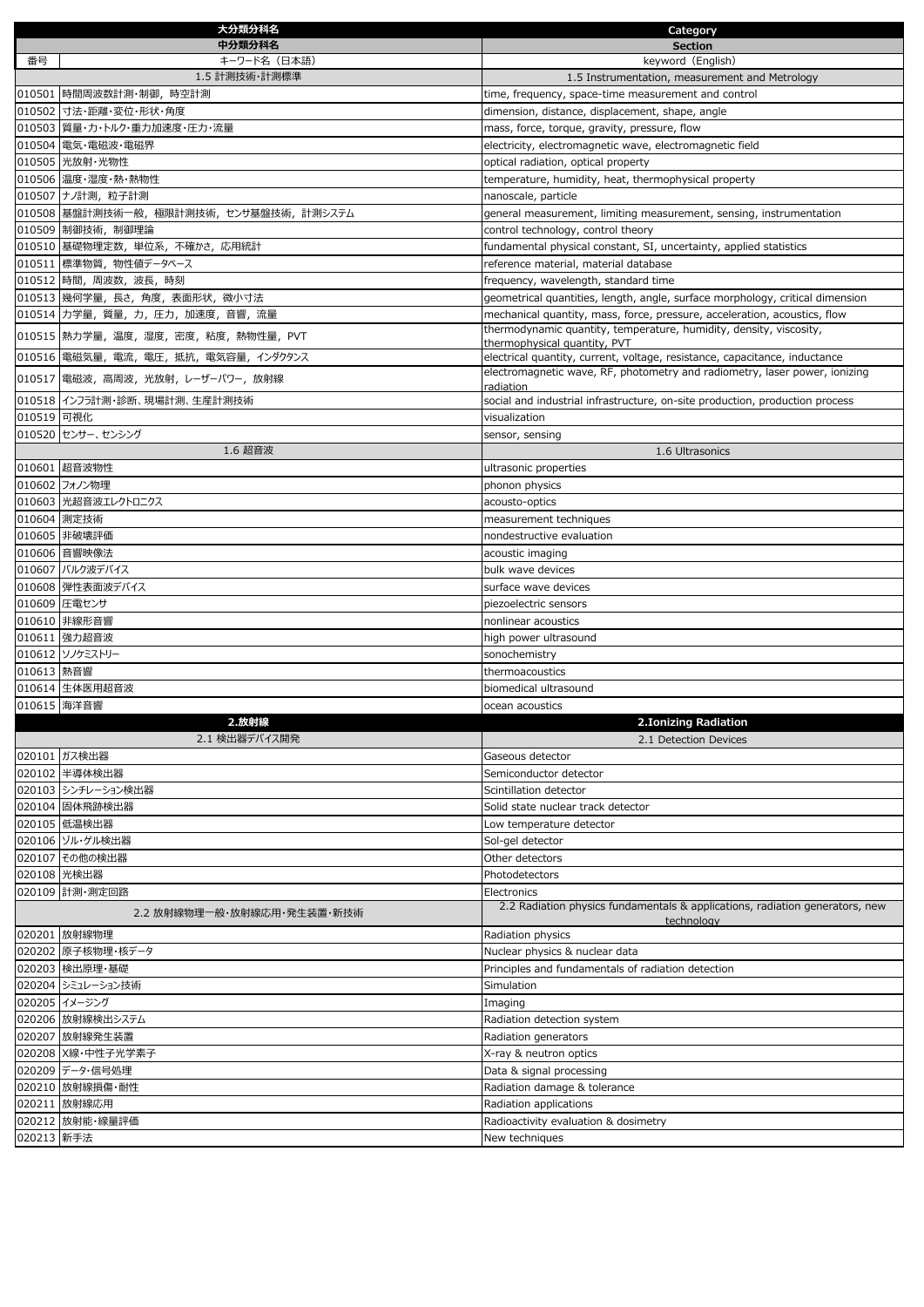|            | 大分類分科名                                   | Category                                                                                   |
|------------|------------------------------------------|--------------------------------------------------------------------------------------------|
|            | 中分類分科名                                   | <b>Section</b>                                                                             |
| 番号         | キーワード名(日本語)                              | keyword (English)                                                                          |
|            | 1.5 計測技術・計測標準                            | 1.5 Instrumentation, measurement and Metrology                                             |
|            | 010501 時間周波数計測·制御, 時空計測                  | time, frequency, space-time measurement and control                                        |
|            | 010502 寸法・距離・変位・形状・角度                    | dimension, distance, displacement, shape, angle                                            |
|            | 010503 質量・カ・トルク・重力加速度・圧力・流量              | mass, force, torque, gravity, pressure, flow                                               |
|            | 010504 電気・電磁波・電磁界                        | electricity, electromagnetic wave, electromagnetic field                                   |
|            | 010505 光放射·光物性                           | optical radiation, optical property                                                        |
|            | 010506 温度・湿度・熱・熱物性                       | temperature, humidity, heat, thermophysical property                                       |
|            | 010507 ナノ計測, 粒子計測                        | nanoscale, particle                                                                        |
|            | 010508 基盤計測技術一般, 極限計測技術, センサ基盤技術, 計測システム | general measurement, limiting measurement, sensing, instrumentation                        |
|            | 010509 制御技術, 制御理論                        | control technology, control theory                                                         |
|            | 010510 基礎物理定数, 単位系, 不確かさ, 応用統計           | fundamental physical constant, SI, uncertainty, applied statistics                         |
|            | 010511 標準物質, 物性値データベース                   | reference material, material database                                                      |
|            | 010512 時間, 周波数, 波長, 時刻                   | frequency, wavelength, standard time                                                       |
|            | 010513 幾何学量, 長さ, 角度, 表面形状, 微小寸法          | geometrical quantities, length, angle, surface morphology, critical dimension              |
|            | 010514 カ学量, 質量, カ, 圧力, 加速度, 音響, 流量       | mechanical quantity, mass, force, pressure, acceleration, acoustics, flow                  |
|            |                                          | thermodynamic quantity, temperature, humidity, density, viscosity,                         |
|            | 010515 熱力学量, 温度, 湿度, 密度, 粘度, 熱物性量, PVT   | thermophysical quantity, PVT                                                               |
|            | 010516 電磁気量, 電流, 電圧, 抵抗, 電気容量, インダクタンス   | electrical quantity, current, voltage, resistance, capacitance, inductance                 |
|            | 010517 電磁波, 高周波, 光放射, レーザーパワー, 放射線       | electromagnetic wave, RF, photometry and radiometry, laser power, ionizing                 |
|            |                                          | radiation                                                                                  |
|            | 010518 インフラ計測・診断、現場計測、生産計測技術             | social and industrial infrastructure, on-site production, production process               |
| 010519 可視化 |                                          | visualization                                                                              |
|            | 010520 センサー、センシング                        | sensor, sensing                                                                            |
|            | 1.6 超音波                                  | 1.6 Ultrasonics                                                                            |
|            | 010601 超音波物性                             | ultrasonic properties                                                                      |
|            | 010602 フォノン物理                            | phonon physics                                                                             |
|            | 010603 光超音波エレクトロニクス                      | acousto-optics                                                                             |
|            | 010604 測定技術                              | measurement techniques                                                                     |
|            | 010605 非破壊評価                             | nondestructive evaluation                                                                  |
|            | 010606 音響映像法                             | acoustic imaging                                                                           |
|            | 010607 バルク波デバイス                          | bulk wave devices                                                                          |
|            | 010608 弾性表面波デバイス                         | surface wave devices                                                                       |
|            | 010609 圧電センサ                             | piezoelectric sensors                                                                      |
|            | 010610 非線形音響                             | nonlinear acoustics                                                                        |
|            | 010611 強力超音波                             | high power ultrasound                                                                      |
|            | 010612 ソノケミストリー                          | sonochemistry                                                                              |
| 010613 熱音響 |                                          | thermoacoustics                                                                            |
|            | 010614 生体医用超音波                           | biomedical ultrasound                                                                      |
|            | 010615 海洋音響                              | ocean acoustics                                                                            |
|            | 2.放射線                                    | 2. Ionizing Radiation                                                                      |
|            | 2.1 検出器デバイス開発                            | 2.1 Detection Devices                                                                      |
|            | 020101 ガス検出器<br>020102 半導体検出器            | Gaseous detector                                                                           |
|            |                                          | Semiconductor detector                                                                     |
|            | 020103 シンチレーション検出器                       | Scintillation detector                                                                     |
|            | 020104 固体飛跡検出器                           | Solid state nuclear track detector                                                         |
|            | 020105 低温検出器                             | Low temperature detector                                                                   |
|            | 020106 ゾル・ゲル検出器                          | Sol-gel detector                                                                           |
|            | 020107 その他の検出器                           | Other detectors                                                                            |
|            | 020108 光検出器                              | Photodetectors                                                                             |
|            | 020109 計測・測定回路                           | Electronics                                                                                |
|            | 2.2 放射線物理一般・放射線応用・発生装置・新技術               | 2.2 Radiation physics fundamentals & applications, radiation generators, new<br>technology |
|            |                                          |                                                                                            |
|            |                                          |                                                                                            |
|            | 020201 放射線物理                             | Radiation physics                                                                          |
|            | 020202 原子核物理・核データ                        | Nuclear physics & nuclear data                                                             |
|            | 020203 検出原理·基礎                           | Principles and fundamentals of radiation detection                                         |
|            | 020204 シミュレーション技術                        | Simulation                                                                                 |
|            | 020205 イメージング                            | Imaging                                                                                    |
|            | 020206 放射線検出システム                         | Radiation detection system                                                                 |
|            | 020207 放射線発生装置                           | Radiation generators                                                                       |
|            | 020208 X線·中性子光学素子                        | X-ray & neutron optics                                                                     |
|            | 020209 データ・信号処理                          | Data & signal processing                                                                   |
|            | 020210 放射線損傷・耐性                          | Radiation damage & tolerance                                                               |
|            | 020211 放射線応用<br>020212 放射能・線量評価          | Radiation applications<br>Radioactivity evaluation & dosimetry                             |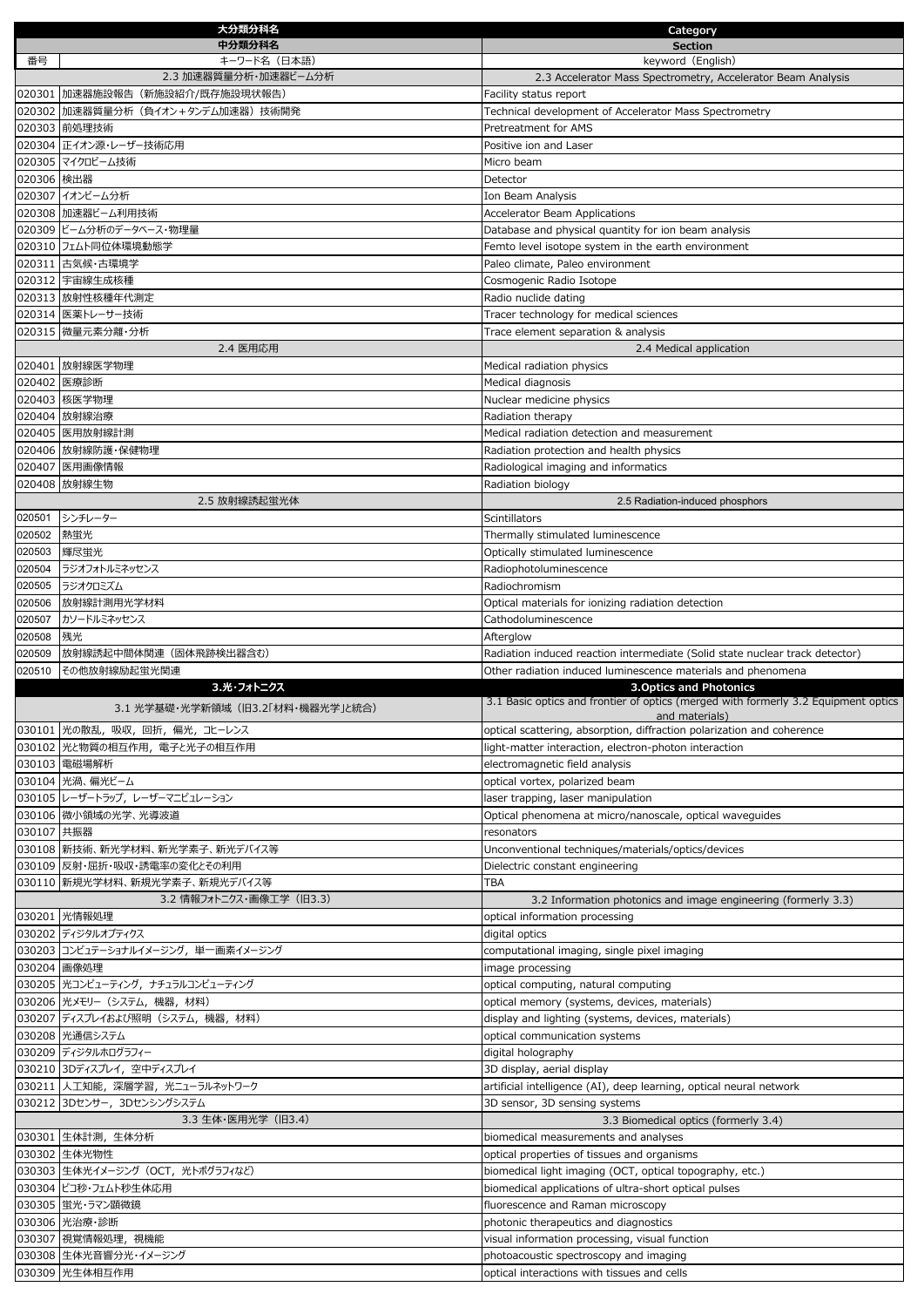|                  | 大分類分科名                                                         | Category                                                                                                             |
|------------------|----------------------------------------------------------------|----------------------------------------------------------------------------------------------------------------------|
|                  | 中分類分科名                                                         | <b>Section</b>                                                                                                       |
| 番号               | キーワード名(日本語)<br>2.3 加速器質量分析・加速器ビーム分析                            | keyword (English)<br>2.3 Accelerator Mass Spectrometry, Accelerator Beam Analysis                                    |
|                  | 020301 加速器施設報告 (新施設紹介/既存施設現状報告)                                | Facility status report                                                                                               |
|                  | 020302 加速器質量分析 (負イオン+タンデム加速器) 技術開発                             | Technical development of Accelerator Mass Spectrometry                                                               |
|                  | 020303 前処理技術                                                   | Pretreatment for AMS                                                                                                 |
|                  | 020304 正イオン源・レーザー技術応用                                          | Positive ion and Laser                                                                                               |
|                  | 020305 マイクロビーム技術                                               | Micro beam                                                                                                           |
| 020306 検出器       |                                                                | Detector                                                                                                             |
|                  | 020307 イオンビーム分析                                                | Ion Beam Analysis                                                                                                    |
|                  | 020308 加速器ビーム利用技術<br>020309 ビーム分析のデータベース・物理量                   | <b>Accelerator Beam Applications</b><br>Database and physical quantity for ion beam analysis                         |
|                  | 020310 フェムト同位体環境動態学                                            | Femto level isotope system in the earth environment                                                                  |
|                  | 020311 古気候·古環境学                                                | Paleo climate, Paleo environment                                                                                     |
|                  | 020312 宇宙線生成核種                                                 | Cosmogenic Radio Isotope                                                                                             |
|                  | 020313 放射性核種年代測定                                               | Radio nuclide dating                                                                                                 |
|                  | 020314 医薬トレーサー技術                                               | Tracer technology for medical sciences                                                                               |
|                  | 020315 微量元素分離・分析                                               | Trace element separation & analysis                                                                                  |
|                  | 2.4 医用応用                                                       | 2.4 Medical application                                                                                              |
|                  | 020401 放射線医学物理<br>020402 医療診断                                  | Medical radiation physics                                                                                            |
|                  | 020403 核医学物理                                                   | Medical diagnosis<br>Nuclear medicine physics                                                                        |
|                  | 020404 放射線治療                                                   | Radiation therapy                                                                                                    |
|                  | 020405 医用放射線計測                                                 | Medical radiation detection and measurement                                                                          |
|                  | 020406 放射線防護·保健物理                                              | Radiation protection and health physics                                                                              |
|                  | 020407 医用画像情報                                                  | Radiological imaging and informatics                                                                                 |
|                  | 020408 放射線生物                                                   | Radiation biology                                                                                                    |
|                  | 2.5 放射線誘起蛍光体                                                   | 2.5 Radiation-induced phosphors                                                                                      |
| 020501           | シンチレーター                                                        | <b>Scintillators</b>                                                                                                 |
| 020502<br>020503 | 熱蛍光<br>輝尽蛍光                                                    | Thermally stimulated luminescence<br>Optically stimulated luminescence                                               |
| 020504           | ラジオフォトルミネッセンス                                                  | Radiophotoluminescence                                                                                               |
| 020505           | ラジオクロミズム                                                       | Radiochromism                                                                                                        |
| 020506           | 放射線計測用光学材料                                                     | Optical materials for ionizing radiation detection                                                                   |
| 020507           | カソードルミネッセンス                                                    | Cathodoluminescence                                                                                                  |
| 020508           | 残光                                                             | Afterglow                                                                                                            |
| 020509           | 放射線誘起中間体関連(固体飛跡検出器含む)                                          | Radiation induced reaction intermediate (Solid state nuclear track detector)                                         |
| 020510           | その他放射線励起蛍光関連                                                   | Other radiation induced luminescence materials and phenomena                                                         |
|                  | 3.光・フォトニクス                                                     | <b>3. Optics and Photonics</b><br>3.1 Basic optics and frontier of optics (merged with formerly 3.2 Equipment optics |
|                  | 3.1 光学基礎・光学新領域 (旧3.2「材料・機器光学」と統合)                              | and materials)                                                                                                       |
|                  | 030101 光の散乱, 吸収, 回折, 偏光, コヒーレンス                                | optical scattering, absorption, diffraction polarization and coherence                                               |
|                  | 030102 光と物質の相互作用、電子と光子の相互作用                                    | ight-matter interaction, electron-photon interaction                                                                 |
|                  | 030103 電磁場解析<br>030104 光渦、偏光ビーム                                | electromagnetic field analysis<br>optical vortex, polarized beam                                                     |
|                  | 030105 レーザートラップ、レーザーマニピュレーション                                  | laser trapping, laser manipulation                                                                                   |
|                  | 030106 微小領域の光学、光導波道                                            | Optical phenomena at micro/nanoscale, optical waveguides                                                             |
| 030107 共振器       |                                                                | resonators                                                                                                           |
|                  | 030108  新技術、新光学材料、新光学素子、新光デバイス等                                | Unconventional techniques/materials/optics/devices                                                                   |
|                  | 030109 反射・屈折・吸収・誘電率の変化とその利用                                    | Dielectric constant engineering                                                                                      |
|                  | 030110 新規光学材料、新規光学素子、新規光デバイス等                                  | TBA                                                                                                                  |
|                  | 3.2 情報フォトニクス・画像工学 (旧3.3)                                       | 3.2 Information photonics and image engineering (formerly 3.3)                                                       |
|                  | 030201 光情報処理<br>030202 ディジタルオプティクス                             | optical information processing<br>digital optics                                                                     |
|                  | 030203 コンピュテーショナルイメージング, 単一画素イメージング                            | computational imaging, single pixel imaging                                                                          |
|                  | 030204 画像処理                                                    | image processing                                                                                                     |
|                  | 030205 光コンピューティング, ナチュラルコンピューティング                              | optical computing, natural computing                                                                                 |
|                  | 030206 光メモリー (システム, 機器, 材料)                                    | optical memory (systems, devices, materials)                                                                         |
|                  | 030207 ディスプレイおよび照明(システム, 機器, 材料)                               | display and lighting (systems, devices, materials)                                                                   |
|                  | 030208 光通信システム                                                 | optical communication systems                                                                                        |
|                  | 030209 ディジタルホログラフィー                                            | digital holography                                                                                                   |
|                  | 030210 3Dディスプレイ, 空中ディスプレイ                                      | 3D display, aerial display                                                                                           |
|                  | 030211  人工知能, 深層学習, 光ニューラルネットワーク<br>030212 3Dセンサー, 3Dセンシングシステム | artificial intelligence (AI), deep learning, optical neural network<br>3D sensor, 3D sensing systems                 |
|                  | 3.3 生体·医用光学 (旧3.4)                                             | 3.3 Biomedical optics (formerly 3.4)                                                                                 |
|                  | 030301  生体計測,生体分析                                              | biomedical measurements and analyses                                                                                 |
|                  | 030302 生体光物性                                                   | optical properties of tissues and organisms                                                                          |
|                  | 030303 生体光イメージング (OCT, 光トポグラフィなど)                              | biomedical light imaging (OCT, optical topography, etc.)                                                             |
|                  | 030304 ピコ秒・フェムト秒生体応用                                           | biomedical applications of ultra-short optical pulses                                                                |
|                  | 030305 蛍光・ラマン顕微鏡                                               | fluorescence and Raman microscopy                                                                                    |
|                  | 030306 光治療・診断                                                  | photonic therapeutics and diagnostics                                                                                |
|                  |                                                                |                                                                                                                      |
|                  | 030307 視覚情報処理, 視機能<br>030308 生体光音響分光・イメージング                    | visual information processing, visual function<br>photoacoustic spectroscopy and imaging                             |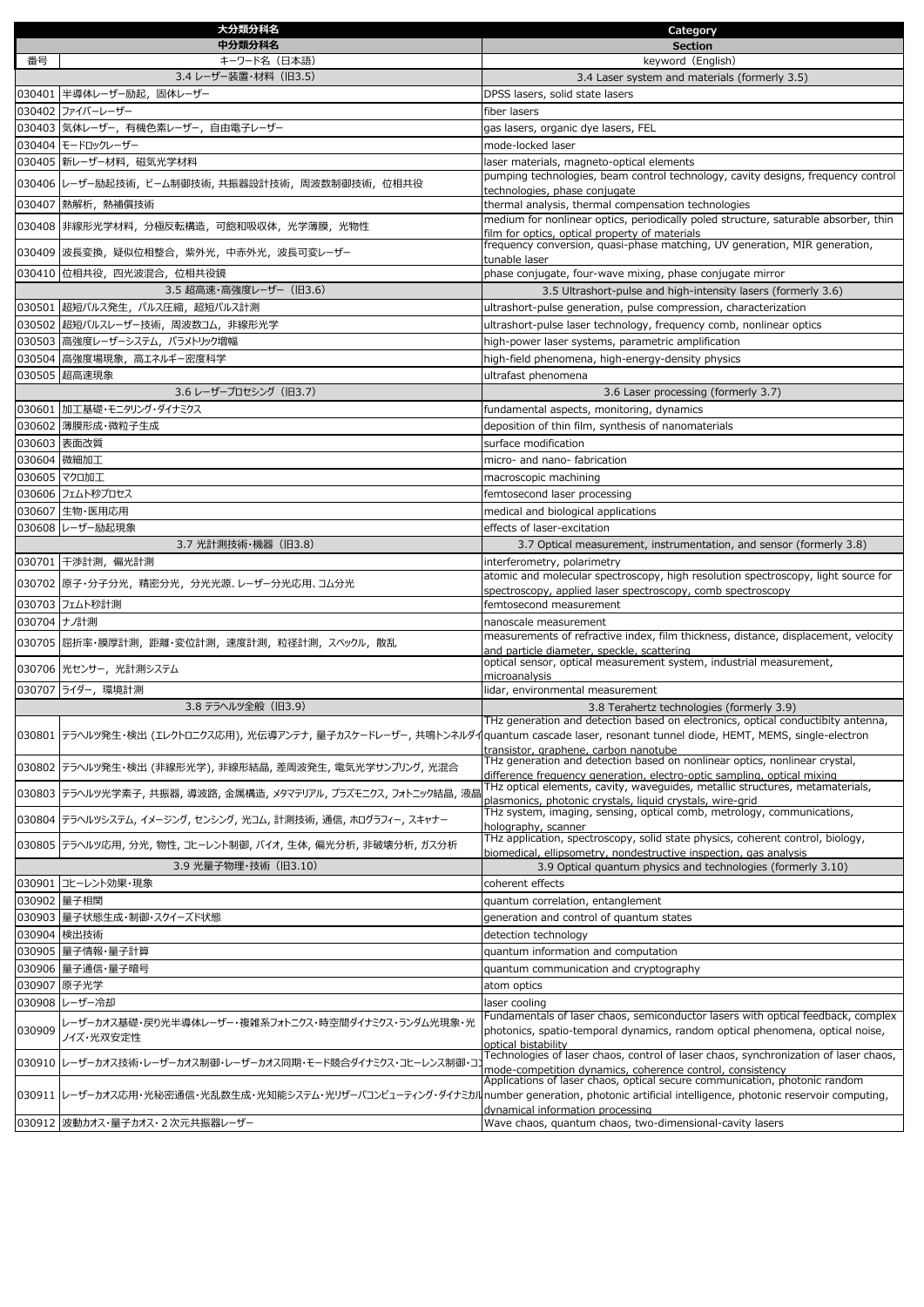|             | 大分類分科名                                                                                                                                        | Category                                                                                                                                                          |
|-------------|-----------------------------------------------------------------------------------------------------------------------------------------------|-------------------------------------------------------------------------------------------------------------------------------------------------------------------|
|             | 中分類分科名                                                                                                                                        | <b>Section</b>                                                                                                                                                    |
| 番号          | キーワード名(日本語)                                                                                                                                   | keyword (English)                                                                                                                                                 |
|             | 3.4 レーザー装置・材料 (旧3.5)                                                                                                                          | 3.4 Laser system and materials (formerly 3.5)                                                                                                                     |
|             | 030401 半導体レーザー励起, 固体レーザー                                                                                                                      | DPSS lasers, solid state lasers                                                                                                                                   |
|             | 030402 ファイバーレーザー                                                                                                                              | fiber lasers                                                                                                                                                      |
|             | 030403 気体レーザー, 有機色素レーザー, 自由電子レーザー                                                                                                             | gas lasers, organic dye lasers, FEL                                                                                                                               |
|             | 030404 モードロックレーザー                                                                                                                             | mode-locked laser                                                                                                                                                 |
|             | 030405 新レーザー材料,磁気光学材料                                                                                                                         | laser materials, magneto-optical elements                                                                                                                         |
|             | 030406  レーザー励起技術, ビーム制御技術, 共振器設計技術, 周波数制御技術, 位相共役                                                                                             | pumping technologies, beam control technology, cavity designs, frequency control                                                                                  |
|             | 030407 熱解析, 熱補償技術                                                                                                                             | technologies, phase conjugate<br>thermal analysis, thermal compensation technologies                                                                              |
|             |                                                                                                                                               | medium for nonlinear optics, periodically poled structure, saturable absorber, thin                                                                               |
|             | 030408 非線形光学材料, 分極反転構造, 可飽和吸収体, 光学薄膜, 光物性                                                                                                     | film for optics, optical property of materials                                                                                                                    |
|             | 030409 波長変換, 疑似位相整合, 紫外光, 中赤外光, 波長可変レーザー                                                                                                      | frequency conversion, quasi-phase matching, UV generation, MIR generation,                                                                                        |
|             |                                                                                                                                               | tunable laser                                                                                                                                                     |
|             | 030410 位相共役, 四光波混合, 位相共役鏡                                                                                                                     | phase conjugate, four-wave mixing, phase conjugate mirror                                                                                                         |
|             | 3.5 超高速・高強度レーザー (旧3.6)                                                                                                                        | 3.5 Ultrashort-pulse and high-intensity lasers (formerly 3.6)                                                                                                     |
|             | 030501 超短パルス発生, パルス圧縮, 超短パルス計測                                                                                                                | ultrashort-pulse generation, pulse compression, characterization                                                                                                  |
|             | 030502 超短パルスレーザー技術, 周波数コム, 非線形光学                                                                                                              | ultrashort-pulse laser technology, frequency comb, nonlinear optics                                                                                               |
|             | 030503 高強度レーザーシステム, パラメトリック増幅                                                                                                                 | high-power laser systems, parametric amplification                                                                                                                |
|             | 030504 高強度場現象, 高エネルギー密度科学                                                                                                                     | high-field phenomena, high-energy-density physics                                                                                                                 |
|             | 030505 超高速現象                                                                                                                                  | ultrafast phenomena                                                                                                                                               |
|             | 3.6 レーザープロセシング (旧3.7)                                                                                                                         | 3.6 Laser processing (formerly 3.7)                                                                                                                               |
|             | 030601 加工基礎・モニタリング・ダイナミクス                                                                                                                     | fundamental aspects, monitoring, dynamics                                                                                                                         |
|             | 030602 薄膜形成·微粒子生成                                                                                                                             | deposition of thin film, synthesis of nanomaterials                                                                                                               |
|             | 030603 表面改質                                                                                                                                   | surface modification                                                                                                                                              |
|             | 030604 微細加工                                                                                                                                   | micro- and nano- fabrication                                                                                                                                      |
|             | 030605 マクロ加工                                                                                                                                  | macroscopic machining                                                                                                                                             |
|             | 030606 フェムト秒プロセス                                                                                                                              | femtosecond laser processing                                                                                                                                      |
|             | 030607 生物・医用応用                                                                                                                                | medical and biological applications                                                                                                                               |
|             | 030608 レーザー励起現象                                                                                                                               | effects of laser-excitation                                                                                                                                       |
|             | 3.7 光計測技術・機器 (旧3.8)                                                                                                                           | 3.7 Optical measurement, instrumentation, and sensor (formerly 3.8)                                                                                               |
|             | 030701 干渉計測, 偏光計測                                                                                                                             | interferometry, polarimetry                                                                                                                                       |
|             | 030702 原子・分子分光, 精密分光, 分光光源、レーザー分光応用、コム分光                                                                                                      | atomic and molecular spectroscopy, high resolution spectroscopy, light source for                                                                                 |
|             |                                                                                                                                               | spectroscopy, applied laser spectroscopy, comb spectroscopy                                                                                                       |
|             | 030703 フェムト秒計測                                                                                                                                | femtosecond measurement                                                                                                                                           |
| 030704 ナノ計測 |                                                                                                                                               | nanoscale measurement                                                                                                                                             |
|             | 030705 屈折率・膜厚計測, 距離・変位計測, 速度計測, 粒径計測, スペックル, 散乱                                                                                               | measurements of refractive index, film thickness, distance, displacement, velocity<br>and particle diameter, speckle, scattering                                  |
|             |                                                                                                                                               | optical sensor, optical measurement system, industrial measurement,                                                                                               |
|             | 030706 光センサー, 光計測システム                                                                                                                         | microanalysis                                                                                                                                                     |
|             | 030707 ライダー, 環境計測                                                                                                                             | lidar, environmental measurement                                                                                                                                  |
|             | 3.8 テラヘルツ全般 (旧3.9)                                                                                                                            | 3.8 Terahertz technologies (formerly 3.9)                                                                                                                         |
|             |                                                                                                                                               | THz generation and detection based on electronics, optical conductibity antenna,                                                                                  |
|             | 030801  テラヘルツ発生・検出 (エレクトロニクス応用), 光伝導アンテナ, 量子カスケードレーザー, 共鳴トンネルダイquantum cascade laser, resonant tunnel diode, HEMT, MEMS, single-electron      |                                                                                                                                                                   |
|             |                                                                                                                                               | transistor, graphene, carbon nanotube<br>THz generation and detection based on nonlinear optics, nonlinear crystal,                                               |
|             | 030802  テラヘルツ発生・検出 (非線形光学), 非線形結晶, 差周波発生, 電気光学サンプリング, 光混合                                                                                     | difference frequency generation, electro-optic sampling, optical mixing                                                                                           |
|             | 030803  テラヘルツ光学素子, 共振器, 導波路, 金属構造, メタマテリアル, プラズモニクス, フォトニック結晶, 液晶                                                                             | THz optical elements, cavity, waveguides, metallic structures, metamaterials,                                                                                     |
|             |                                                                                                                                               | plasmonics, photonic crystals, liquid crystals, wire-grid<br>THz system, imaging, sensing, optical comb, metrology, communications,                               |
|             | 030804  テラヘルツシステム, イメージング, センシング, 光コム, 計測技術, 通信, ホログラフィー, スキャナー                                                                               | holography, scanner                                                                                                                                               |
|             | 030805  テラヘルツ応用, 分光, 物性, コヒーレント制御, バイオ, 生体, 偏光分析, 非破壊分析, ガス分析                                                                                 | THz application, spectroscopy, solid state physics, coherent control, biology,                                                                                    |
|             | 3.9 光量子物理·技術 (旧3.10)                                                                                                                          | biomedical, ellipsometry, nondestructive inspection, gas analysis<br>3.9 Optical quantum physics and technologies (formerly 3.10)                                 |
|             |                                                                                                                                               |                                                                                                                                                                   |
|             | 030901 コヒーレント効果・現象                                                                                                                            | coherent effects                                                                                                                                                  |
|             | 030902 量子相関                                                                                                                                   | quantum correlation, entanglement                                                                                                                                 |
|             | 030903   量子状態生成・制御・スクイーズド状態                                                                                                                   | generation and control of quantum states                                                                                                                          |
|             | 030904 検出技術                                                                                                                                   | detection technology                                                                                                                                              |
|             | 030905   量子情報·量子計算                                                                                                                            | quantum information and computation                                                                                                                               |
|             | 030906 量子通信・量子暗号                                                                                                                              | quantum communication and cryptography                                                                                                                            |
| 030907      | 原子光学                                                                                                                                          | atom optics                                                                                                                                                       |
|             | 030908 レーザー冷却                                                                                                                                 | laser cooling                                                                                                                                                     |
| 030909      | レーザーカオス基礎・戻り光半導体レーザー・複雑系フォトニクス・時空間ダイナミクス・ランダム光現象・光                                                                                            | Fundamentals of laser chaos, semiconductor lasers with optical feedback, complex<br>photonics, spatio-temporal dynamics, random optical phenomena, optical noise, |
|             | ノイズ・光双安定性                                                                                                                                     | optical bistability                                                                                                                                               |
|             | 030910 レーザーカオス技術・レーザーカオス制御・レーザーカオス同期・モード競合ダイナミクス・コヒーレンス制御・コ                                                                                   | Technologies of laser chaos, control of laser chaos, synchronization of laser chaos,                                                                              |
|             |                                                                                                                                               | mode-competition dynamics, coherence control, consistency<br>Applications of laser chaos, optical secure communication, photonic random                           |
|             | 030911  レーザーカオス応用・光秘密通信・光乱数生成・光知能システム・光リザーバコンピューティング・ダイナミカルnumber generation, photonic artificial intelligence, photonic reservoir computing, |                                                                                                                                                                   |
|             |                                                                                                                                               | dynamical information processing                                                                                                                                  |
|             | 030912  波動カオス・量子カオス・2次元共振器レーザー                                                                                                                | Wave chaos, quantum chaos, two-dimensional-cavity lasers                                                                                                          |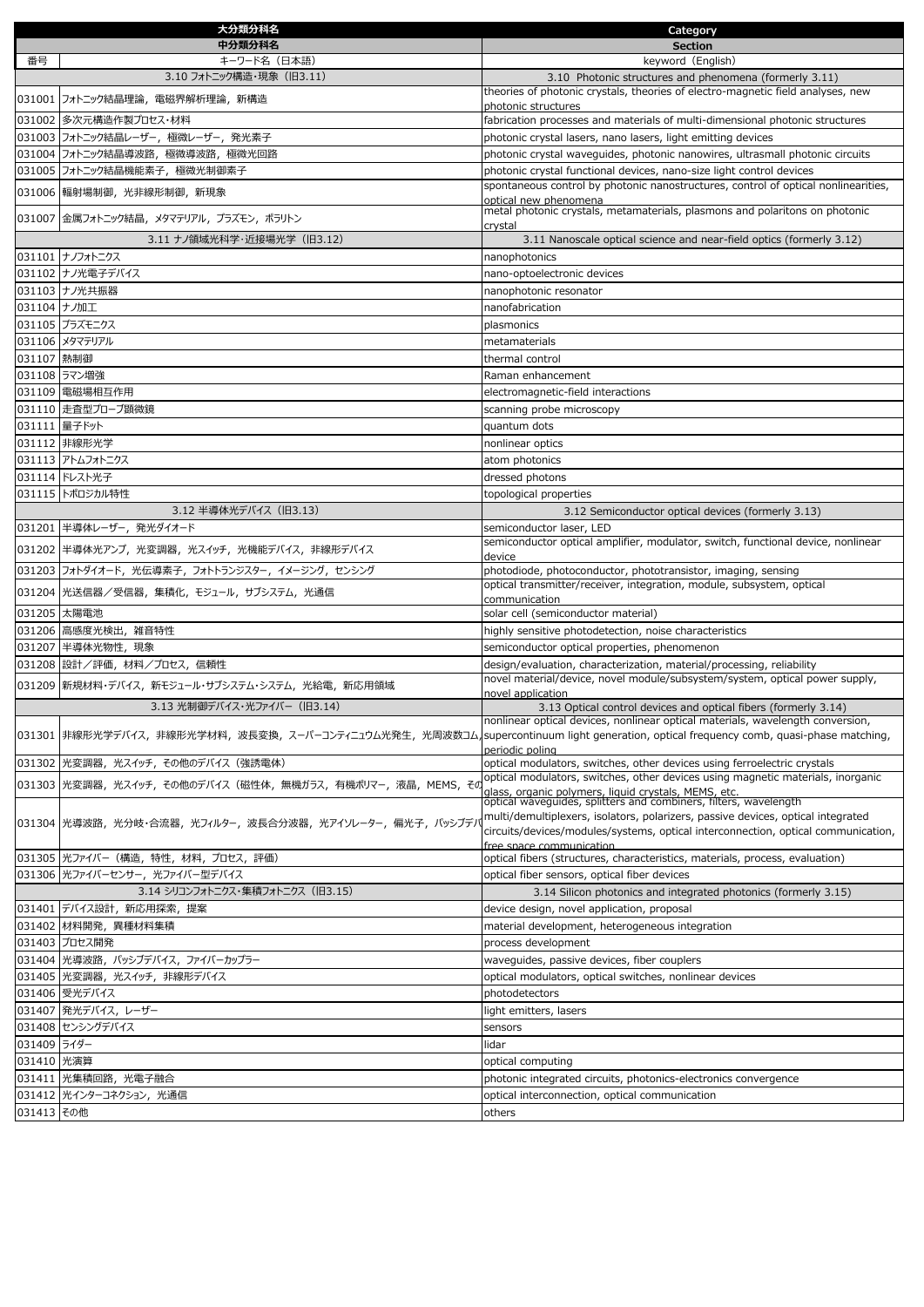| 中分類分科名<br><b>Section</b><br>番号<br>キーワード名(日本語)<br>keyword (English)<br>3.10 フォトニック構造・現象 (旧3.11)<br>3.10 Photonic structures and phenomena (formerly 3.11)<br>theories of photonic crystals, theories of electro-magnetic field analyses, new<br>031001 フォトニック結晶理論, 電磁界解析理論, 新構造<br>photonic structures<br>031002 多次元構造作製プロセス・材料<br>fabrication processes and materials of multi-dimensional photonic structures<br>031003 フォトニック結晶レーザー, 極微レーザー, 発光素子<br>photonic crystal lasers, nano lasers, light emitting devices<br>031004 フォトニック結晶導波路,極微導波路,極微光回路<br>photonic crystal waveguides, photonic nanowires, ultrasmall photonic circuits<br>031005 フォトニック結晶機能素子, 極微光制御素子<br>photonic crystal functional devices, nano-size light control devices<br>spontaneous control by photonic nanostructures, control of optical nonlinearities,<br>031006 輻射場制御, 光非線形制御, 新現象<br>optical new phenomena<br>metal photonic crystals, metamaterials, plasmons and polaritons on photonic<br>031007 金属フォトニック結晶, メタマテリアル, プラズモン, ポラリトン<br>crystal<br>3.11 ナノ領域光科学・近接場光学 (旧3.12)<br>3.11 Nanoscale optical science and near-field optics (formerly 3.12)<br>031101 ナノフォトニクス<br>nanophotonics<br>031102 ナノ光電子デバイス<br>nano-optoelectronic devices<br>031103 ナノ光共振器<br>nanophotonic resonator<br>031104 ナノ加工<br>nanofabrication<br>031105 プラズモニクス<br>plasmonics<br>031106 メタマテリアル<br>metamaterials<br>031107 熱制御<br>thermal control<br>031108 ラマン増強<br>Raman enhancement<br>031109 電磁場相互作用<br>electromagnetic-field interactions<br>031110 走査型プローブ顕微鏡<br>scanning probe microscopy<br>031111 量子ドット<br>quantum dots<br>031112 非線形光学<br>nonlinear optics<br>031113 アトムフォトニクス<br>atom photonics<br>031114 ドレスト光子<br>dressed photons<br>031115 トポロジカル特性<br>topological properties<br>3.12 半導体光デバイス (旧3.13)<br>3.12 Semiconductor optical devices (formerly 3.13)<br>031201 半導体レーザー, 発光ダイオード<br>semiconductor laser, LED<br>semiconductor optical amplifier, modulator, switch, functional device, nonlinear<br>031202 半導体光アンプ, 光変調器, 光スイッチ, 光機能デバイス, 非線形デバイス<br>device<br>031203 フォトダイオード, 光伝導素子, フォトトランジスター, イメージング, センシング<br>photodiode, photoconductor, phototransistor, imaging, sensing<br>optical transmitter/receiver, integration, module, subsystem, optical<br>031204 光送信器/受信器, 集積化, モジュール, サブシステム, 光通信<br>communication<br>031205 太陽電池<br>solar cell (semiconductor material)<br>031206 高感度光検出, 雑音特性<br>highly sensitive photodetection, noise characteristics<br>031207 半導体光物性, 現象<br>semiconductor optical properties, phenomenon<br>031208 設計/評価, 材料/プロセス, 信頼性<br>design/evaluation, characterization, material/processing, reliability<br>novel material/device, novel module/subsystem/system, optical power supply,<br>031209 新規材料・デバイス, 新モジュール・サブシステム・システム, 光給電, 新応用領域<br>novel application<br>3.13 光制御デバイス・光ファイバー (旧3.14)<br>3.13 Optical control devices and optical fibers (formerly 3.14)<br>nonlinear optical devices, nonlinear optical materials, wavelength conversion,<br> 031301  非線形光学デバイス,非線形光学材料,波長変換,スーパーコンティニュウム光発生,光周波数コム,supercontinuum light generation, optical frequency comb, quasi-phase matching,<br>periodic poling<br>031302 光変調器, 光スイッチ, その他のデバイス (強誘電体)<br>optical modulators, switches, other devices using ferroelectric crystals<br>optical modulators, switches, other devices using magnetic materials, inorganic<br> 031303  光変調器, 光スイッチ, その他のデバイス (磁性体, 無機ガラス, 有機ポリマー, 液晶, MEMS, その<br>glass, organic polymers, liquid crystals, MEMS, etc.<br>optical waveguides, splitters and combiners, filters, wavelength<br>multi/demultiplexers, isolators, polarizers, passive devices, optical integrated<br> 031304  光導波路, 光分岐・合流器, 光フィルター, 波長合分波器, 光アイソレーター, 偏光子, パッシブデル<br>circuits/devices/modules/systems, optical interconnection, optical communication,<br>free space communication<br>031305  光ファイバー (構造, 特性, 材料, プロセス, 評価)<br>optical fibers (structures, characteristics, materials, process, evaluation)<br>031306  光ファイバーセンサー, 光ファイバー型デバイス<br>optical fiber sensors, optical fiber devices<br>3.14 シリコンフォトニクス・集積フォトニクス (旧3.15)<br>3.14 Silicon photonics and integrated photonics (formerly 3.15)<br>031401 デバイス設計, 新応用探索, 提案<br>device design, novel application, proposal<br>031402  材料開発,異種材料集積<br>material development, heterogeneous integration<br>031403 プロセス開発<br>process development<br>031404 光導波路, パッシブデバイス, ファイバーカップラー<br>waveguides, passive devices, fiber couplers<br>031405 光変調器, 光スイッチ, 非線形デバイス<br>optical modulators, optical switches, nonlinear devices<br>031406 受光デバイス<br>photodetectors<br> 031407  発光デバイス, レーザー<br>light emitters, lasers<br>031408 センシングデバイス<br>sensors<br>031409 ライダー<br>lidar<br>031410 光演算<br>optical computing<br>031411 光集積回路, 光電子融合<br>photonic integrated circuits, photonics-electronics convergence<br>031412 光インターコネクション, 光通信<br>optical interconnection, optical communication<br>031413 その他<br>others | 大分類分科名 | Category |
|----------------------------------------------------------------------------------------------------------------------------------------------------------------------------------------------------------------------------------------------------------------------------------------------------------------------------------------------------------------------------------------------------------------------------------------------------------------------------------------------------------------------------------------------------------------------------------------------------------------------------------------------------------------------------------------------------------------------------------------------------------------------------------------------------------------------------------------------------------------------------------------------------------------------------------------------------------------------------------------------------------------------------------------------------------------------------------------------------------------------------------------------------------------------------------------------------------------------------------------------------------------------------------------------------------------------------------------------------------------------------------------------------------------------------------------------------------------------------------------------------------------------------------------------------------------------------------------------------------------------------------------------------------------------------------------------------------------------------------------------------------------------------------------------------------------------------------------------------------------------------------------------------------------------------------------------------------------------------------------------------------------------------------------------------------------------------------------------------------------------------------------------------------------------------------------------------------------------------------------------------------------------------------------------------------------------------------------------------------------------------------------------------------------------------------------------------------------------------------------------------------------------------------------------------------------------------------------------------------------------------------------------------------------------------------------------------------------------------------------------------------------------------------------------------------------------------------------------------------------------------------------------------------------------------------------------------------------------------------------------------------------------------------------------------------------------------------------------------------------------------------------------------------------------------------------------------------------------------------------------------------------------------------------------------------------------------------------------------------------------------------------------------------------------------------------------------------------------------------------------------------------------------------------------------------------------------------------------------------------------------------------------------------------------------------------------------------------------------------------------------------------------------------------------------------------------------------------------------------------------------------------------------------------------------------------------------------------------------------------------------------------------------------------------------------------------------------------------------------------------------------------------------------------------------------------------------------------------------------------------------------------------------------------------------------------------------------------------------------------------------------------------------------------------------------------------------------------------------------------------------------------------------------------------------------------------------------------------------------------------------------------------------------------------------------------------------------------------------------------------------------------------------------------------------------------------------------------------------------------------------------------------|--------|----------|
|                                                                                                                                                                                                                                                                                                                                                                                                                                                                                                                                                                                                                                                                                                                                                                                                                                                                                                                                                                                                                                                                                                                                                                                                                                                                                                                                                                                                                                                                                                                                                                                                                                                                                                                                                                                                                                                                                                                                                                                                                                                                                                                                                                                                                                                                                                                                                                                                                                                                                                                                                                                                                                                                                                                                                                                                                                                                                                                                                                                                                                                                                                                                                                                                                                                                                                                                                                                                                                                                                                                                                                                                                                                                                                                                                                                                                                                                                                                                                                                                                                                                                                                                                                                                                                                                                                                                                                                                                                                                                                                                                                                                                                                                                                                                                                                                                                                                                              |        |          |
|                                                                                                                                                                                                                                                                                                                                                                                                                                                                                                                                                                                                                                                                                                                                                                                                                                                                                                                                                                                                                                                                                                                                                                                                                                                                                                                                                                                                                                                                                                                                                                                                                                                                                                                                                                                                                                                                                                                                                                                                                                                                                                                                                                                                                                                                                                                                                                                                                                                                                                                                                                                                                                                                                                                                                                                                                                                                                                                                                                                                                                                                                                                                                                                                                                                                                                                                                                                                                                                                                                                                                                                                                                                                                                                                                                                                                                                                                                                                                                                                                                                                                                                                                                                                                                                                                                                                                                                                                                                                                                                                                                                                                                                                                                                                                                                                                                                                                              |        |          |
|                                                                                                                                                                                                                                                                                                                                                                                                                                                                                                                                                                                                                                                                                                                                                                                                                                                                                                                                                                                                                                                                                                                                                                                                                                                                                                                                                                                                                                                                                                                                                                                                                                                                                                                                                                                                                                                                                                                                                                                                                                                                                                                                                                                                                                                                                                                                                                                                                                                                                                                                                                                                                                                                                                                                                                                                                                                                                                                                                                                                                                                                                                                                                                                                                                                                                                                                                                                                                                                                                                                                                                                                                                                                                                                                                                                                                                                                                                                                                                                                                                                                                                                                                                                                                                                                                                                                                                                                                                                                                                                                                                                                                                                                                                                                                                                                                                                                                              |        |          |
|                                                                                                                                                                                                                                                                                                                                                                                                                                                                                                                                                                                                                                                                                                                                                                                                                                                                                                                                                                                                                                                                                                                                                                                                                                                                                                                                                                                                                                                                                                                                                                                                                                                                                                                                                                                                                                                                                                                                                                                                                                                                                                                                                                                                                                                                                                                                                                                                                                                                                                                                                                                                                                                                                                                                                                                                                                                                                                                                                                                                                                                                                                                                                                                                                                                                                                                                                                                                                                                                                                                                                                                                                                                                                                                                                                                                                                                                                                                                                                                                                                                                                                                                                                                                                                                                                                                                                                                                                                                                                                                                                                                                                                                                                                                                                                                                                                                                                              |        |          |
|                                                                                                                                                                                                                                                                                                                                                                                                                                                                                                                                                                                                                                                                                                                                                                                                                                                                                                                                                                                                                                                                                                                                                                                                                                                                                                                                                                                                                                                                                                                                                                                                                                                                                                                                                                                                                                                                                                                                                                                                                                                                                                                                                                                                                                                                                                                                                                                                                                                                                                                                                                                                                                                                                                                                                                                                                                                                                                                                                                                                                                                                                                                                                                                                                                                                                                                                                                                                                                                                                                                                                                                                                                                                                                                                                                                                                                                                                                                                                                                                                                                                                                                                                                                                                                                                                                                                                                                                                                                                                                                                                                                                                                                                                                                                                                                                                                                                                              |        |          |
|                                                                                                                                                                                                                                                                                                                                                                                                                                                                                                                                                                                                                                                                                                                                                                                                                                                                                                                                                                                                                                                                                                                                                                                                                                                                                                                                                                                                                                                                                                                                                                                                                                                                                                                                                                                                                                                                                                                                                                                                                                                                                                                                                                                                                                                                                                                                                                                                                                                                                                                                                                                                                                                                                                                                                                                                                                                                                                                                                                                                                                                                                                                                                                                                                                                                                                                                                                                                                                                                                                                                                                                                                                                                                                                                                                                                                                                                                                                                                                                                                                                                                                                                                                                                                                                                                                                                                                                                                                                                                                                                                                                                                                                                                                                                                                                                                                                                                              |        |          |
|                                                                                                                                                                                                                                                                                                                                                                                                                                                                                                                                                                                                                                                                                                                                                                                                                                                                                                                                                                                                                                                                                                                                                                                                                                                                                                                                                                                                                                                                                                                                                                                                                                                                                                                                                                                                                                                                                                                                                                                                                                                                                                                                                                                                                                                                                                                                                                                                                                                                                                                                                                                                                                                                                                                                                                                                                                                                                                                                                                                                                                                                                                                                                                                                                                                                                                                                                                                                                                                                                                                                                                                                                                                                                                                                                                                                                                                                                                                                                                                                                                                                                                                                                                                                                                                                                                                                                                                                                                                                                                                                                                                                                                                                                                                                                                                                                                                                                              |        |          |
|                                                                                                                                                                                                                                                                                                                                                                                                                                                                                                                                                                                                                                                                                                                                                                                                                                                                                                                                                                                                                                                                                                                                                                                                                                                                                                                                                                                                                                                                                                                                                                                                                                                                                                                                                                                                                                                                                                                                                                                                                                                                                                                                                                                                                                                                                                                                                                                                                                                                                                                                                                                                                                                                                                                                                                                                                                                                                                                                                                                                                                                                                                                                                                                                                                                                                                                                                                                                                                                                                                                                                                                                                                                                                                                                                                                                                                                                                                                                                                                                                                                                                                                                                                                                                                                                                                                                                                                                                                                                                                                                                                                                                                                                                                                                                                                                                                                                                              |        |          |
|                                                                                                                                                                                                                                                                                                                                                                                                                                                                                                                                                                                                                                                                                                                                                                                                                                                                                                                                                                                                                                                                                                                                                                                                                                                                                                                                                                                                                                                                                                                                                                                                                                                                                                                                                                                                                                                                                                                                                                                                                                                                                                                                                                                                                                                                                                                                                                                                                                                                                                                                                                                                                                                                                                                                                                                                                                                                                                                                                                                                                                                                                                                                                                                                                                                                                                                                                                                                                                                                                                                                                                                                                                                                                                                                                                                                                                                                                                                                                                                                                                                                                                                                                                                                                                                                                                                                                                                                                                                                                                                                                                                                                                                                                                                                                                                                                                                                                              |        |          |
|                                                                                                                                                                                                                                                                                                                                                                                                                                                                                                                                                                                                                                                                                                                                                                                                                                                                                                                                                                                                                                                                                                                                                                                                                                                                                                                                                                                                                                                                                                                                                                                                                                                                                                                                                                                                                                                                                                                                                                                                                                                                                                                                                                                                                                                                                                                                                                                                                                                                                                                                                                                                                                                                                                                                                                                                                                                                                                                                                                                                                                                                                                                                                                                                                                                                                                                                                                                                                                                                                                                                                                                                                                                                                                                                                                                                                                                                                                                                                                                                                                                                                                                                                                                                                                                                                                                                                                                                                                                                                                                                                                                                                                                                                                                                                                                                                                                                                              |        |          |
|                                                                                                                                                                                                                                                                                                                                                                                                                                                                                                                                                                                                                                                                                                                                                                                                                                                                                                                                                                                                                                                                                                                                                                                                                                                                                                                                                                                                                                                                                                                                                                                                                                                                                                                                                                                                                                                                                                                                                                                                                                                                                                                                                                                                                                                                                                                                                                                                                                                                                                                                                                                                                                                                                                                                                                                                                                                                                                                                                                                                                                                                                                                                                                                                                                                                                                                                                                                                                                                                                                                                                                                                                                                                                                                                                                                                                                                                                                                                                                                                                                                                                                                                                                                                                                                                                                                                                                                                                                                                                                                                                                                                                                                                                                                                                                                                                                                                                              |        |          |
|                                                                                                                                                                                                                                                                                                                                                                                                                                                                                                                                                                                                                                                                                                                                                                                                                                                                                                                                                                                                                                                                                                                                                                                                                                                                                                                                                                                                                                                                                                                                                                                                                                                                                                                                                                                                                                                                                                                                                                                                                                                                                                                                                                                                                                                                                                                                                                                                                                                                                                                                                                                                                                                                                                                                                                                                                                                                                                                                                                                                                                                                                                                                                                                                                                                                                                                                                                                                                                                                                                                                                                                                                                                                                                                                                                                                                                                                                                                                                                                                                                                                                                                                                                                                                                                                                                                                                                                                                                                                                                                                                                                                                                                                                                                                                                                                                                                                                              |        |          |
|                                                                                                                                                                                                                                                                                                                                                                                                                                                                                                                                                                                                                                                                                                                                                                                                                                                                                                                                                                                                                                                                                                                                                                                                                                                                                                                                                                                                                                                                                                                                                                                                                                                                                                                                                                                                                                                                                                                                                                                                                                                                                                                                                                                                                                                                                                                                                                                                                                                                                                                                                                                                                                                                                                                                                                                                                                                                                                                                                                                                                                                                                                                                                                                                                                                                                                                                                                                                                                                                                                                                                                                                                                                                                                                                                                                                                                                                                                                                                                                                                                                                                                                                                                                                                                                                                                                                                                                                                                                                                                                                                                                                                                                                                                                                                                                                                                                                                              |        |          |
|                                                                                                                                                                                                                                                                                                                                                                                                                                                                                                                                                                                                                                                                                                                                                                                                                                                                                                                                                                                                                                                                                                                                                                                                                                                                                                                                                                                                                                                                                                                                                                                                                                                                                                                                                                                                                                                                                                                                                                                                                                                                                                                                                                                                                                                                                                                                                                                                                                                                                                                                                                                                                                                                                                                                                                                                                                                                                                                                                                                                                                                                                                                                                                                                                                                                                                                                                                                                                                                                                                                                                                                                                                                                                                                                                                                                                                                                                                                                                                                                                                                                                                                                                                                                                                                                                                                                                                                                                                                                                                                                                                                                                                                                                                                                                                                                                                                                                              |        |          |
|                                                                                                                                                                                                                                                                                                                                                                                                                                                                                                                                                                                                                                                                                                                                                                                                                                                                                                                                                                                                                                                                                                                                                                                                                                                                                                                                                                                                                                                                                                                                                                                                                                                                                                                                                                                                                                                                                                                                                                                                                                                                                                                                                                                                                                                                                                                                                                                                                                                                                                                                                                                                                                                                                                                                                                                                                                                                                                                                                                                                                                                                                                                                                                                                                                                                                                                                                                                                                                                                                                                                                                                                                                                                                                                                                                                                                                                                                                                                                                                                                                                                                                                                                                                                                                                                                                                                                                                                                                                                                                                                                                                                                                                                                                                                                                                                                                                                                              |        |          |
|                                                                                                                                                                                                                                                                                                                                                                                                                                                                                                                                                                                                                                                                                                                                                                                                                                                                                                                                                                                                                                                                                                                                                                                                                                                                                                                                                                                                                                                                                                                                                                                                                                                                                                                                                                                                                                                                                                                                                                                                                                                                                                                                                                                                                                                                                                                                                                                                                                                                                                                                                                                                                                                                                                                                                                                                                                                                                                                                                                                                                                                                                                                                                                                                                                                                                                                                                                                                                                                                                                                                                                                                                                                                                                                                                                                                                                                                                                                                                                                                                                                                                                                                                                                                                                                                                                                                                                                                                                                                                                                                                                                                                                                                                                                                                                                                                                                                                              |        |          |
|                                                                                                                                                                                                                                                                                                                                                                                                                                                                                                                                                                                                                                                                                                                                                                                                                                                                                                                                                                                                                                                                                                                                                                                                                                                                                                                                                                                                                                                                                                                                                                                                                                                                                                                                                                                                                                                                                                                                                                                                                                                                                                                                                                                                                                                                                                                                                                                                                                                                                                                                                                                                                                                                                                                                                                                                                                                                                                                                                                                                                                                                                                                                                                                                                                                                                                                                                                                                                                                                                                                                                                                                                                                                                                                                                                                                                                                                                                                                                                                                                                                                                                                                                                                                                                                                                                                                                                                                                                                                                                                                                                                                                                                                                                                                                                                                                                                                                              |        |          |
|                                                                                                                                                                                                                                                                                                                                                                                                                                                                                                                                                                                                                                                                                                                                                                                                                                                                                                                                                                                                                                                                                                                                                                                                                                                                                                                                                                                                                                                                                                                                                                                                                                                                                                                                                                                                                                                                                                                                                                                                                                                                                                                                                                                                                                                                                                                                                                                                                                                                                                                                                                                                                                                                                                                                                                                                                                                                                                                                                                                                                                                                                                                                                                                                                                                                                                                                                                                                                                                                                                                                                                                                                                                                                                                                                                                                                                                                                                                                                                                                                                                                                                                                                                                                                                                                                                                                                                                                                                                                                                                                                                                                                                                                                                                                                                                                                                                                                              |        |          |
|                                                                                                                                                                                                                                                                                                                                                                                                                                                                                                                                                                                                                                                                                                                                                                                                                                                                                                                                                                                                                                                                                                                                                                                                                                                                                                                                                                                                                                                                                                                                                                                                                                                                                                                                                                                                                                                                                                                                                                                                                                                                                                                                                                                                                                                                                                                                                                                                                                                                                                                                                                                                                                                                                                                                                                                                                                                                                                                                                                                                                                                                                                                                                                                                                                                                                                                                                                                                                                                                                                                                                                                                                                                                                                                                                                                                                                                                                                                                                                                                                                                                                                                                                                                                                                                                                                                                                                                                                                                                                                                                                                                                                                                                                                                                                                                                                                                                                              |        |          |
|                                                                                                                                                                                                                                                                                                                                                                                                                                                                                                                                                                                                                                                                                                                                                                                                                                                                                                                                                                                                                                                                                                                                                                                                                                                                                                                                                                                                                                                                                                                                                                                                                                                                                                                                                                                                                                                                                                                                                                                                                                                                                                                                                                                                                                                                                                                                                                                                                                                                                                                                                                                                                                                                                                                                                                                                                                                                                                                                                                                                                                                                                                                                                                                                                                                                                                                                                                                                                                                                                                                                                                                                                                                                                                                                                                                                                                                                                                                                                                                                                                                                                                                                                                                                                                                                                                                                                                                                                                                                                                                                                                                                                                                                                                                                                                                                                                                                                              |        |          |
|                                                                                                                                                                                                                                                                                                                                                                                                                                                                                                                                                                                                                                                                                                                                                                                                                                                                                                                                                                                                                                                                                                                                                                                                                                                                                                                                                                                                                                                                                                                                                                                                                                                                                                                                                                                                                                                                                                                                                                                                                                                                                                                                                                                                                                                                                                                                                                                                                                                                                                                                                                                                                                                                                                                                                                                                                                                                                                                                                                                                                                                                                                                                                                                                                                                                                                                                                                                                                                                                                                                                                                                                                                                                                                                                                                                                                                                                                                                                                                                                                                                                                                                                                                                                                                                                                                                                                                                                                                                                                                                                                                                                                                                                                                                                                                                                                                                                                              |        |          |
|                                                                                                                                                                                                                                                                                                                                                                                                                                                                                                                                                                                                                                                                                                                                                                                                                                                                                                                                                                                                                                                                                                                                                                                                                                                                                                                                                                                                                                                                                                                                                                                                                                                                                                                                                                                                                                                                                                                                                                                                                                                                                                                                                                                                                                                                                                                                                                                                                                                                                                                                                                                                                                                                                                                                                                                                                                                                                                                                                                                                                                                                                                                                                                                                                                                                                                                                                                                                                                                                                                                                                                                                                                                                                                                                                                                                                                                                                                                                                                                                                                                                                                                                                                                                                                                                                                                                                                                                                                                                                                                                                                                                                                                                                                                                                                                                                                                                                              |        |          |
|                                                                                                                                                                                                                                                                                                                                                                                                                                                                                                                                                                                                                                                                                                                                                                                                                                                                                                                                                                                                                                                                                                                                                                                                                                                                                                                                                                                                                                                                                                                                                                                                                                                                                                                                                                                                                                                                                                                                                                                                                                                                                                                                                                                                                                                                                                                                                                                                                                                                                                                                                                                                                                                                                                                                                                                                                                                                                                                                                                                                                                                                                                                                                                                                                                                                                                                                                                                                                                                                                                                                                                                                                                                                                                                                                                                                                                                                                                                                                                                                                                                                                                                                                                                                                                                                                                                                                                                                                                                                                                                                                                                                                                                                                                                                                                                                                                                                                              |        |          |
|                                                                                                                                                                                                                                                                                                                                                                                                                                                                                                                                                                                                                                                                                                                                                                                                                                                                                                                                                                                                                                                                                                                                                                                                                                                                                                                                                                                                                                                                                                                                                                                                                                                                                                                                                                                                                                                                                                                                                                                                                                                                                                                                                                                                                                                                                                                                                                                                                                                                                                                                                                                                                                                                                                                                                                                                                                                                                                                                                                                                                                                                                                                                                                                                                                                                                                                                                                                                                                                                                                                                                                                                                                                                                                                                                                                                                                                                                                                                                                                                                                                                                                                                                                                                                                                                                                                                                                                                                                                                                                                                                                                                                                                                                                                                                                                                                                                                                              |        |          |
|                                                                                                                                                                                                                                                                                                                                                                                                                                                                                                                                                                                                                                                                                                                                                                                                                                                                                                                                                                                                                                                                                                                                                                                                                                                                                                                                                                                                                                                                                                                                                                                                                                                                                                                                                                                                                                                                                                                                                                                                                                                                                                                                                                                                                                                                                                                                                                                                                                                                                                                                                                                                                                                                                                                                                                                                                                                                                                                                                                                                                                                                                                                                                                                                                                                                                                                                                                                                                                                                                                                                                                                                                                                                                                                                                                                                                                                                                                                                                                                                                                                                                                                                                                                                                                                                                                                                                                                                                                                                                                                                                                                                                                                                                                                                                                                                                                                                                              |        |          |
|                                                                                                                                                                                                                                                                                                                                                                                                                                                                                                                                                                                                                                                                                                                                                                                                                                                                                                                                                                                                                                                                                                                                                                                                                                                                                                                                                                                                                                                                                                                                                                                                                                                                                                                                                                                                                                                                                                                                                                                                                                                                                                                                                                                                                                                                                                                                                                                                                                                                                                                                                                                                                                                                                                                                                                                                                                                                                                                                                                                                                                                                                                                                                                                                                                                                                                                                                                                                                                                                                                                                                                                                                                                                                                                                                                                                                                                                                                                                                                                                                                                                                                                                                                                                                                                                                                                                                                                                                                                                                                                                                                                                                                                                                                                                                                                                                                                                                              |        |          |
|                                                                                                                                                                                                                                                                                                                                                                                                                                                                                                                                                                                                                                                                                                                                                                                                                                                                                                                                                                                                                                                                                                                                                                                                                                                                                                                                                                                                                                                                                                                                                                                                                                                                                                                                                                                                                                                                                                                                                                                                                                                                                                                                                                                                                                                                                                                                                                                                                                                                                                                                                                                                                                                                                                                                                                                                                                                                                                                                                                                                                                                                                                                                                                                                                                                                                                                                                                                                                                                                                                                                                                                                                                                                                                                                                                                                                                                                                                                                                                                                                                                                                                                                                                                                                                                                                                                                                                                                                                                                                                                                                                                                                                                                                                                                                                                                                                                                                              |        |          |
|                                                                                                                                                                                                                                                                                                                                                                                                                                                                                                                                                                                                                                                                                                                                                                                                                                                                                                                                                                                                                                                                                                                                                                                                                                                                                                                                                                                                                                                                                                                                                                                                                                                                                                                                                                                                                                                                                                                                                                                                                                                                                                                                                                                                                                                                                                                                                                                                                                                                                                                                                                                                                                                                                                                                                                                                                                                                                                                                                                                                                                                                                                                                                                                                                                                                                                                                                                                                                                                                                                                                                                                                                                                                                                                                                                                                                                                                                                                                                                                                                                                                                                                                                                                                                                                                                                                                                                                                                                                                                                                                                                                                                                                                                                                                                                                                                                                                                              |        |          |
|                                                                                                                                                                                                                                                                                                                                                                                                                                                                                                                                                                                                                                                                                                                                                                                                                                                                                                                                                                                                                                                                                                                                                                                                                                                                                                                                                                                                                                                                                                                                                                                                                                                                                                                                                                                                                                                                                                                                                                                                                                                                                                                                                                                                                                                                                                                                                                                                                                                                                                                                                                                                                                                                                                                                                                                                                                                                                                                                                                                                                                                                                                                                                                                                                                                                                                                                                                                                                                                                                                                                                                                                                                                                                                                                                                                                                                                                                                                                                                                                                                                                                                                                                                                                                                                                                                                                                                                                                                                                                                                                                                                                                                                                                                                                                                                                                                                                                              |        |          |
|                                                                                                                                                                                                                                                                                                                                                                                                                                                                                                                                                                                                                                                                                                                                                                                                                                                                                                                                                                                                                                                                                                                                                                                                                                                                                                                                                                                                                                                                                                                                                                                                                                                                                                                                                                                                                                                                                                                                                                                                                                                                                                                                                                                                                                                                                                                                                                                                                                                                                                                                                                                                                                                                                                                                                                                                                                                                                                                                                                                                                                                                                                                                                                                                                                                                                                                                                                                                                                                                                                                                                                                                                                                                                                                                                                                                                                                                                                                                                                                                                                                                                                                                                                                                                                                                                                                                                                                                                                                                                                                                                                                                                                                                                                                                                                                                                                                                                              |        |          |
|                                                                                                                                                                                                                                                                                                                                                                                                                                                                                                                                                                                                                                                                                                                                                                                                                                                                                                                                                                                                                                                                                                                                                                                                                                                                                                                                                                                                                                                                                                                                                                                                                                                                                                                                                                                                                                                                                                                                                                                                                                                                                                                                                                                                                                                                                                                                                                                                                                                                                                                                                                                                                                                                                                                                                                                                                                                                                                                                                                                                                                                                                                                                                                                                                                                                                                                                                                                                                                                                                                                                                                                                                                                                                                                                                                                                                                                                                                                                                                                                                                                                                                                                                                                                                                                                                                                                                                                                                                                                                                                                                                                                                                                                                                                                                                                                                                                                                              |        |          |
|                                                                                                                                                                                                                                                                                                                                                                                                                                                                                                                                                                                                                                                                                                                                                                                                                                                                                                                                                                                                                                                                                                                                                                                                                                                                                                                                                                                                                                                                                                                                                                                                                                                                                                                                                                                                                                                                                                                                                                                                                                                                                                                                                                                                                                                                                                                                                                                                                                                                                                                                                                                                                                                                                                                                                                                                                                                                                                                                                                                                                                                                                                                                                                                                                                                                                                                                                                                                                                                                                                                                                                                                                                                                                                                                                                                                                                                                                                                                                                                                                                                                                                                                                                                                                                                                                                                                                                                                                                                                                                                                                                                                                                                                                                                                                                                                                                                                                              |        |          |
|                                                                                                                                                                                                                                                                                                                                                                                                                                                                                                                                                                                                                                                                                                                                                                                                                                                                                                                                                                                                                                                                                                                                                                                                                                                                                                                                                                                                                                                                                                                                                                                                                                                                                                                                                                                                                                                                                                                                                                                                                                                                                                                                                                                                                                                                                                                                                                                                                                                                                                                                                                                                                                                                                                                                                                                                                                                                                                                                                                                                                                                                                                                                                                                                                                                                                                                                                                                                                                                                                                                                                                                                                                                                                                                                                                                                                                                                                                                                                                                                                                                                                                                                                                                                                                                                                                                                                                                                                                                                                                                                                                                                                                                                                                                                                                                                                                                                                              |        |          |
|                                                                                                                                                                                                                                                                                                                                                                                                                                                                                                                                                                                                                                                                                                                                                                                                                                                                                                                                                                                                                                                                                                                                                                                                                                                                                                                                                                                                                                                                                                                                                                                                                                                                                                                                                                                                                                                                                                                                                                                                                                                                                                                                                                                                                                                                                                                                                                                                                                                                                                                                                                                                                                                                                                                                                                                                                                                                                                                                                                                                                                                                                                                                                                                                                                                                                                                                                                                                                                                                                                                                                                                                                                                                                                                                                                                                                                                                                                                                                                                                                                                                                                                                                                                                                                                                                                                                                                                                                                                                                                                                                                                                                                                                                                                                                                                                                                                                                              |        |          |
|                                                                                                                                                                                                                                                                                                                                                                                                                                                                                                                                                                                                                                                                                                                                                                                                                                                                                                                                                                                                                                                                                                                                                                                                                                                                                                                                                                                                                                                                                                                                                                                                                                                                                                                                                                                                                                                                                                                                                                                                                                                                                                                                                                                                                                                                                                                                                                                                                                                                                                                                                                                                                                                                                                                                                                                                                                                                                                                                                                                                                                                                                                                                                                                                                                                                                                                                                                                                                                                                                                                                                                                                                                                                                                                                                                                                                                                                                                                                                                                                                                                                                                                                                                                                                                                                                                                                                                                                                                                                                                                                                                                                                                                                                                                                                                                                                                                                                              |        |          |
|                                                                                                                                                                                                                                                                                                                                                                                                                                                                                                                                                                                                                                                                                                                                                                                                                                                                                                                                                                                                                                                                                                                                                                                                                                                                                                                                                                                                                                                                                                                                                                                                                                                                                                                                                                                                                                                                                                                                                                                                                                                                                                                                                                                                                                                                                                                                                                                                                                                                                                                                                                                                                                                                                                                                                                                                                                                                                                                                                                                                                                                                                                                                                                                                                                                                                                                                                                                                                                                                                                                                                                                                                                                                                                                                                                                                                                                                                                                                                                                                                                                                                                                                                                                                                                                                                                                                                                                                                                                                                                                                                                                                                                                                                                                                                                                                                                                                                              |        |          |
|                                                                                                                                                                                                                                                                                                                                                                                                                                                                                                                                                                                                                                                                                                                                                                                                                                                                                                                                                                                                                                                                                                                                                                                                                                                                                                                                                                                                                                                                                                                                                                                                                                                                                                                                                                                                                                                                                                                                                                                                                                                                                                                                                                                                                                                                                                                                                                                                                                                                                                                                                                                                                                                                                                                                                                                                                                                                                                                                                                                                                                                                                                                                                                                                                                                                                                                                                                                                                                                                                                                                                                                                                                                                                                                                                                                                                                                                                                                                                                                                                                                                                                                                                                                                                                                                                                                                                                                                                                                                                                                                                                                                                                                                                                                                                                                                                                                                                              |        |          |
|                                                                                                                                                                                                                                                                                                                                                                                                                                                                                                                                                                                                                                                                                                                                                                                                                                                                                                                                                                                                                                                                                                                                                                                                                                                                                                                                                                                                                                                                                                                                                                                                                                                                                                                                                                                                                                                                                                                                                                                                                                                                                                                                                                                                                                                                                                                                                                                                                                                                                                                                                                                                                                                                                                                                                                                                                                                                                                                                                                                                                                                                                                                                                                                                                                                                                                                                                                                                                                                                                                                                                                                                                                                                                                                                                                                                                                                                                                                                                                                                                                                                                                                                                                                                                                                                                                                                                                                                                                                                                                                                                                                                                                                                                                                                                                                                                                                                                              |        |          |
|                                                                                                                                                                                                                                                                                                                                                                                                                                                                                                                                                                                                                                                                                                                                                                                                                                                                                                                                                                                                                                                                                                                                                                                                                                                                                                                                                                                                                                                                                                                                                                                                                                                                                                                                                                                                                                                                                                                                                                                                                                                                                                                                                                                                                                                                                                                                                                                                                                                                                                                                                                                                                                                                                                                                                                                                                                                                                                                                                                                                                                                                                                                                                                                                                                                                                                                                                                                                                                                                                                                                                                                                                                                                                                                                                                                                                                                                                                                                                                                                                                                                                                                                                                                                                                                                                                                                                                                                                                                                                                                                                                                                                                                                                                                                                                                                                                                                                              |        |          |
|                                                                                                                                                                                                                                                                                                                                                                                                                                                                                                                                                                                                                                                                                                                                                                                                                                                                                                                                                                                                                                                                                                                                                                                                                                                                                                                                                                                                                                                                                                                                                                                                                                                                                                                                                                                                                                                                                                                                                                                                                                                                                                                                                                                                                                                                                                                                                                                                                                                                                                                                                                                                                                                                                                                                                                                                                                                                                                                                                                                                                                                                                                                                                                                                                                                                                                                                                                                                                                                                                                                                                                                                                                                                                                                                                                                                                                                                                                                                                                                                                                                                                                                                                                                                                                                                                                                                                                                                                                                                                                                                                                                                                                                                                                                                                                                                                                                                                              |        |          |
|                                                                                                                                                                                                                                                                                                                                                                                                                                                                                                                                                                                                                                                                                                                                                                                                                                                                                                                                                                                                                                                                                                                                                                                                                                                                                                                                                                                                                                                                                                                                                                                                                                                                                                                                                                                                                                                                                                                                                                                                                                                                                                                                                                                                                                                                                                                                                                                                                                                                                                                                                                                                                                                                                                                                                                                                                                                                                                                                                                                                                                                                                                                                                                                                                                                                                                                                                                                                                                                                                                                                                                                                                                                                                                                                                                                                                                                                                                                                                                                                                                                                                                                                                                                                                                                                                                                                                                                                                                                                                                                                                                                                                                                                                                                                                                                                                                                                                              |        |          |
|                                                                                                                                                                                                                                                                                                                                                                                                                                                                                                                                                                                                                                                                                                                                                                                                                                                                                                                                                                                                                                                                                                                                                                                                                                                                                                                                                                                                                                                                                                                                                                                                                                                                                                                                                                                                                                                                                                                                                                                                                                                                                                                                                                                                                                                                                                                                                                                                                                                                                                                                                                                                                                                                                                                                                                                                                                                                                                                                                                                                                                                                                                                                                                                                                                                                                                                                                                                                                                                                                                                                                                                                                                                                                                                                                                                                                                                                                                                                                                                                                                                                                                                                                                                                                                                                                                                                                                                                                                                                                                                                                                                                                                                                                                                                                                                                                                                                                              |        |          |
|                                                                                                                                                                                                                                                                                                                                                                                                                                                                                                                                                                                                                                                                                                                                                                                                                                                                                                                                                                                                                                                                                                                                                                                                                                                                                                                                                                                                                                                                                                                                                                                                                                                                                                                                                                                                                                                                                                                                                                                                                                                                                                                                                                                                                                                                                                                                                                                                                                                                                                                                                                                                                                                                                                                                                                                                                                                                                                                                                                                                                                                                                                                                                                                                                                                                                                                                                                                                                                                                                                                                                                                                                                                                                                                                                                                                                                                                                                                                                                                                                                                                                                                                                                                                                                                                                                                                                                                                                                                                                                                                                                                                                                                                                                                                                                                                                                                                                              |        |          |
|                                                                                                                                                                                                                                                                                                                                                                                                                                                                                                                                                                                                                                                                                                                                                                                                                                                                                                                                                                                                                                                                                                                                                                                                                                                                                                                                                                                                                                                                                                                                                                                                                                                                                                                                                                                                                                                                                                                                                                                                                                                                                                                                                                                                                                                                                                                                                                                                                                                                                                                                                                                                                                                                                                                                                                                                                                                                                                                                                                                                                                                                                                                                                                                                                                                                                                                                                                                                                                                                                                                                                                                                                                                                                                                                                                                                                                                                                                                                                                                                                                                                                                                                                                                                                                                                                                                                                                                                                                                                                                                                                                                                                                                                                                                                                                                                                                                                                              |        |          |
|                                                                                                                                                                                                                                                                                                                                                                                                                                                                                                                                                                                                                                                                                                                                                                                                                                                                                                                                                                                                                                                                                                                                                                                                                                                                                                                                                                                                                                                                                                                                                                                                                                                                                                                                                                                                                                                                                                                                                                                                                                                                                                                                                                                                                                                                                                                                                                                                                                                                                                                                                                                                                                                                                                                                                                                                                                                                                                                                                                                                                                                                                                                                                                                                                                                                                                                                                                                                                                                                                                                                                                                                                                                                                                                                                                                                                                                                                                                                                                                                                                                                                                                                                                                                                                                                                                                                                                                                                                                                                                                                                                                                                                                                                                                                                                                                                                                                                              |        |          |
|                                                                                                                                                                                                                                                                                                                                                                                                                                                                                                                                                                                                                                                                                                                                                                                                                                                                                                                                                                                                                                                                                                                                                                                                                                                                                                                                                                                                                                                                                                                                                                                                                                                                                                                                                                                                                                                                                                                                                                                                                                                                                                                                                                                                                                                                                                                                                                                                                                                                                                                                                                                                                                                                                                                                                                                                                                                                                                                                                                                                                                                                                                                                                                                                                                                                                                                                                                                                                                                                                                                                                                                                                                                                                                                                                                                                                                                                                                                                                                                                                                                                                                                                                                                                                                                                                                                                                                                                                                                                                                                                                                                                                                                                                                                                                                                                                                                                                              |        |          |
|                                                                                                                                                                                                                                                                                                                                                                                                                                                                                                                                                                                                                                                                                                                                                                                                                                                                                                                                                                                                                                                                                                                                                                                                                                                                                                                                                                                                                                                                                                                                                                                                                                                                                                                                                                                                                                                                                                                                                                                                                                                                                                                                                                                                                                                                                                                                                                                                                                                                                                                                                                                                                                                                                                                                                                                                                                                                                                                                                                                                                                                                                                                                                                                                                                                                                                                                                                                                                                                                                                                                                                                                                                                                                                                                                                                                                                                                                                                                                                                                                                                                                                                                                                                                                                                                                                                                                                                                                                                                                                                                                                                                                                                                                                                                                                                                                                                                                              |        |          |
|                                                                                                                                                                                                                                                                                                                                                                                                                                                                                                                                                                                                                                                                                                                                                                                                                                                                                                                                                                                                                                                                                                                                                                                                                                                                                                                                                                                                                                                                                                                                                                                                                                                                                                                                                                                                                                                                                                                                                                                                                                                                                                                                                                                                                                                                                                                                                                                                                                                                                                                                                                                                                                                                                                                                                                                                                                                                                                                                                                                                                                                                                                                                                                                                                                                                                                                                                                                                                                                                                                                                                                                                                                                                                                                                                                                                                                                                                                                                                                                                                                                                                                                                                                                                                                                                                                                                                                                                                                                                                                                                                                                                                                                                                                                                                                                                                                                                                              |        |          |
|                                                                                                                                                                                                                                                                                                                                                                                                                                                                                                                                                                                                                                                                                                                                                                                                                                                                                                                                                                                                                                                                                                                                                                                                                                                                                                                                                                                                                                                                                                                                                                                                                                                                                                                                                                                                                                                                                                                                                                                                                                                                                                                                                                                                                                                                                                                                                                                                                                                                                                                                                                                                                                                                                                                                                                                                                                                                                                                                                                                                                                                                                                                                                                                                                                                                                                                                                                                                                                                                                                                                                                                                                                                                                                                                                                                                                                                                                                                                                                                                                                                                                                                                                                                                                                                                                                                                                                                                                                                                                                                                                                                                                                                                                                                                                                                                                                                                                              |        |          |
|                                                                                                                                                                                                                                                                                                                                                                                                                                                                                                                                                                                                                                                                                                                                                                                                                                                                                                                                                                                                                                                                                                                                                                                                                                                                                                                                                                                                                                                                                                                                                                                                                                                                                                                                                                                                                                                                                                                                                                                                                                                                                                                                                                                                                                                                                                                                                                                                                                                                                                                                                                                                                                                                                                                                                                                                                                                                                                                                                                                                                                                                                                                                                                                                                                                                                                                                                                                                                                                                                                                                                                                                                                                                                                                                                                                                                                                                                                                                                                                                                                                                                                                                                                                                                                                                                                                                                                                                                                                                                                                                                                                                                                                                                                                                                                                                                                                                                              |        |          |
|                                                                                                                                                                                                                                                                                                                                                                                                                                                                                                                                                                                                                                                                                                                                                                                                                                                                                                                                                                                                                                                                                                                                                                                                                                                                                                                                                                                                                                                                                                                                                                                                                                                                                                                                                                                                                                                                                                                                                                                                                                                                                                                                                                                                                                                                                                                                                                                                                                                                                                                                                                                                                                                                                                                                                                                                                                                                                                                                                                                                                                                                                                                                                                                                                                                                                                                                                                                                                                                                                                                                                                                                                                                                                                                                                                                                                                                                                                                                                                                                                                                                                                                                                                                                                                                                                                                                                                                                                                                                                                                                                                                                                                                                                                                                                                                                                                                                                              |        |          |
|                                                                                                                                                                                                                                                                                                                                                                                                                                                                                                                                                                                                                                                                                                                                                                                                                                                                                                                                                                                                                                                                                                                                                                                                                                                                                                                                                                                                                                                                                                                                                                                                                                                                                                                                                                                                                                                                                                                                                                                                                                                                                                                                                                                                                                                                                                                                                                                                                                                                                                                                                                                                                                                                                                                                                                                                                                                                                                                                                                                                                                                                                                                                                                                                                                                                                                                                                                                                                                                                                                                                                                                                                                                                                                                                                                                                                                                                                                                                                                                                                                                                                                                                                                                                                                                                                                                                                                                                                                                                                                                                                                                                                                                                                                                                                                                                                                                                                              |        |          |
|                                                                                                                                                                                                                                                                                                                                                                                                                                                                                                                                                                                                                                                                                                                                                                                                                                                                                                                                                                                                                                                                                                                                                                                                                                                                                                                                                                                                                                                                                                                                                                                                                                                                                                                                                                                                                                                                                                                                                                                                                                                                                                                                                                                                                                                                                                                                                                                                                                                                                                                                                                                                                                                                                                                                                                                                                                                                                                                                                                                                                                                                                                                                                                                                                                                                                                                                                                                                                                                                                                                                                                                                                                                                                                                                                                                                                                                                                                                                                                                                                                                                                                                                                                                                                                                                                                                                                                                                                                                                                                                                                                                                                                                                                                                                                                                                                                                                                              |        |          |
|                                                                                                                                                                                                                                                                                                                                                                                                                                                                                                                                                                                                                                                                                                                                                                                                                                                                                                                                                                                                                                                                                                                                                                                                                                                                                                                                                                                                                                                                                                                                                                                                                                                                                                                                                                                                                                                                                                                                                                                                                                                                                                                                                                                                                                                                                                                                                                                                                                                                                                                                                                                                                                                                                                                                                                                                                                                                                                                                                                                                                                                                                                                                                                                                                                                                                                                                                                                                                                                                                                                                                                                                                                                                                                                                                                                                                                                                                                                                                                                                                                                                                                                                                                                                                                                                                                                                                                                                                                                                                                                                                                                                                                                                                                                                                                                                                                                                                              |        |          |
|                                                                                                                                                                                                                                                                                                                                                                                                                                                                                                                                                                                                                                                                                                                                                                                                                                                                                                                                                                                                                                                                                                                                                                                                                                                                                                                                                                                                                                                                                                                                                                                                                                                                                                                                                                                                                                                                                                                                                                                                                                                                                                                                                                                                                                                                                                                                                                                                                                                                                                                                                                                                                                                                                                                                                                                                                                                                                                                                                                                                                                                                                                                                                                                                                                                                                                                                                                                                                                                                                                                                                                                                                                                                                                                                                                                                                                                                                                                                                                                                                                                                                                                                                                                                                                                                                                                                                                                                                                                                                                                                                                                                                                                                                                                                                                                                                                                                                              |        |          |
|                                                                                                                                                                                                                                                                                                                                                                                                                                                                                                                                                                                                                                                                                                                                                                                                                                                                                                                                                                                                                                                                                                                                                                                                                                                                                                                                                                                                                                                                                                                                                                                                                                                                                                                                                                                                                                                                                                                                                                                                                                                                                                                                                                                                                                                                                                                                                                                                                                                                                                                                                                                                                                                                                                                                                                                                                                                                                                                                                                                                                                                                                                                                                                                                                                                                                                                                                                                                                                                                                                                                                                                                                                                                                                                                                                                                                                                                                                                                                                                                                                                                                                                                                                                                                                                                                                                                                                                                                                                                                                                                                                                                                                                                                                                                                                                                                                                                                              |        |          |
|                                                                                                                                                                                                                                                                                                                                                                                                                                                                                                                                                                                                                                                                                                                                                                                                                                                                                                                                                                                                                                                                                                                                                                                                                                                                                                                                                                                                                                                                                                                                                                                                                                                                                                                                                                                                                                                                                                                                                                                                                                                                                                                                                                                                                                                                                                                                                                                                                                                                                                                                                                                                                                                                                                                                                                                                                                                                                                                                                                                                                                                                                                                                                                                                                                                                                                                                                                                                                                                                                                                                                                                                                                                                                                                                                                                                                                                                                                                                                                                                                                                                                                                                                                                                                                                                                                                                                                                                                                                                                                                                                                                                                                                                                                                                                                                                                                                                                              |        |          |
|                                                                                                                                                                                                                                                                                                                                                                                                                                                                                                                                                                                                                                                                                                                                                                                                                                                                                                                                                                                                                                                                                                                                                                                                                                                                                                                                                                                                                                                                                                                                                                                                                                                                                                                                                                                                                                                                                                                                                                                                                                                                                                                                                                                                                                                                                                                                                                                                                                                                                                                                                                                                                                                                                                                                                                                                                                                                                                                                                                                                                                                                                                                                                                                                                                                                                                                                                                                                                                                                                                                                                                                                                                                                                                                                                                                                                                                                                                                                                                                                                                                                                                                                                                                                                                                                                                                                                                                                                                                                                                                                                                                                                                                                                                                                                                                                                                                                                              |        |          |
|                                                                                                                                                                                                                                                                                                                                                                                                                                                                                                                                                                                                                                                                                                                                                                                                                                                                                                                                                                                                                                                                                                                                                                                                                                                                                                                                                                                                                                                                                                                                                                                                                                                                                                                                                                                                                                                                                                                                                                                                                                                                                                                                                                                                                                                                                                                                                                                                                                                                                                                                                                                                                                                                                                                                                                                                                                                                                                                                                                                                                                                                                                                                                                                                                                                                                                                                                                                                                                                                                                                                                                                                                                                                                                                                                                                                                                                                                                                                                                                                                                                                                                                                                                                                                                                                                                                                                                                                                                                                                                                                                                                                                                                                                                                                                                                                                                                                                              |        |          |
|                                                                                                                                                                                                                                                                                                                                                                                                                                                                                                                                                                                                                                                                                                                                                                                                                                                                                                                                                                                                                                                                                                                                                                                                                                                                                                                                                                                                                                                                                                                                                                                                                                                                                                                                                                                                                                                                                                                                                                                                                                                                                                                                                                                                                                                                                                                                                                                                                                                                                                                                                                                                                                                                                                                                                                                                                                                                                                                                                                                                                                                                                                                                                                                                                                                                                                                                                                                                                                                                                                                                                                                                                                                                                                                                                                                                                                                                                                                                                                                                                                                                                                                                                                                                                                                                                                                                                                                                                                                                                                                                                                                                                                                                                                                                                                                                                                                                                              |        |          |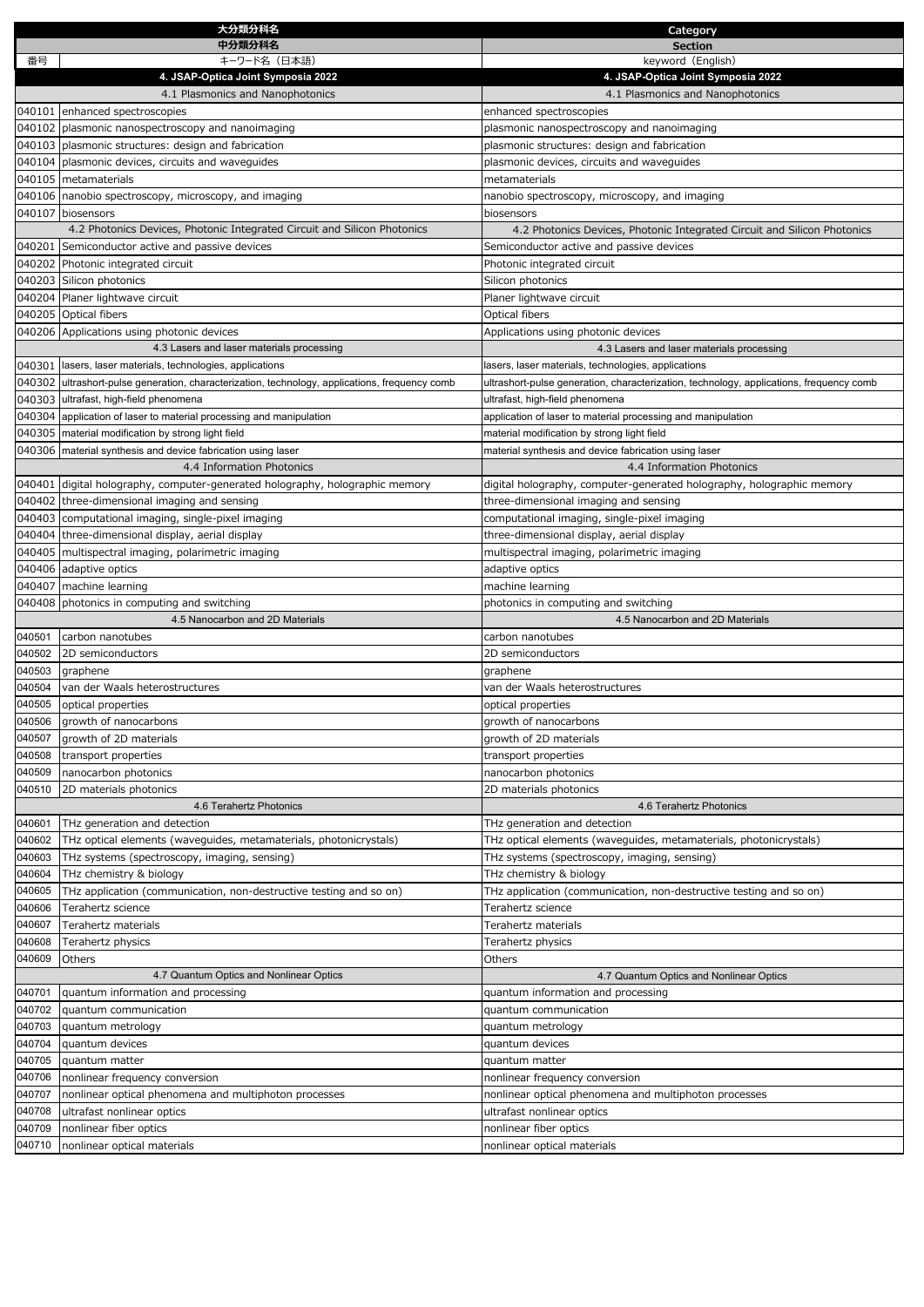|                  | 大分類分科名                                                                                         | Category                                                                                |
|------------------|------------------------------------------------------------------------------------------------|-----------------------------------------------------------------------------------------|
|                  | 中分類分科名                                                                                         | <b>Section</b>                                                                          |
| 番号               | キーワード名(日本語)                                                                                    | keyword (English)                                                                       |
|                  | 4. JSAP-Optica Joint Symposia 2022                                                             | 4. JSAP-Optica Joint Symposia 2022                                                      |
|                  | 4.1 Plasmonics and Nanophotonics                                                               | 4.1 Plasmonics and Nanophotonics                                                        |
|                  | 040101 enhanced spectroscopies                                                                 | enhanced spectroscopies                                                                 |
|                  | 040102 plasmonic nanospectroscopy and nanoimaging                                              | plasmonic nanospectroscopy and nanoimaging                                              |
|                  | 040103 plasmonic structures: design and fabrication                                            | plasmonic structures: design and fabrication                                            |
|                  | 040104 plasmonic devices, circuits and waveguides                                              | plasmonic devices, circuits and waveguides                                              |
|                  | 040105 metamaterials                                                                           | metamaterials                                                                           |
|                  | 040106 nanobio spectroscopy, microscopy, and imaging                                           | nanobio spectroscopy, microscopy, and imaging                                           |
|                  | 040107 biosensors                                                                              | biosensors                                                                              |
|                  | 4.2 Photonics Devices, Photonic Integrated Circuit and Silicon Photonics                       | 4.2 Photonics Devices, Photonic Integrated Circuit and Silicon Photonics                |
|                  | 040201 Semiconductor active and passive devices                                                | Semiconductor active and passive devices                                                |
|                  | 040202 Photonic integrated circuit                                                             | Photonic integrated circuit                                                             |
|                  | 040203 Silicon photonics                                                                       | Silicon photonics                                                                       |
|                  | 040204 Planer lightwave circuit                                                                | Planer lightwave circuit                                                                |
|                  | 040205 Optical fibers                                                                          | Optical fibers                                                                          |
|                  | 040206 Applications using photonic devices                                                     | Applications using photonic devices                                                     |
|                  | 4.3 Lasers and laser materials processing                                                      | 4.3 Lasers and laser materials processing                                               |
|                  | 040301 lasers, laser materials, technologies, applications                                     | lasers, laser materials, technologies, applications                                     |
|                  | 040302 ultrashort-pulse generation, characterization, technology, applications, frequency comb | ultrashort-pulse generation, characterization, technology, applications, frequency comb |
|                  | 040303 ultrafast, high-field phenomena                                                         | ultrafast, high-field phenomena                                                         |
|                  | 040304 application of laser to material processing and manipulation                            | application of laser to material processing and manipulation                            |
|                  | 040305 material modification by strong light field                                             | material modification by strong light field                                             |
|                  | 040306 material synthesis and device fabrication using laser                                   | material synthesis and device fabrication using laser                                   |
|                  | 4.4 Information Photonics                                                                      | 4.4 Information Photonics                                                               |
|                  | 040401 digital holography, computer-generated holography, holographic memory                   | digital holography, computer-generated holography, holographic memory                   |
|                  | 040402 three-dimensional imaging and sensing                                                   | three-dimensional imaging and sensing                                                   |
|                  | 040403 computational imaging, single-pixel imaging                                             | computational imaging, single-pixel imaging                                             |
|                  | 040404 three-dimensional display, aerial display                                               | three-dimensional display, aerial display                                               |
|                  | 040405 multispectral imaging, polarimetric imaging                                             | multispectral imaging, polarimetric imaging                                             |
|                  | 040406 adaptive optics                                                                         | adaptive optics                                                                         |
|                  | 040407 machine learning                                                                        | machine learning                                                                        |
|                  | 040408 photonics in computing and switching                                                    |                                                                                         |
|                  | 4.5 Nanocarbon and 2D Materials                                                                | photonics in computing and switching<br>4.5 Nanocarbon and 2D Materials                 |
|                  | carbon nanotubes                                                                               |                                                                                         |
| 040501<br>040502 | 2D semiconductors                                                                              | carbon nanotubes<br>2D semiconductors                                                   |
|                  |                                                                                                |                                                                                         |
| 040503<br>040504 | graphene<br>van der Waals heterostructures                                                     | graphene                                                                                |
| 040505           |                                                                                                | van der Waals heterostructures                                                          |
|                  | optical properties                                                                             | optical properties                                                                      |
| 040506           | growth of nanocarbons                                                                          | growth of nanocarbons                                                                   |
| 040507           | growth of 2D materials                                                                         | growth of 2D materials                                                                  |
| 040508           | transport properties                                                                           | transport properties                                                                    |
| 040509           | nanocarbon photonics                                                                           | nanocarbon photonics                                                                    |
| 040510           | 2D materials photonics                                                                         | 2D materials photonics                                                                  |
|                  | 4.6 Terahertz Photonics                                                                        | 4.6 Terahertz Photonics                                                                 |
| 040601           | THz generation and detection                                                                   | THz generation and detection                                                            |
| 040602           | THz optical elements (waveguides, metamaterials, photonicrystals)                              | THz optical elements (waveguides, metamaterials, photonicrystals)                       |
| 040603           | THz systems (spectroscopy, imaging, sensing)                                                   | THz systems (spectroscopy, imaging, sensing)                                            |
| 040604           | THz chemistry & biology                                                                        | THz chemistry & biology                                                                 |
| 040605           | THz application (communication, non-destructive testing and so on)                             | THz application (communication, non-destructive testing and so on)                      |
| 040606           | Terahertz science                                                                              | Terahertz science                                                                       |
| 040607           | Terahertz materials                                                                            | Terahertz materials                                                                     |
| 040608           | Terahertz physics                                                                              | Terahertz physics                                                                       |
| 040609           | Others                                                                                         | Others                                                                                  |
|                  | 4.7 Quantum Optics and Nonlinear Optics                                                        | 4.7 Quantum Optics and Nonlinear Optics                                                 |
| 040701           | quantum information and processing                                                             | quantum information and processing                                                      |
| 040702           | quantum communication                                                                          | quantum communication                                                                   |
| 040703           | quantum metrology                                                                              | quantum metrology                                                                       |
| 040704           | quantum devices                                                                                | quantum devices                                                                         |
| 040705           | quantum matter                                                                                 | quantum matter                                                                          |
| 040706           | nonlinear frequency conversion                                                                 | nonlinear frequency conversion                                                          |
| 040707           | nonlinear optical phenomena and multiphoton processes                                          | nonlinear optical phenomena and multiphoton processes                                   |
| 040708           | ultrafast nonlinear optics                                                                     | ultrafast nonlinear optics                                                              |
| 040709           | nonlinear fiber optics                                                                         | nonlinear fiber optics                                                                  |
| 040710           | nonlinear optical materials                                                                    | nonlinear optical materials                                                             |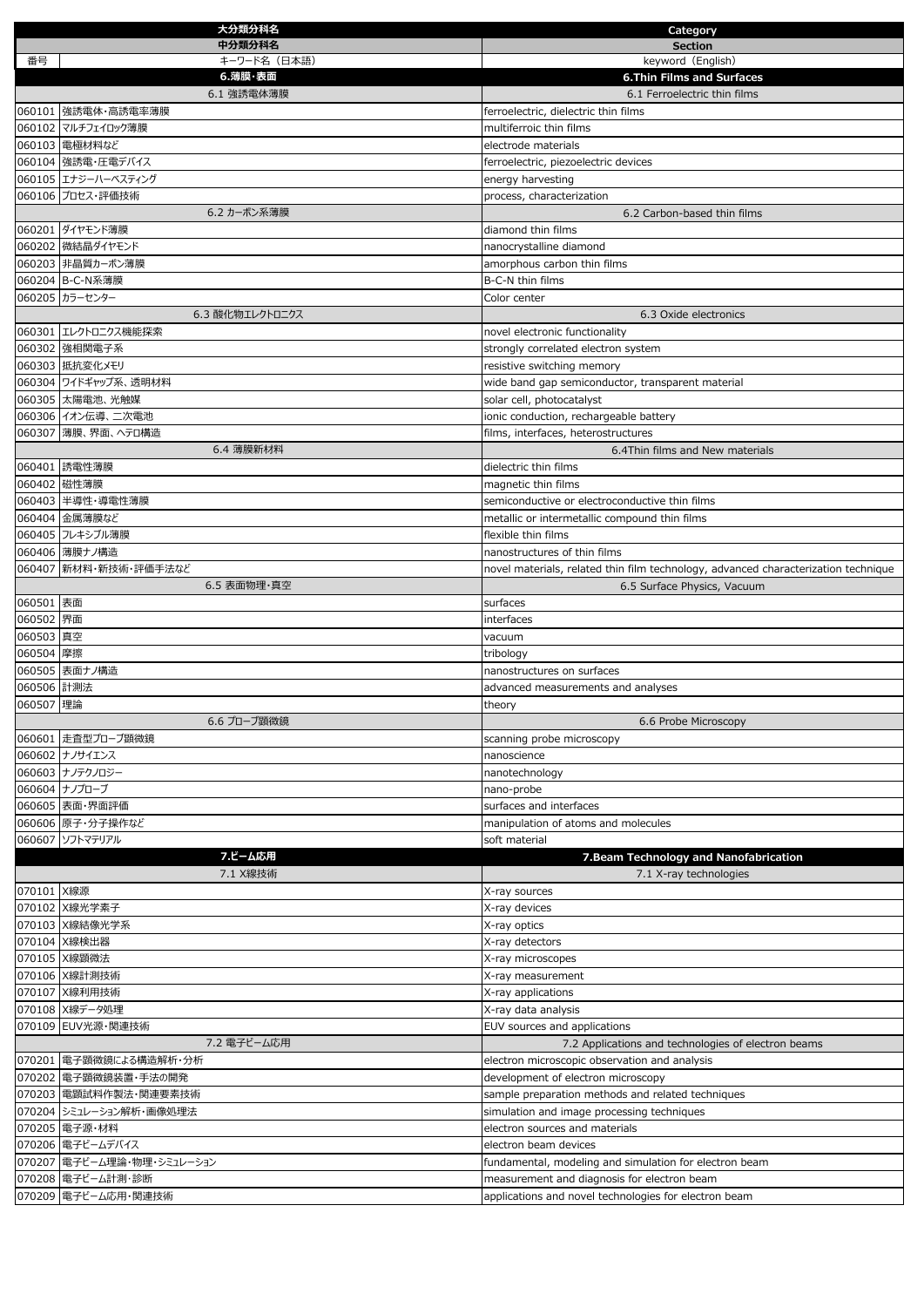|            | 大分類分科名                                   | Category                                                                           |
|------------|------------------------------------------|------------------------------------------------------------------------------------|
|            | 中分類分科名                                   | <b>Section</b>                                                                     |
| 番号         | キーワード名 (日本語)                             | keyword (English)                                                                  |
|            | 6.薄膜·表面                                  | <b>6.Thin Films and Surfaces</b>                                                   |
|            | 6.1 強誘電体薄膜                               | 6.1 Ferroelectric thin films                                                       |
|            | 060101 強誘電体・高誘電率薄膜                       | ferroelectric, dielectric thin films<br>multiferroic thin films                    |
|            | 060102 マルチフェイロック薄膜                       |                                                                                    |
|            | 060103 電極材料など                            | electrode materials                                                                |
|            | 060104 強誘電・圧電デバイス<br>060105 エナジーハーベスティング | ferroelectric, piezoelectric devices                                               |
|            | 060106 プロセス・評価技術                         | energy harvesting<br>process, characterization                                     |
|            | 6.2 カーボン系薄膜                              | 6.2 Carbon-based thin films                                                        |
|            | 060201 ダイヤモンド薄膜                          | diamond thin films                                                                 |
|            | 060202 微結晶ダイヤモンド                         | nanocrystalline diamond                                                            |
|            | 060203 非晶質カーボン薄膜                         | amorphous carbon thin films                                                        |
|            | 060204 B-C-N系薄膜                          | B-C-N thin films                                                                   |
|            | 060205 カラーセンター                           | Color center                                                                       |
|            | 6.3 酸化物エレクトロニクス                          | 6.3 Oxide electronics                                                              |
|            | 060301 エレクトロニクス機能探索                      | novel electronic functionality                                                     |
|            | 060302 強相関電子系                            | strongly correlated electron system                                                |
|            | 060303 抵抗変化メモリ                           | resistive switching memory                                                         |
|            | 060304 ワイドギャップ系、透明材料                     | wide band gap semiconductor, transparent material                                  |
|            | 060305 太陽電池、光触媒                          | solar cell, photocatalyst                                                          |
|            | 060306 イオン伝導、二次電池                        | ionic conduction, rechargeable battery                                             |
|            | 060307 薄膜、界面、ヘテロ構造                       | films, interfaces, heterostructures                                                |
|            | 6.4 薄膜新材料                                | 6.4Thin films and New materials                                                    |
|            | 060401 誘電性薄膜                             | dielectric thin films                                                              |
|            | 060402 磁性薄膜                              | magnetic thin films                                                                |
|            | 060403 半導性・導電性薄膜                         | semiconductive or electroconductive thin films                                     |
|            | 060404 金属薄膜など                            | metallic or intermetallic compound thin films                                      |
|            | 060405 フレキシブル薄膜                          | flexible thin films                                                                |
|            | 060406 薄膜ナノ構造                            | nanostructures of thin films                                                       |
|            | 060407 新材料・新技術・評価手法など                    | novel materials, related thin film technology, advanced characterization technique |
|            | 6.5 表面物理·真空                              | 6.5 Surface Physics, Vacuum                                                        |
| 060501 表面  |                                          | surfaces                                                                           |
| 060502 界面  |                                          | interfaces                                                                         |
| 060503 真空  |                                          | vacuum                                                                             |
| 060504 摩擦  |                                          | tribology                                                                          |
|            | 060505 表面ナノ構造                            | nanostructures on surfaces                                                         |
| 060506 計測法 |                                          | advanced measurements and analyses                                                 |
| 060507 理論  |                                          | theory                                                                             |
|            | 6.6 プローブ顕微鏡                              | 6.6 Probe Microscopy                                                               |
|            | 060601 走査型プローブ顕微鏡                        | scanning probe microscopy                                                          |
|            | 060602 ナノサイエンス                           | nanoscience                                                                        |
|            | 060603 ナノテクノロジー                          | nanotechnology                                                                     |
|            | 060604 ナノプローブ                            | nano-probe                                                                         |
|            | 060605 表面·界面評価                           | surfaces and interfaces                                                            |
|            | 060606 原子・分子操作など                         | manipulation of atoms and molecules                                                |
|            | 060607 ソフトマテリアル                          | soft material                                                                      |
|            | 7.ビーム応用                                  | 7. Beam Technology and Nanofabrication                                             |
|            | 7.1 X線技術                                 | 7.1 X-ray technologies                                                             |
| 070101 X線源 |                                          | X-ray sources                                                                      |
|            | 070102 X線光学素子                            | X-ray devices                                                                      |
|            | 070103 X線結像光学系                           | X-ray optics                                                                       |
|            | 070104 X線検出器                             | X-ray detectors                                                                    |
|            | 070105 X線顕微法                             | X-ray microscopes                                                                  |
|            | 070106 X線計測技術                            | X-ray measurement                                                                  |
|            | 070107 X線利用技術                            | X-ray applications                                                                 |
|            | 070108 X線データ処理                           | X-ray data analysis                                                                |
|            | 070109 EUV光源·関連技術                        | EUV sources and applications                                                       |
|            | 7.2 電子ビーム応用                              | 7.2 Applications and technologies of electron beams                                |
|            | 070201  電子顕微鏡による構造解析・分析                  | electron microscopic observation and analysis                                      |
|            | 070202 電子顕微鏡装置・手法の開発                     | development of electron microscopy                                                 |
|            | 070203 電顕試料作製法・関連要素技術                    | sample preparation methods and related techniques                                  |
|            | 070204 シミュレーション解析・画像処理法                  | simulation and image processing techniques                                         |
|            | 070205 電子源·材料                            | electron sources and materials                                                     |
|            | 070206 電子ビームデバイス                         | electron beam devices                                                              |
|            | 070207 電子ビーム理論・物理・シミュレーション               | fundamental, modeling and simulation for electron beam                             |
|            | 070208 電子ビーム計測・診断                        | measurement and diagnosis for electron beam                                        |
|            | 070209 電子ビーム応用・関連技術                      | applications and novel technologies for electron beam                              |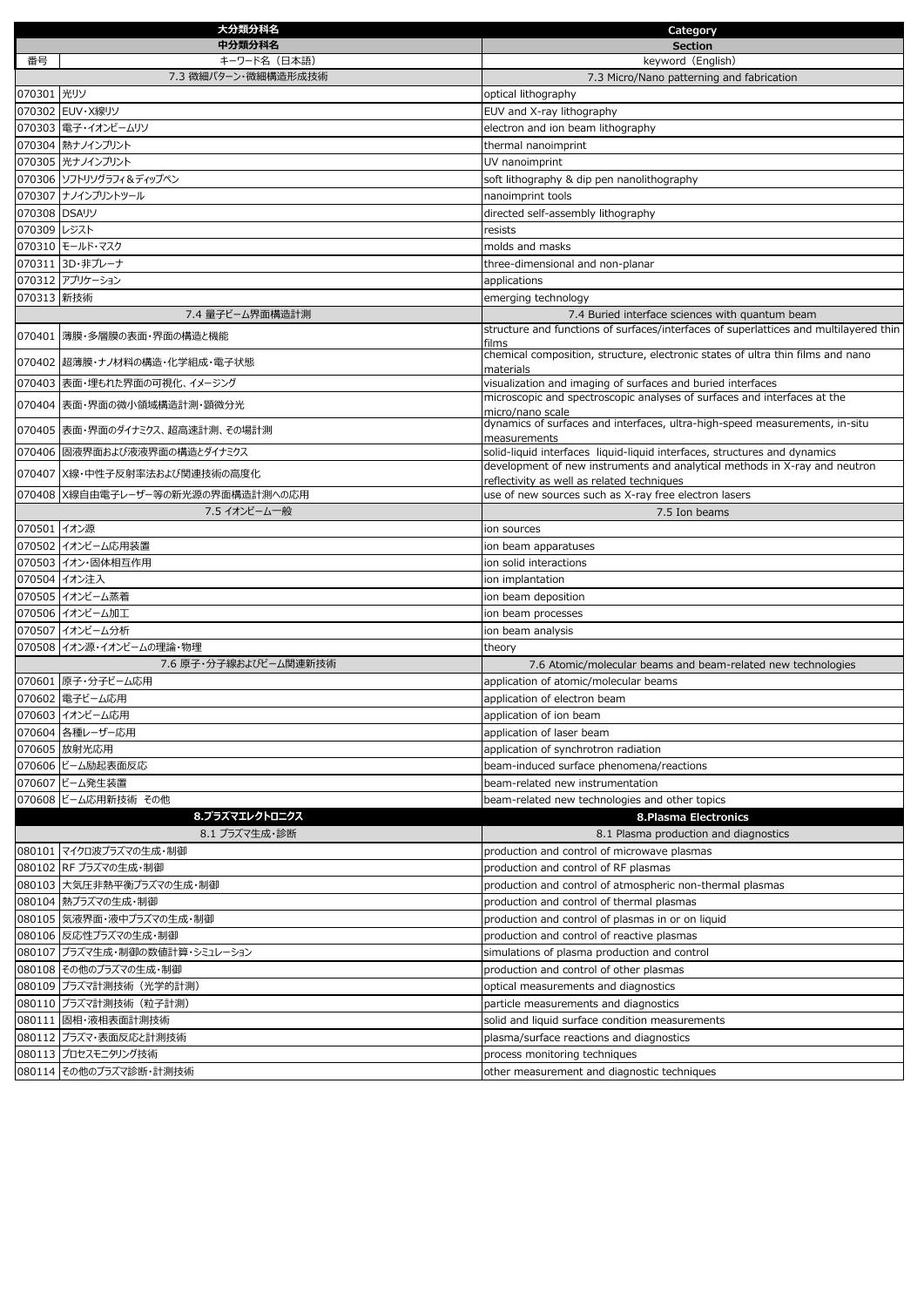|              | 大分類分科名                                            | Category                                                                                        |
|--------------|---------------------------------------------------|-------------------------------------------------------------------------------------------------|
|              | 中分類分科名                                            | <b>Section</b>                                                                                  |
| 番号           | キーワード名(日本語)                                       | keyword (English)                                                                               |
|              | 7.3 微細パターン・微細構造形成技術                               | 7.3 Micro/Nano patterning and fabrication                                                       |
| 070301 光リソ   |                                                   | optical lithography                                                                             |
|              | 070302 EUV·X線リソ                                   | EUV and X-ray lithography                                                                       |
|              | 070303 電子・イオンビームリソ                                | electron and ion beam lithography                                                               |
|              | 070304 熱ナノインプリント                                  | thermal nanoimprint                                                                             |
|              | 070305 光ナノインプリント                                  | UV nanoimprint                                                                                  |
|              | 070306 ソフトリソグラフィ&ディップペン                           | soft lithography & dip pen nanolithography                                                      |
|              | 070307 ナノインプリントツール                                | nanoimprint tools                                                                               |
| 070308 DSAリソ |                                                   | directed self-assembly lithography                                                              |
| 070309 レジスト  |                                                   | resists                                                                                         |
|              | 070310 モールド・マスク                                   | molds and masks                                                                                 |
|              | 070311 3D・非プレーナ                                   | three-dimensional and non-planar                                                                |
|              | 070312 アプリケーション                                   | applications                                                                                    |
| 070313 新技術   |                                                   | emerging technology                                                                             |
|              | 7.4 量子ビーム界面構造計測                                   | 7.4 Buried interface sciences with quantum beam                                                 |
|              | 070401 薄膜・多層膜の表面・界面の構造と機能                         | structure and functions of surfaces/interfaces of superlattices and multilayered thin           |
|              |                                                   | films<br>chemical composition, structure, electronic states of ultra thin films and nano        |
|              | 070402 超薄膜・ナノ材料の構造・化学組成・電子状態                      | materials                                                                                       |
|              | 070403 表面・埋もれた界面の可視化、イメージング                       | visualization and imaging of surfaces and buried interfaces                                     |
|              | 070404 表面・界面の微小領域構造計測・顕微分光                        | microscopic and spectroscopic analyses of surfaces and interfaces at the                        |
|              |                                                   | micro/nano scale<br>dynamics of surfaces and interfaces, ultra-high-speed measurements, in-situ |
|              | 070405 表面・界面のダイナミクス、超高速計測、その場計測                   | measurements                                                                                    |
|              | 070406 固液界面および液液界面の構造とダイナミクス                      | solid-liquid interfaces liquid-liquid interfaces, structures and dynamics                       |
|              | 070407 X線・中性子反射率法および関連技術の高度化                      | development of new instruments and analytical methods in X-ray and neutron                      |
|              |                                                   | reflectivity as well as related techniques                                                      |
|              | 070408 X線自由電子レーザー等の新光源の界面構造計測への応用<br>7.5 イオンビーム一般 | use of new sources such as X-ray free electron lasers                                           |
| 070501 イオン源  |                                                   | 7.5 Ion beams                                                                                   |
|              | 070502 イオンビーム応用装置                                 | ion sources<br>ion beam apparatuses                                                             |
|              | 070503 イオン・固体相互作用                                 | ion solid interactions                                                                          |
|              | 070504 イオン注入                                      | ion implantation                                                                                |
|              | 070505 イオンビーム蒸着                                   | ion beam deposition                                                                             |
|              | 070506 イオンビーム加工                                   | ion beam processes                                                                              |
|              | 070507 イオンビーム分析                                   | ion beam analysis                                                                               |
|              | 070508 イオン源・イオンビームの理論・物理                          | theory                                                                                          |
|              | 7.6 原子・分子線およびビーム関連新技術                             | 7.6 Atomic/molecular beams and beam-related new technologies                                    |
|              | 070601 原子・分子ビーム応用                                 | application of atomic/molecular beams                                                           |
|              | 070602 電子ビーム応用                                    | application of electron beam                                                                    |
|              | 070603 イオンビーム応用                                   | application of ion beam                                                                         |
|              | 070604 各種レーザー応用                                   | application of laser beam                                                                       |
|              | 070605 放射光応用                                      | application of synchrotron radiation                                                            |
|              | 070606 ビーム励起表面反応                                  | beam-induced surface phenomena/reactions                                                        |
|              | 070607 ビーム発生装置                                    | beam-related new instrumentation                                                                |
|              | 070608 ビーム応用新技術 その他                               | beam-related new technologies and other topics                                                  |
|              | 8.プラズマエレクトロニクス                                    | 8.Plasma Electronics                                                                            |
|              | 8.1 プラズマ生成・診断                                     | 8.1 Plasma production and diagnostics                                                           |
|              | 080101 マイクロ波プラズマの生成・制御                            | production and control of microwave plasmas                                                     |
|              | 080102 RF プラズマの生成・制御                              | production and control of RF plasmas                                                            |
|              | 080103 大気圧非熱平衡プラズマの生成・制御                          | production and control of atmospheric non-thermal plasmas                                       |
|              | 080104  熱プラズマの生成・制御                               | production and control of thermal plasmas                                                       |
|              | 080105 気液界面・液中プラズマの生成・制御                          | production and control of plasmas in or on liquid                                               |
|              | 080106 反応性プラズマの生成・制御                              | production and control of reactive plasmas                                                      |
|              | 080107 プラズマ生成・制御の数値計算・シミュレーション                    | simulations of plasma production and control                                                    |
|              | 080108 その他のプラズマの生成・制御                             | production and control of other plasmas                                                         |
|              | 080109 プラズマ計測技術 (光学的計測)                           | optical measurements and diagnostics                                                            |
|              | 080110 プラズマ計測技術 (粒子計測)                            | particle measurements and diagnostics                                                           |
|              | 080111 固相・液相表面計測技術                                | solid and liquid surface condition measurements                                                 |
|              | 080112 プラズマ・表面反応と計測技術                             | plasma/surface reactions and diagnostics                                                        |
|              | 080113 プロセスモニタリング技術                               |                                                                                                 |
|              |                                                   | process monitoring techniques                                                                   |
|              | 080114 その他のプラズマ診断・計測技術                            | other measurement and diagnostic techniques                                                     |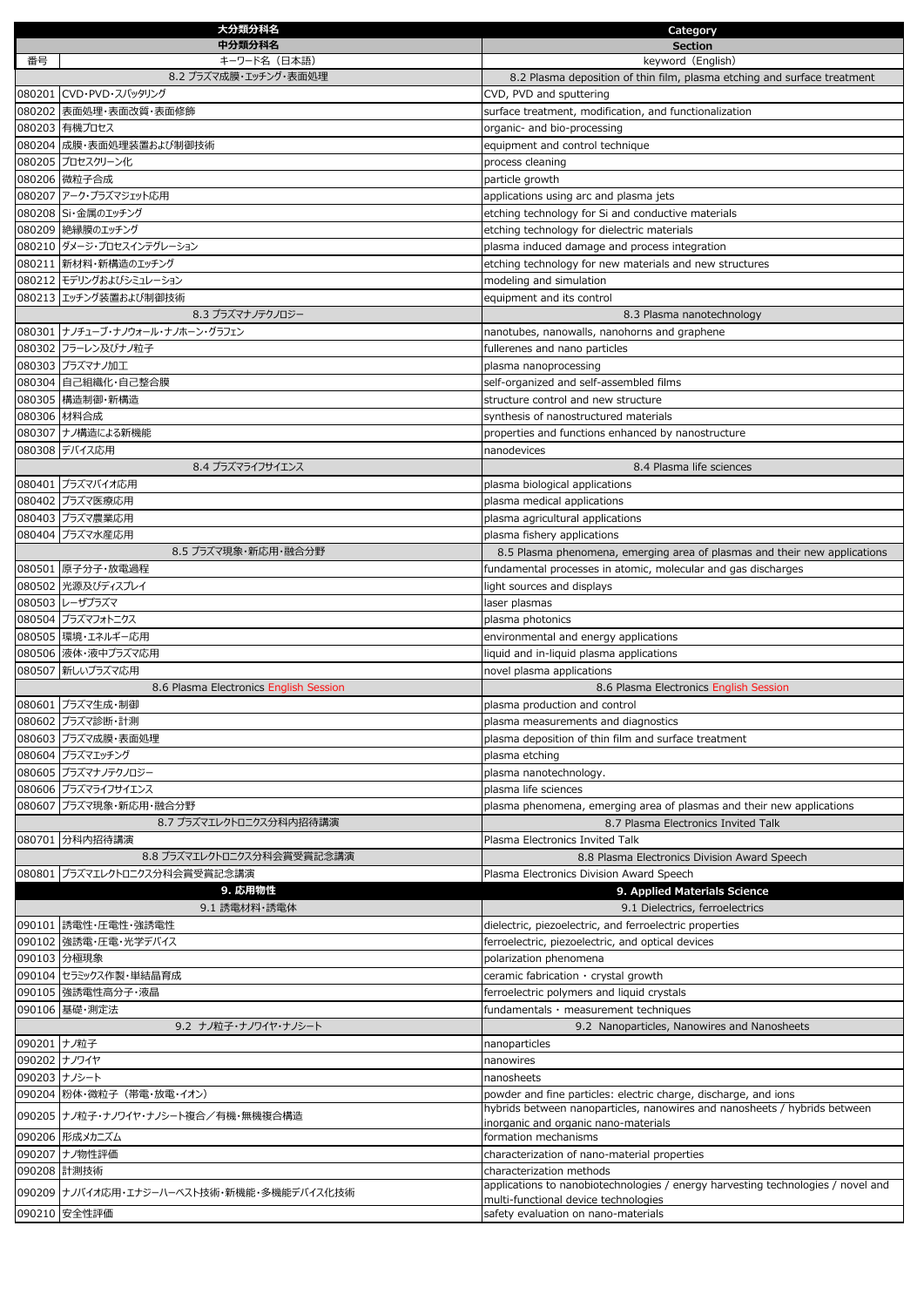|             | 大分類分科名                                        | Category                                                                                     |
|-------------|-----------------------------------------------|----------------------------------------------------------------------------------------------|
| 番号          | 中分類分科名<br>キーワード名(日本語)                         | <b>Section</b><br>keyword (English)                                                          |
|             | 8.2 プラズマ成膜・エッチング・表面処理                         | 8.2 Plasma deposition of thin film, plasma etching and surface treatment                     |
|             | 080201 CVD・PVD・スパッタリング                        | CVD, PVD and sputtering                                                                      |
|             | 080202 表面処理・表面改質・表面修飾                         | surface treatment, modification, and functionalization                                       |
|             | 080203 有機プロセス                                 | organic- and bio-processing                                                                  |
|             | 080204 成膜・表面処理装置および制御技術                       | equipment and control technique                                                              |
|             | 080205 プロセスクリーン化                              | process cleaning                                                                             |
|             | 080206 微粒子合成                                  | particle growth                                                                              |
|             | 080207 アーク・プラズマジェット応用                         | applications using arc and plasma jets                                                       |
|             | 080208 Si・金属のエッチング                            | etching technology for Si and conductive materials                                           |
|             | 080209 絶縁膜のエッチング<br>080210 ダメージ・プロセスインテグレーション | etching technology for dielectric materials<br>plasma induced damage and process integration |
|             | 080211  新材料・新構造のエッチング                         | etching technology for new materials and new structures                                      |
|             | 080212 モデリングおよびシミュレーション                       | modeling and simulation                                                                      |
|             | 080213 エッチング装置および制御技術                         | equipment and its control                                                                    |
|             | 8.3 プラズマナノテクノロジー                              | 8.3 Plasma nanotechnology                                                                    |
|             | 080301 ナノチューブ・ナノウォール・ナノホーン・グラフェン              | nanotubes, nanowalls, nanohorns and graphene                                                 |
|             | 080302 フラーレン及びナノ粒子                            | fullerenes and nano particles                                                                |
|             | 080303 プラズマナノ加工                               | plasma nanoprocessing                                                                        |
|             | 080304 自己組織化・自己整合膜                            | self-organized and self-assembled films                                                      |
|             | 080305 構造制御・新構造<br>080306 材料合成                | structure control and new structure<br>synthesis of nanostructured materials                 |
|             | 080307 ナノ構造による新機能                             | properties and functions enhanced by nanostructure                                           |
|             | 080308 デバイス応用                                 | nanodevices                                                                                  |
|             | 8.4 プラズマライフサイエンス                              | 8.4 Plasma life sciences                                                                     |
|             | 080401 プラズマバイオ応用                              | plasma biological applications                                                               |
|             | 080402 プラズマ医療応用                               | plasma medical applications                                                                  |
|             | 080403 プラズマ農業応用                               | plasma agricultural applications                                                             |
|             | 080404 プラズマ水産応用                               | plasma fishery applications                                                                  |
|             | 8.5 プラズマ現象・新応用・融合分野                           | 8.5 Plasma phenomena, emerging area of plasmas and their new applications                    |
|             | 080501 原子分子·放電過程                              | fundamental processes in atomic, molecular and gas discharges                                |
|             | 080502 光源及びディスプレイ<br>080503 レーザプラズマ           | light sources and displays<br>laser plasmas                                                  |
|             | 080504 プラズマフォトニクス                             | plasma photonics                                                                             |
|             | 080505 環境・エネルギー応用                             | environmental and energy applications                                                        |
|             | 080506   液体・液中プラズマ応用                          | liquid and in-liquid plasma applications                                                     |
|             | 080507 新しいプラズマ応用                              | novel plasma applications                                                                    |
|             | 8.6 Plasma Electronics English Session        | 8.6 Plasma Electronics English Session                                                       |
|             | 080601 プラズマ生成・制御                              | plasma production and control                                                                |
|             | 080602 プラズマ診断・計測                              | plasma measurements and diagnostics                                                          |
|             | 080603 プラズマ成膜・表面処理<br>080604 プラズマエッチング        | plasma deposition of thin film and surface treatment<br>plasma etching                       |
|             | 080605 プラズマナノテクノロジー                           | plasma nanotechnology.                                                                       |
|             | 080606 プラズマライフサイエンス                           | plasma life sciences                                                                         |
|             | 080607 プラズマ現象・新応用・融合分野                        | plasma phenomena, emerging area of plasmas and their new applications                        |
|             | 8.7 プラズマエレクトロニクス分科内招待講演                       | 8.7 Plasma Electronics Invited Talk                                                          |
|             | 080701 分科内招待講演                                | Plasma Electronics Invited Talk                                                              |
|             | 8.8 プラズマエレクトロニクス分科会賞受賞記念講演                    | 8.8 Plasma Electronics Division Award Speech                                                 |
|             | 080801 プラズマエレクトロニクス分科会賞受賞記念講演                 | Plasma Electronics Division Award Speech                                                     |
|             | 9. 応用物性<br>9.1 誘電材料·誘電体                       | 9. Applied Materials Science<br>9.1 Dielectrics, ferroelectrics                              |
|             | 090101 誘電性・圧電性・強誘電性                           | dielectric, piezoelectric, and ferroelectric properties                                      |
|             | 090102 強誘電・圧電・光学デバイス                          | ferroelectric, piezoelectric, and optical devices                                            |
|             | 090103 分極現象                                   | polarization phenomena                                                                       |
|             | 090104 セラミックス作製・単結晶育成                         | ceramic fabrication $\cdot$ crystal growth                                                   |
|             | 090105 強誘電性高分子・液晶                             | ferroelectric polymers and liquid crystals                                                   |
|             | 090106 基礎·測定法                                 | fundamentals $\cdot$ measurement techniques                                                  |
|             | 9.2 ナノ粒子・ナノワイヤ・ナノシート                          | 9.2 Nanoparticles, Nanowires and Nanosheets                                                  |
| 090201 ナノ粒子 | 090202 ナノワイヤ                                  | nanoparticles                                                                                |
|             | 090203 ナノシート                                  | nanowires<br>nanosheets                                                                      |
|             | 090204 粉体・微粒子 (帯電・放電・イオン)                     | powder and fine particles: electric charge, discharge, and ions                              |
|             | 090205 ナノ粒子・ナノワイヤ・ナノシート複合/有機・無機複合構造           | hybrids between nanoparticles, nanowires and nanosheets / hybrids between                    |
|             |                                               | inorganic and organic nano-materials                                                         |
|             | 090206 形成メカニズム                                | formation mechanisms                                                                         |
|             | 090207 ナノ物性評価<br>090208 計測技術                  | characterization of nano-material properties<br>characterization methods                     |
|             |                                               | applications to nanobiotechnologies / energy harvesting technologies / novel and             |
|             | 090209 ナノバイオ応用・エナジーハーベスト技術・新機能・多機能デバイス化技術     | multi-functional device technologies                                                         |
|             | 090210 安全性評価                                  | safety evaluation on nano-materials                                                          |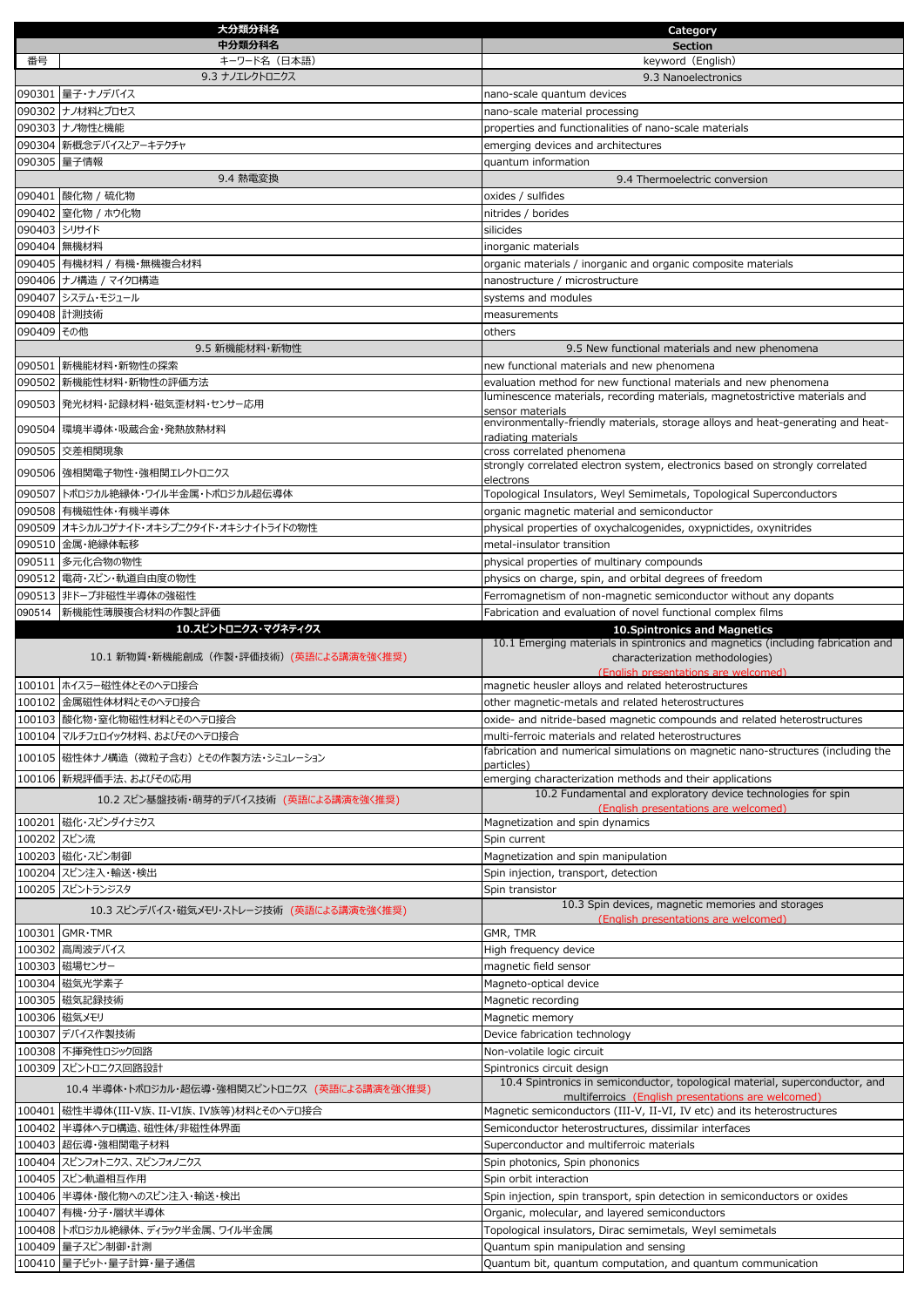|             | 大分類分科名                                         | Category                                                                                                                                 |
|-------------|------------------------------------------------|------------------------------------------------------------------------------------------------------------------------------------------|
|             | 中分類分科名                                         | <b>Section</b>                                                                                                                           |
| 番号          | キーワード名(日本語)                                    | keyword (English)                                                                                                                        |
|             | 9.3 ナノエレクトロニクス                                 | 9.3 Nanoelectronics                                                                                                                      |
|             | 090301   量子・ナノデバイス                             | nano-scale quantum devices                                                                                                               |
|             | 090302 ナノ材料とプロセス                               | nano-scale material processing                                                                                                           |
|             | 090303 ナノ物性と機能                                 | properties and functionalities of nano-scale materials                                                                                   |
|             | 090304 新概念デバイスとアーキテクチャ                         | emerging devices and architectures                                                                                                       |
|             | 090305 量子情報                                    | quantum information                                                                                                                      |
|             | 9.4 熱電変換                                       | 9.4 Thermoelectric conversion                                                                                                            |
|             | 090401 酸化物 / 硫化物                               | oxides / sulfides                                                                                                                        |
|             | 090402 窒化物 / ホウ化物<br>090403 シリサイド              | nitrides / borides<br>silicides                                                                                                          |
|             | 090404 無機材料                                    |                                                                                                                                          |
|             | 090405 有機材料 / 有機・無機複合材料                        | inorganic materials<br>organic materials / inorganic and organic composite materials                                                     |
|             | 090406 ナノ構造 / マイクロ構造                           | nanostructure / microstructure                                                                                                           |
|             | 090407 システム・モジュール                              | systems and modules                                                                                                                      |
|             | 090408 計測技術                                    | measurements                                                                                                                             |
| 090409 その他  |                                                | others                                                                                                                                   |
|             | 9.5 新機能材料・新物性                                  | 9.5 New functional materials and new phenomena                                                                                           |
|             | 090501 新機能材料・新物性の探索                            | new functional materials and new phenomena                                                                                               |
|             | 090502 新機能性材料・新物性の評価方法                         | evaluation method for new functional materials and new phenomena                                                                         |
|             | 090503 発光材料・記録材料・磁気歪材料・センサー応用                  | luminescence materials, recording materials, magnetostrictive materials and                                                              |
|             |                                                | sensor materials                                                                                                                         |
|             | 090504 環境半導体・吸蔵合金・発熱放熱材料                       | environmentally-friendly materials, storage alloys and heat-generating and heat-<br>radiating materials                                  |
|             | 090505 交差相関現象                                  | cross correlated phenomena                                                                                                               |
|             | 090506 強相関電子物性・強相関エレクトロニクス                     | strongly correlated electron system, electronics based on strongly correlated                                                            |
|             |                                                | electrons                                                                                                                                |
|             | 090507 トポロジカル絶縁体・ワイル半金属・トポロジカル超伝導体             | Topological Insulators, Weyl Semimetals, Topological Superconductors                                                                     |
|             | 090508 有機磁性体・有機半導体                             | organic magnetic material and semiconductor                                                                                              |
|             | 090509 オキシカルコゲナイド・オキシプニクタイド・オキシナイトライドの物性       | physical properties of oxychalcogenides, oxypnictides, oxynitrides                                                                       |
|             | 090510 金属・絶縁体転移                                | metal-insulator transition                                                                                                               |
|             | 090511 多元化合物の物性                                | physical properties of multinary compounds                                                                                               |
|             | 090512 電荷・スピン・軌道自由度の物性                         | physics on charge, spin, and orbital degrees of freedom                                                                                  |
|             | 090513 非ドープ非磁性半導体の強磁性                          | Ferromagnetism of non-magnetic semiconductor without any dopants                                                                         |
| 090514      | 新機能性薄膜複合材料の作製と評価<br>10.スピントロニクス・マグネティクス        | Fabrication and evaluation of novel functional complex films<br>10. Spintronics and Magnetics                                            |
|             |                                                | 10.1 Emerging materials in spintronics and magnetics (including fabrication and                                                          |
|             | 10.1 新物質・新機能創成(作製・評価技術)(英語による講演を強く推奨)          | characterization methodologies)                                                                                                          |
|             |                                                | (English presentations are welcomed)                                                                                                     |
|             | 100101 ホイスラー磁性体とそのヘテロ接合                        | magnetic heusler alloys and related heterostructures                                                                                     |
|             | 100102 金属磁性体材料とそのヘテロ接合                         | other magnetic-metals and related heterostructures                                                                                       |
|             | 100103 酸化物・窒化物磁性材料とそのヘテロ接合                     | oxide- and nitride-based magnetic compounds and related heterostructures                                                                 |
|             | 100104 マルチフェロイック材料、およびそのヘテロ接合                  | multi-ferroic materials and related heterostructures<br>fabrication and numerical simulations on magnetic nano-structures (including the |
|             | 100105 磁性体ナノ構造 (微粒子含む) とその作製方法・シミュレーション        | particles)                                                                                                                               |
|             | 100106 新規評価手法、およびその応用                          | emerging characterization methods and their applications                                                                                 |
|             | 10.2 スピン基盤技術・萌芽的デバイス技術 (英語による講演を強く推奨)          | 10.2 Fundamental and exploratory device technologies for spin                                                                            |
|             | 100201 磁化・スピンダイナミクス                            | (English presentations are welcomed)<br>Magnetization and spin dynamics                                                                  |
| 100202 スピン流 |                                                | Spin current                                                                                                                             |
|             | 100203 磁化・スピン制御                                | Magnetization and spin manipulation                                                                                                      |
|             | 100204 スピン注入・輸送・検出                             | Spin injection, transport, detection                                                                                                     |
|             | 100205 スピントランジスタ                               | Spin transistor                                                                                                                          |
|             |                                                | 10.3 Spin devices, magnetic memories and storages                                                                                        |
|             | 10.3 スピンデバイス・磁気メモリ・ストレージ技術 (英語による講演を強く推奨)      | (English presentations are welcomed)                                                                                                     |
|             | 100301 GMR·TMR                                 | GMR, TMR                                                                                                                                 |
|             | 100302 高周波デバイス                                 | High frequency device                                                                                                                    |
|             | 100303 磁場センサー                                  | magnetic field sensor                                                                                                                    |
|             | 100304 磁気光学素子                                  | Magneto-optical device                                                                                                                   |
|             | 100305 磁気記録技術                                  | Magnetic recording                                                                                                                       |
|             | 100306 磁気メモリ                                   | Magnetic memory                                                                                                                          |
|             | 100307 デバイス作製技術                                | Device fabrication technology                                                                                                            |
|             | 100308 不揮発性ロジック回路                              | Non-volatile logic circuit                                                                                                               |
|             | 100309 スピントロニクス回路設計                            | Spintronics circuit design<br>10.4 Spintronics in semiconductor, topological material, superconductor, and                               |
|             | 10.4 半導体・トポロジカル・超伝導・強相関スピントロニクス (英語による講演を強く推奨) | multiferroics (English presentations are welcomed)                                                                                       |
|             | 100401  磁性半導体(III-V族、II-VI族、IV族等)材料とそのヘテロ接合    | Magnetic semiconductors (III-V, II-VI, IV etc) and its heterostructures                                                                  |
|             | 100402 半導体へテロ構造、磁性体/非磁性体界面                     | Semiconductor heterostructures, dissimilar interfaces                                                                                    |
|             | 100403 超伝導・強相関電子材料                             | Superconductor and multiferroic materials                                                                                                |
|             | 100404 スピンフォトニクス、スピンフォノニクス                     | Spin photonics, Spin phononics                                                                                                           |
|             | 100405 スピン軌道相互作用                               | Spin orbit interaction                                                                                                                   |
|             | 100406 半導体・酸化物へのスピン注入・輸送・検出                    | Spin injection, spin transport, spin detection in semiconductors or oxides                                                               |
|             | 100407 有機・分子・層状半導体                             | Organic, molecular, and layered semiconductors                                                                                           |
|             | 100408 トポロジカル絶縁体、ディラック半金属、ワイル半金属               | Topological insulators, Dirac semimetals, Weyl semimetals                                                                                |
|             | 100409 量子スピン制御・計測                              | Quantum spin manipulation and sensing                                                                                                    |
|             | 100410 量子ビット・量子計算・量子通信                         | Quantum bit, quantum computation, and quantum communication                                                                              |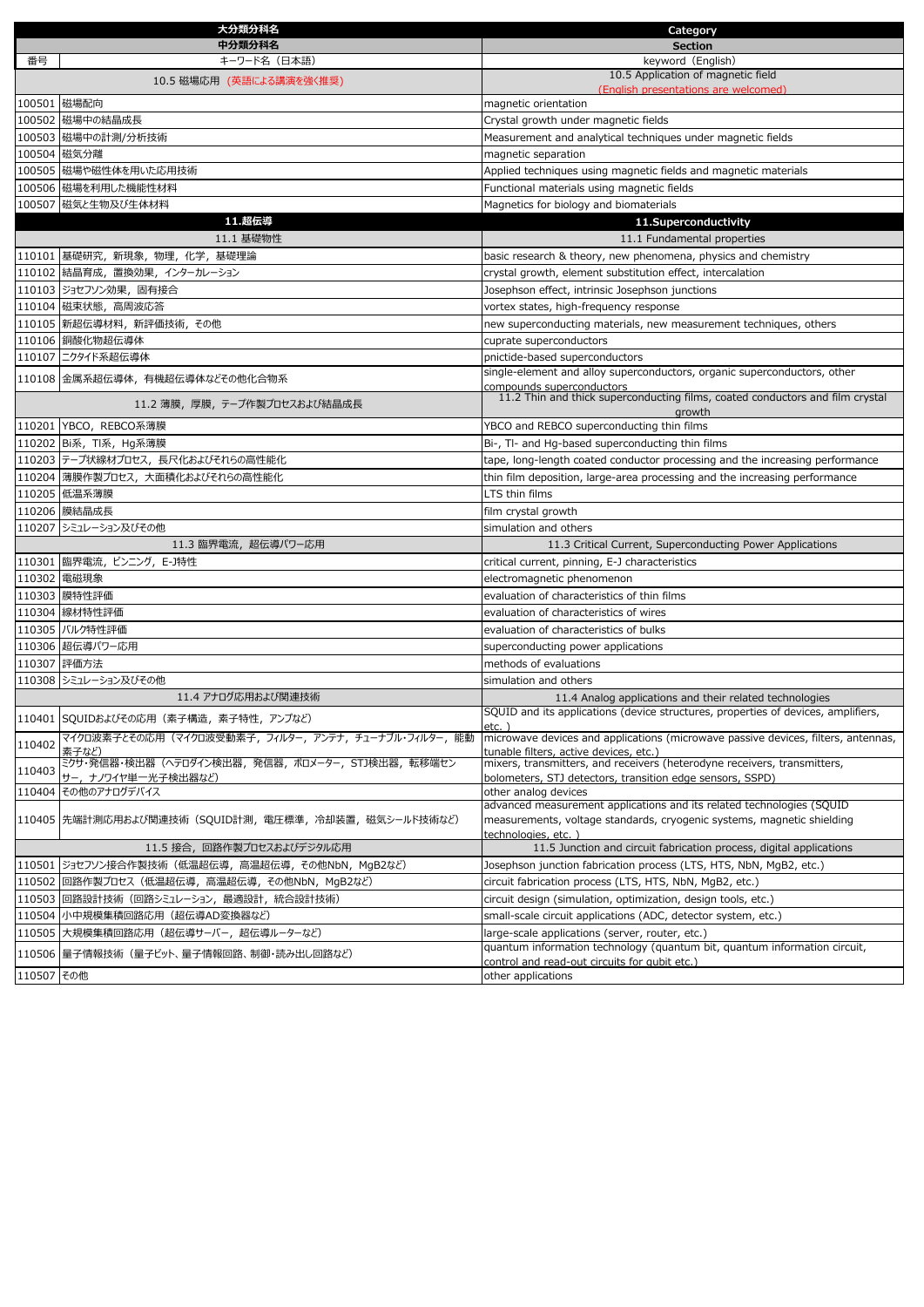|            | 大分類分科名                                                 | Category                                                                                                   |
|------------|--------------------------------------------------------|------------------------------------------------------------------------------------------------------------|
|            | 中分類分科名                                                 | <b>Section</b>                                                                                             |
| 番号         | キーワード名(日本語)                                            | keyword (English)                                                                                          |
|            | 10.5 磁場応用(英語による講演を強く推奨)                                | 10.5 Application of magnetic field                                                                         |
|            | 100501 磁場配向                                            | (English presentations are welcomed)<br>magnetic orientation                                               |
|            | 100502 磁場中の結晶成長                                        | Crystal growth under magnetic fields                                                                       |
|            | 100503 磁場中の計測/分析技術                                     | Measurement and analytical techniques under magnetic fields                                                |
|            | 100504 磁気分離                                            | magnetic separation                                                                                        |
|            | 100505 磁場や磁性体を用いた応用技術                                  | Applied techniques using magnetic fields and magnetic materials                                            |
|            | 100506 磁場を利用した機能性材料                                    | Functional materials using magnetic fields                                                                 |
|            | 100507 磁気と生物及び生体材料                                     | Magnetics for biology and biomaterials                                                                     |
|            | 11.超伝導                                                 | 11.Superconductivity                                                                                       |
|            | 11.1 基礎物性                                              | 11.1 Fundamental properties                                                                                |
|            | 110101 基礎研究, 新現象, 物理, 化学, 基礎理論                         | basic research & theory, new phenomena, physics and chemistry                                              |
|            | 110102 結晶育成, 置換効果, インターカレーション                          | crystal growth, element substitution effect, intercalation                                                 |
|            | 110103 ジョセフソン効果, 固有接合                                  | Josephson effect, intrinsic Josephson junctions                                                            |
|            | 110104 磁束状態, 高周波応答                                     | vortex states, high-frequency response                                                                     |
|            | 110105 新超伝導材料, 新評価技術, その他                              | new superconducting materials, new measurement techniques, others                                          |
|            | 110106 銅酸化物超伝導体                                        | cuprate superconductors                                                                                    |
|            | 110107 ニクタイド系超伝導体                                      | pnictide-based superconductors                                                                             |
|            | 110108 金属系超伝導体, 有機超伝導体などその他化合物系                        | single-element and alloy superconductors, organic superconductors, other                                   |
|            |                                                        | compounds superconductors<br>11.2 Thin and thick superconducting films, coated conductors and film crystal |
|            | 11.2 薄膜,厚膜,テ−ブ作製ブロセスおよび結晶成長                            | growth                                                                                                     |
|            | 110201 YBCO, REBCO系薄膜                                  | YBCO and REBCO superconducting thin films                                                                  |
|            | 110202 Bi系, TI系, Hg系薄膜                                 | Bi-, Tl- and Hg-based superconducting thin films                                                           |
|            | 110203 テープ状線材プロセス、長尺化およびそれらの高性能化                       | tape, long-length coated conductor processing and the increasing performance                               |
|            | 110204 薄膜作製プロセス、大面積化およびそれらの高性能化                        | thin film deposition, large-area processing and the increasing performance                                 |
|            | 110205 低温系薄膜                                           | LTS thin films                                                                                             |
|            | 110206 膜結晶成長                                           | film crystal growth                                                                                        |
|            | 110207 シミュレーション及びその他                                   | simulation and others                                                                                      |
|            | 11.3 臨界電流, 超伝導パワー応用                                    | 11.3 Critical Current, Superconducting Power Applications                                                  |
|            | 110301 臨界電流, ピンニング, E-J特性                              | critical current, pinning, E-J characteristics                                                             |
|            | 110302 電磁現象                                            | electromagnetic phenomenon                                                                                 |
|            | 110303 膜特性評価                                           | evaluation of characteristics of thin films                                                                |
|            | 110304 線材特性評価                                          | evaluation of characteristics of wires                                                                     |
|            | 110305 バルク特性評価                                         | evaluation of characteristics of bulks                                                                     |
|            | 110306 超伝導パワー応用                                        | superconducting power applications                                                                         |
|            | 110307 評価方法                                            | methods of evaluations                                                                                     |
|            | 110308 シミュレーション及びその他                                   | simulation and others                                                                                      |
|            | 11.4 アナログ応用および関連技術                                     | 11.4 Analog applications and their related technologies                                                    |
|            | 110401 SQUIDおよびその応用 (素子構造, 素子特性, アンプなど)                | SQUID and its applications (device structures, properties of devices, amplifiers,                          |
|            | マイクロ波素子とその応用(マイクロ波受動素子,フィルター,アンテナ,チューナブル・フィルター,能動      | $etc.$ )<br>microwave devices and applications (microwave passive devices, filters, antennas,              |
| 110402     | 素子など)                                                  | tunable filters, active devices, etc.)                                                                     |
| 110403     | ミクサ・発信器・検出器(ヘテロダイン検出器,発信器,ボロメーター,STJ検出器,転移端セン          | mixers, transmitters, and receivers (heterodyne receivers, transmitters,                                   |
|            | サー, ナノワイヤ単一光子検出器など)                                    | bolometers, STJ detectors, transition edge sensors, SSPD)                                                  |
|            | 110404 その他のアナログデバイス                                    | other analog devices<br>advanced measurement applications and its related technologies (SQUID              |
|            | 110405  先端計測応用および関連技術(SQUID計測, 電圧標準, 冷却装置, 磁気シールド技術など) | measurements, voltage standards, cryogenic systems, magnetic shielding                                     |
|            |                                                        | technologies, etc.)                                                                                        |
|            | 11.5 接合,回路作製プロセスおよびデジタル応用                              | 11.5 Junction and circuit fabrication process, digital applications                                        |
|            | 110501 ジョセフソン接合作製技術 (低温超伝導, 高温超伝導, その他NbN, MgB2など)     | Josephson junction fabrication process (LTS, HTS, NbN, MgB2, etc.)                                         |
|            | 110502 回路作製プロセス (低温超伝導, 高温超伝導, その他NbN, MgB2など)         | circuit fabrication process (LTS, HTS, NbN, MgB2, etc.)                                                    |
|            | 110503 回路設計技術 (回路シミュレーション, 最適設計, 統合設計技術)               | circuit design (simulation, optimization, design tools, etc.)                                              |
|            | 110504  小中規模集積回路応用 (超伝導AD変換器など)                        | small-scale circuit applications (ADC, detector system, etc.)                                              |
|            | 110505  大規模集積回路応用(超伝導サ−バ−,超伝導ル−タ−など)                   | large-scale applications (server, router, etc.)                                                            |
|            | 110506  量子情報技術 (量子ビット、量子情報回路、制御・読み出し回路など)              | quantum information technology (quantum bit, quantum information circuit,                                  |
| 110507 その他 |                                                        | control and read-out circuits for qubit etc.)<br>other applications                                        |
|            |                                                        |                                                                                                            |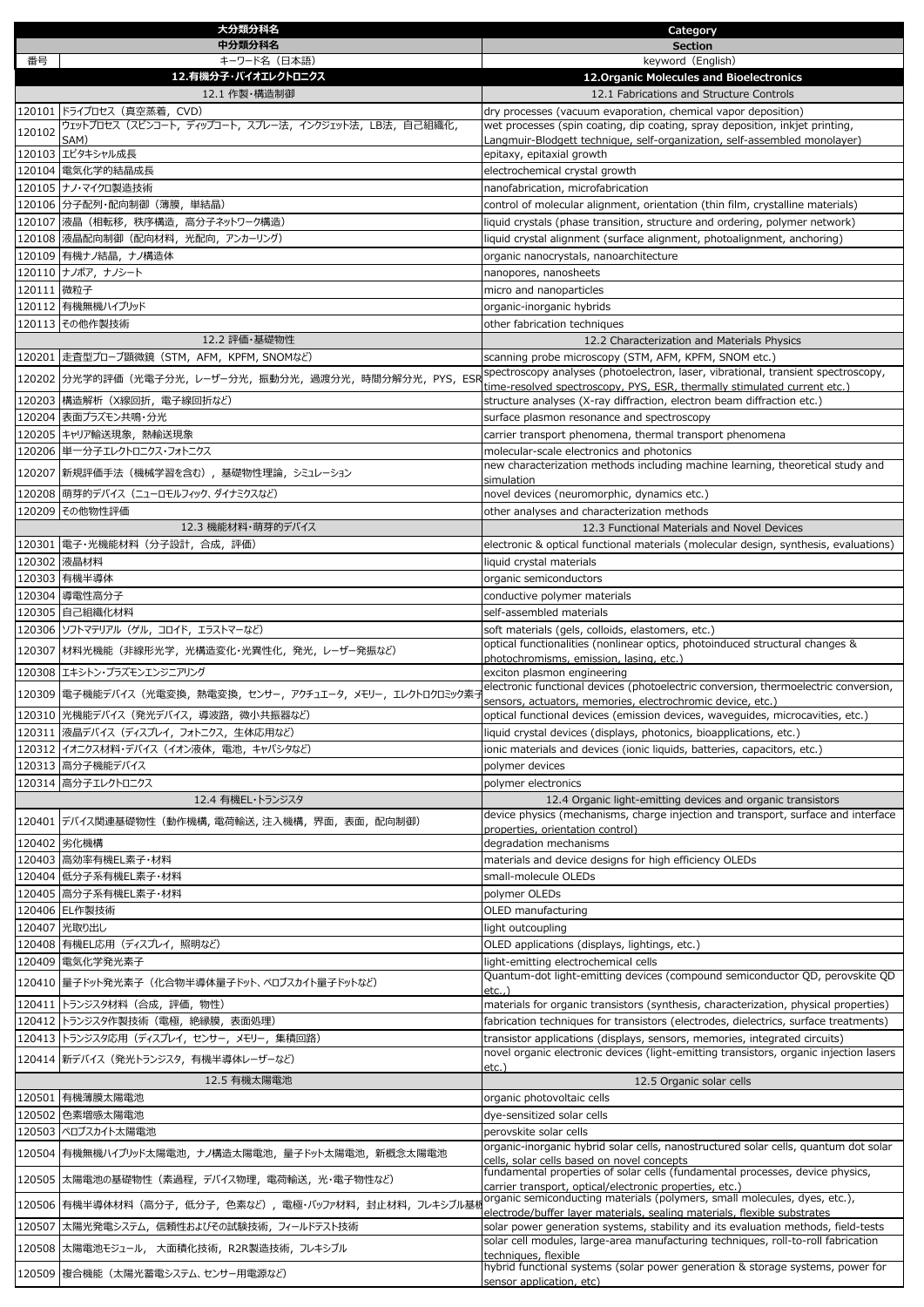|            | 大分類分科名                                                         | Category                                                                                                                                              |
|------------|----------------------------------------------------------------|-------------------------------------------------------------------------------------------------------------------------------------------------------|
|            | 中分類分科名                                                         | <b>Section</b>                                                                                                                                        |
| 番号         | キーワード名 (日本語)<br>12.有機分子・バイオエレクトロニクス                            | keyword (English)<br>12. Organic Molecules and Bioelectronics                                                                                         |
|            | 12.1 作製・構造制御                                                   | 12.1 Fabrications and Structure Controls                                                                                                              |
|            | 120101 ドライプロセス (真空蒸着, CVD)                                     | dry processes (vacuum evaporation, chemical vapor deposition)                                                                                         |
| 120102     | ウェットプロセス(スピンコート, ディップコート, スプレー法, インクジェット法, LB法, 自己組織化,         | wet processes (spin coating, dip coating, spray deposition, inkjet printing,                                                                          |
|            | SAM)<br>120103 エピタキシャル成長                                       | Langmuir-Blodgett technique, self-organization, self-assembled monolayer)<br>epitaxy, epitaxial growth                                                |
|            | 120104 電気化学的結晶成長                                               | electrochemical crystal growth                                                                                                                        |
|            | 120105 ナノ・マイクロ製造技術                                             | nanofabrication, microfabrication                                                                                                                     |
|            | 120106 分子配列・配向制御 (薄膜, 単結晶)                                     | control of molecular alignment, orientation (thin film, crystalline materials)                                                                        |
|            | 120107 液晶 (相転移, 秩序構造, 高分子ネットワーク構造)                             | liquid crystals (phase transition, structure and ordering, polymer network)                                                                           |
|            | 120108 液晶配向制御 (配向材料, 光配向, アンカーリング)                             | liquid crystal alignment (surface alignment, photoalignment, anchoring)                                                                               |
|            | 120109 有機ナノ結晶, ナノ構造体                                           | organic nanocrystals, nanoarchitecture                                                                                                                |
|            | 120110 ナノポア, ナノシート                                             | nanopores, nanosheets                                                                                                                                 |
| 120111 微粒子 |                                                                | micro and nanoparticles                                                                                                                               |
|            | 120112 有機無機ハイブリッド                                              | organic-inorganic hybrids                                                                                                                             |
|            | 120113 その他作製技術<br>12.2 評価・基礎物性                                 | other fabrication techniques                                                                                                                          |
|            | 120201  走査型プローブ顕微鏡(STM, AFM, KPFM, SNOMなど)                     | 12.2 Characterization and Materials Physics<br>scanning probe microscopy (STM, AFM, KPFM, SNOM etc.)                                                  |
|            |                                                                | spectroscopy analyses (photoelectron, laser, vibrational, transient spectroscopy,                                                                     |
|            | 120202  分光学的評価(光電子分光, レーザー分光, 振動分光, 過渡分光, 時間分解分光, PYS, ESR     | time-resolved spectroscopy, PYS, ESR, thermally stimulated current etc.)                                                                              |
|            | 120203 構造解析 (X線回折, 電子線回折など)                                    | structure analyses (X-ray diffraction, electron beam diffraction etc.)                                                                                |
|            | 120204 表面プラズモン共鳴・分光                                            | surface plasmon resonance and spectroscopy                                                                                                            |
|            | 120205 キャリア輸送現象, 熱輸送現象                                         | carrier transport phenomena, thermal transport phenomena                                                                                              |
|            | 120206 単一分子エレクトロニクス・フォトニクス                                     | molecular-scale electronics and photonics<br>new characterization methods including machine learning, theoretical study and                           |
|            | 120207 新規評価手法 (機械学習を含む) , 基礎物性理論, シミュレーション                     | simulation                                                                                                                                            |
|            | 120208 萌芽的デバイス (ニューロモルフィック、ダイナミクスなど)                           | novel devices (neuromorphic, dynamics etc.)                                                                                                           |
|            | 120209 その他物性評価                                                 | other analyses and characterization methods                                                                                                           |
|            | 12.3 機能材料・萌芽的デバイス                                              | 12.3 Functional Materials and Novel Devices                                                                                                           |
|            | 120301  電子・光機能材料(分子設計,合成,評価)                                   | electronic & optical functional materials (molecular design, synthesis, evaluations)                                                                  |
|            | 120302 液晶材料                                                    | liquid crystal materials                                                                                                                              |
|            | 120303 有機半導体                                                   | organic semiconductors                                                                                                                                |
|            | 120304 導電性高分子                                                  | conductive polymer materials                                                                                                                          |
|            | 120305 自己組織化材料                                                 | self-assembled materials                                                                                                                              |
|            | 120306 ソフトマテリアル (ゲル, コロイド, エラストマーなど)                           | soft materials (gels, colloids, elastomers, etc.)<br>optical functionalities (nonlinear optics, photoinduced structural changes &                     |
|            | 120307 材料光機能 (非線形光学, 光構造変化・光異性化, 発光, レーザー発振など)                 | photochromisms, emission, lasing, etc.)                                                                                                               |
|            | 120308 エキシトン・プラズモンエンジニアリング                                     | exciton plasmon engineering                                                                                                                           |
|            | 120309 電子機能デバイス (光電変換, 熱電変換, センサー, アクチュエータ, メモリー, エレクトロクロミック素う | electronic functional devices (photoelectric conversion, thermoelectric conversion,<br>sensors, actuators, memories, electrochromic device, etc.)     |
|            | 120310 光機能デバイス (発光デバイス, 導波路, 微小共振器など)                          | optical functional devices (emission devices, waveguides, microcavities, etc.)                                                                        |
|            | 120311 液晶デバイス (ディスプレイ, フォトニクス, 生体応用など)                         | liquid crystal devices (displays, photonics, bioapplications, etc.)                                                                                   |
|            | 120312  イオニクス材料・デバイス (イオン液体, 電池, キャパシタなど)                      | ionic materials and devices (ionic liquids, batteries, capacitors, etc.)                                                                              |
|            | 120313 高分子機能デバイス                                               | polymer devices                                                                                                                                       |
|            | 120314 高分子エレクトロニクス                                             | polymer electronics                                                                                                                                   |
|            | 12.4 有機EL・トランジスタ                                               | 12.4 Organic light-emitting devices and organic transistors                                                                                           |
|            | 120401  デバイス関連基礎物性(動作機構, 電荷輸送, 注入機構, 界面, 表面, 配向制御)             | device physics (mechanisms, charge injection and transport, surface and interface<br>properties, orientation control)                                 |
|            | 120402 劣化機構                                                    | degradation mechanisms                                                                                                                                |
|            | 120403 高効率有機EL素子・材料                                            | materials and device designs for high efficiency OLEDs                                                                                                |
|            | 120404 低分子系有機EL素子·材料                                           | small-molecule OLEDs                                                                                                                                  |
|            | 120405 高分子系有機EL素子・材料                                           | polymer OLEDs                                                                                                                                         |
|            | 120406 EL作製技術                                                  | OLED manufacturing                                                                                                                                    |
|            | 120407 光取り出し                                                   | light outcoupling                                                                                                                                     |
|            | 120408  有機EL応用 (ディスプレイ, 照明など)                                  | OLED applications (displays, lightings, etc.)                                                                                                         |
|            | 120409 電気化学発光素子                                                | light-emitting electrochemical cells<br>Quantum-dot light-emitting devices (compound semiconductor QD, perovskite QD                                  |
|            | 120410  量子ドット発光素子 (化合物半導体量子ドット、ペロブスカイト量子ドットなど)                 | etc.,)                                                                                                                                                |
| 120411     | トランジスタ材料 (合成, 評価, 物性)                                          | materials for organic transistors (synthesis, characterization, physical properties)                                                                  |
|            | 120412 トランジスタ作製技術 (電極, 絶縁膜, 表面処理)                              | fabrication techniques for transistors (electrodes, dielectrics, surface treatments)                                                                  |
|            | 120413  トランジスタ応用(ディスプレイ,センサー,メモリー,集積回路)                        | transistor applications (displays, sensors, memories, integrated circuits)                                                                            |
|            | 120414  新デバイス (発光トランジスタ, 有機半導体レーザーなど)                          | novel organic electronic devices (light-emitting transistors, organic injection lasers<br>etc.)                                                       |
|            | 12.5 有機太陽電池                                                    | 12.5 Organic solar cells                                                                                                                              |
|            | 120501 有機薄膜太陽電池                                                | organic photovoltaic cells                                                                                                                            |
|            | 120502 色素増感太陽電池                                                | dye-sensitized solar cells                                                                                                                            |
|            | 120503 ペロブスカイト太陽電池                                             | perovskite solar cells                                                                                                                                |
| 120504     | 有機無機ハイブリッド太陽電池, ナノ構造太陽電池, 量子ドット太陽電池, 新概念太陽電池                   | organic-inorganic hybrid solar cells, nanostructured solar cells, quantum dot solar                                                                   |
|            |                                                                | cells, solar cells based on novel concepts<br>fundamental properties of solar cells (fundamental processes, device physics,                           |
|            | 120505  太陽電池の基礎物性 (素過程,デバイス物理,電荷輸送,光・電子物性など)                   | carrier transport, optical/electronic properties, etc.)                                                                                               |
|            | 120506  有機半導体材料(高分子, 低分子, 色素など), 電極・バッファ材料, 封止材料, フレキシブル基*     | organic semiconducting materials (polymers, small molecules, dyes, etc.),<br>electrode/buffer layer materials, sealing materials, flexible substrates |
|            | 120507 太陽光発電システム, 信頼性およびその試験技術, フィールドテスト技術                     | solar power generation systems, stability and its evaluation methods, field-tests                                                                     |
|            | 120508 太陽電池モジュール, 大面積化技術, R2R製造技術, フレキシブル                      | solar cell modules, large-area manufacturing techniques, roll-to-roll fabrication                                                                     |
|            |                                                                | techniques, flexible<br>hybrid functional systems (solar power generation & storage systems, power for                                                |
|            | 120509 複合機能 (太陽光蓄電システム、センサー用電源など)                              | sensor application, etc)                                                                                                                              |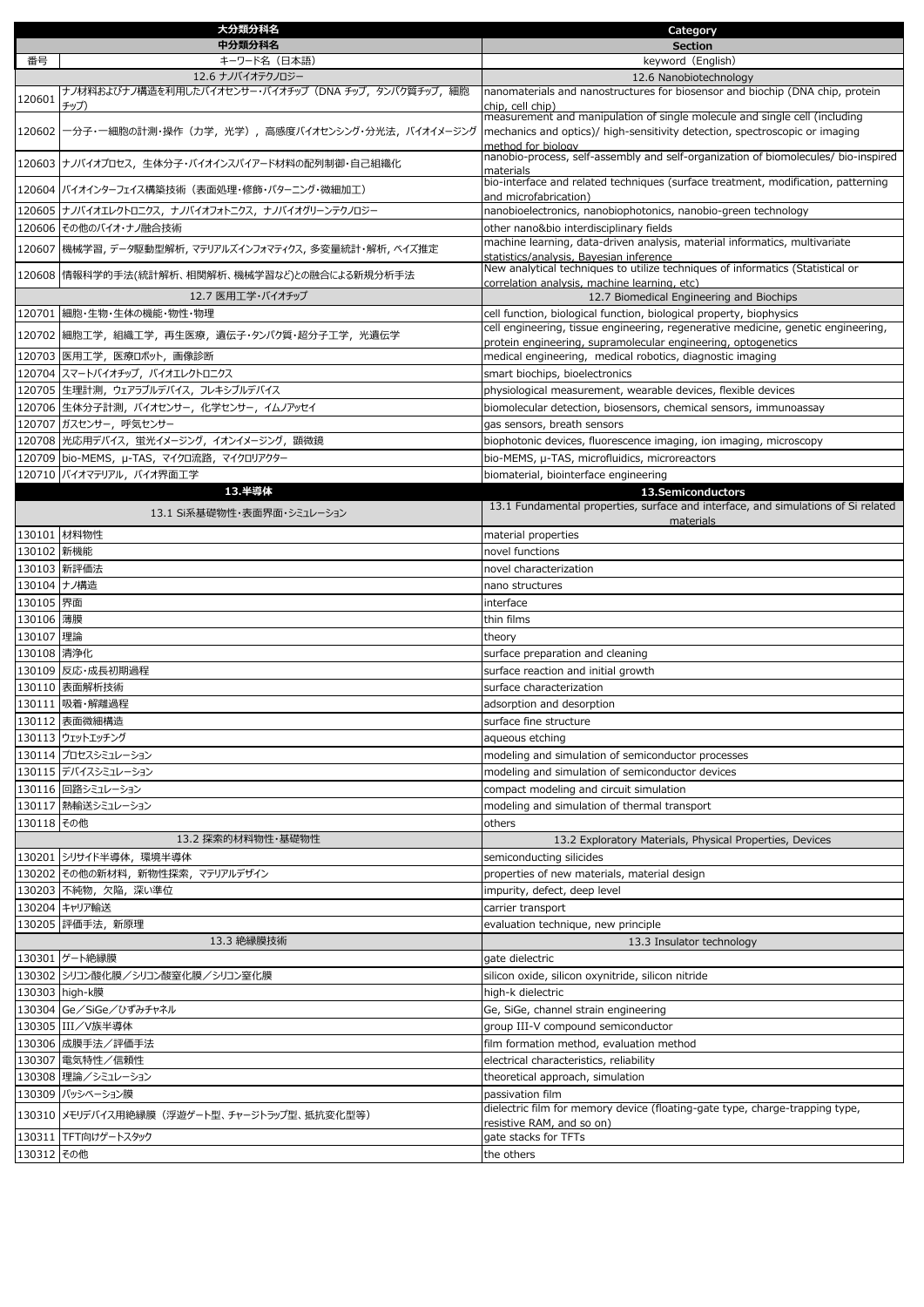|             | 大分類分科名                                                                    | Category                                                                                                                                                                        |
|-------------|---------------------------------------------------------------------------|---------------------------------------------------------------------------------------------------------------------------------------------------------------------------------|
|             | 中分類分科名                                                                    | <b>Section</b>                                                                                                                                                                  |
| 番号          | キーワード名(日本語)                                                               | keyword (English)                                                                                                                                                               |
|             | 12.6 ナノバイオテクノロジー<br>ナノ材料およびナノ構造を利用したバイオセンサー・バイオチップ (DNA チップ, タンパク質チップ, 細胞 | 12.6 Nanobiotechnology<br>nanomaterials and nanostructures for biosensor and biochip (DNA chip, protein                                                                         |
| 120601      | チップ)                                                                      | chip, cell chip)                                                                                                                                                                |
| 120602      | 一分子・一細胞の計測・操作(力学,光学),高感度バイオセンシング・分光法,バイオイメージング                            | measurement and manipulation of single molecule and single cell (including<br>mechanics and optics)/ high-sensitivity detection, spectroscopic or imaging<br>method for biology |
|             | 120603 ナノバイオプロセス, 生体分子・バイオインスパイアード材料の配列制御・自己組織化                           | nanobio-process, self-assembly and self-organization of biomolecules/ bio-inspired<br>materials                                                                                 |
|             | 120604 バイオインターフェイス構築技術 (表面処理・修飾・パターニング・微細加工)                              | bio-interface and related techniques (surface treatment, modification, patterning<br>and microfabrication)                                                                      |
|             | 120605 ナノバイオエレクトロニクス、ナノバイオフォトニクス、ナノバイオグリーンテクノロジー                          | nanobioelectronics, nanobiophotonics, nanobio-green technology                                                                                                                  |
|             | 120606 その他のバイオ・ナノ融合技術                                                     | other nano&bio interdisciplinary fields                                                                                                                                         |
|             | 120607  機械学習, データ駆動型解析, マテリアルズインフォマティクス, 多変量統計・解析, ベイズ推定                  | machine learning, data-driven analysis, material informatics, multivariate<br>statistics/analysis, Bayesian inference                                                           |
|             | 120608  情報科学的手法(統計解析、相関解析、機械学習など)との融合による新規分析手法                            | New analytical techniques to utilize techniques of informatics (Statistical or<br>correlation analysis, machine learning, etc)                                                  |
|             | 12.7 医用工学・バイオチップ                                                          | 12.7 Biomedical Engineering and Biochips                                                                                                                                        |
|             | 120701 細胞・生物・生体の機能・物性・物理                                                  | cell function, biological function, biological property, biophysics                                                                                                             |
|             | 120702 細胞工学, 組織工学, 再生医療, 遺伝子・タンパク質・超分子工学, 光遺伝学                            | cell engineering, tissue engineering, regenerative medicine, genetic engineering,                                                                                               |
|             |                                                                           | protein engineering, supramolecular engineering, optogenetics                                                                                                                   |
|             | 120703 医用工学, 医療ロボット, 画像診断                                                 | medical engineering, medical robotics, diagnostic imaging                                                                                                                       |
|             | 120704 スマートバイオチップ, バイオエレクトロニクス                                            | smart biochips, bioelectronics<br>physiological measurement, wearable devices, flexible devices                                                                                 |
|             | 120705 生理計測, ウェアラブルデバイス, フレキシブルデバイス                                       |                                                                                                                                                                                 |
|             | 120706 生体分子計測, バイオセンサー, 化学センサー, イムノアッセイ                                   | biomolecular detection, biosensors, chemical sensors, immunoassay                                                                                                               |
|             | 120707 ガスセンサー, 呼気センサー                                                     | gas sensors, breath sensors                                                                                                                                                     |
|             | 120708   光応用デバイス, 蛍光イメージング, イオンイメージング, 顕微鏡                                | biophotonic devices, fluorescence imaging, ion imaging, microscopy                                                                                                              |
|             | 120709 bio-MEMS, µ-TAS, マイクロ流路, マイクロリアクター                                 | bio-MEMS, µ-TAS, microfluidics, microreactors                                                                                                                                   |
|             | 120710 バイオマテリアル, バイオ界面工学<br>13.半導体                                        | biomaterial, biointerface engineering                                                                                                                                           |
|             | 13.1 Si系基礎物性・表面界面・シミュレーション                                                | 13.Semiconductors<br>13.1 Fundamental properties, surface and interface, and simulations of Si related<br>materials                                                             |
|             | 130101 材料物性                                                               | material properties                                                                                                                                                             |
| 130102 新機能  |                                                                           | novel functions                                                                                                                                                                 |
|             | 130103 新評価法                                                               | novel characterization                                                                                                                                                          |
| 130104 ナノ構造 |                                                                           | nano structures                                                                                                                                                                 |
| 130105 界面   |                                                                           | interface                                                                                                                                                                       |
| 130106 薄膜   |                                                                           | thin films                                                                                                                                                                      |
| 130107 理論   |                                                                           | theory                                                                                                                                                                          |
| 130108 清浄化  |                                                                           | surface preparation and cleaning                                                                                                                                                |
|             | 130109 反応・成長初期過程                                                          | surface reaction and initial growth                                                                                                                                             |
|             | 130110 表面解析技術                                                             | surface characterization                                                                                                                                                        |
|             | 130111 吸着·解離過程                                                            | adsorption and desorption                                                                                                                                                       |
|             | 130112  表面微細構造                                                            | surface fine structure                                                                                                                                                          |
|             | 130113 ウェットエッチング                                                          | aqueous etching                                                                                                                                                                 |
|             | 130114 プロセスシミュレーション                                                       | modeling and simulation of semiconductor processes                                                                                                                              |
|             | 130115 デバイスシミュレーション                                                       | modeling and simulation of semiconductor devices                                                                                                                                |
|             | 130116 回路シミュレーション                                                         | compact modeling and circuit simulation                                                                                                                                         |
|             | 130117 熱輸送シミュレーション                                                        | modeling and simulation of thermal transport                                                                                                                                    |
| 130118 その他  |                                                                           | others                                                                                                                                                                          |
|             | 13.2 探索的材料物性·基礎物性                                                         | 13.2 Exploratory Materials, Physical Properties, Devices                                                                                                                        |
|             | 130201 シリサイド半導体, 環境半導体                                                    | semiconducting silicides                                                                                                                                                        |
|             | 130202 その他の新材料, 新物性探索, マテリアルデザイン                                          | properties of new materials, material design                                                                                                                                    |
|             | 130203 不純物, 欠陥, 深い準位                                                      | impurity, defect, deep level                                                                                                                                                    |
|             | 130204 キャリア輸送                                                             | carrier transport                                                                                                                                                               |
|             | 130205 評価手法, 新原理                                                          | evaluation technique, new principle                                                                                                                                             |
|             | 13.3 絶縁膜技術                                                                | 13.3 Insulator technology                                                                                                                                                       |
|             | 130301 ゲート絶縁膜                                                             | gate dielectric                                                                                                                                                                 |
|             | 130302 シリコン酸化膜/シリコン酸窒化膜/シリコン窒化膜                                           | silicon oxide, silicon oxynitride, silicon nitride                                                                                                                              |
|             | 130303 high-k膜                                                            | high-k dielectric                                                                                                                                                               |
|             | 130304 Ge/SiGe/ひずみチャネル                                                    | Ge, SiGe, channel strain engineering                                                                                                                                            |
|             | 130305 III/V族半導体                                                          | group III-V compound semiconductor                                                                                                                                              |
|             | 130306 成膜手法/評価手法                                                          | film formation method, evaluation method                                                                                                                                        |
|             | 130307 電気特性/信頼性                                                           | electrical characteristics, reliability                                                                                                                                         |
|             | 130308 理論/シミュレーション                                                        | theoretical approach, simulation                                                                                                                                                |
|             | 130309 パッシベーション膜                                                          | passivation film                                                                                                                                                                |
|             | 130310 メモリデバイス用絶縁膜 (浮遊ゲート型、チャージトラップ型、抵抗変化型等)                              | dielectric film for memory device (floating-gate type, charge-trapping type,                                                                                                    |
|             |                                                                           | resistive RAM, and so on)                                                                                                                                                       |
|             | 130311 TFT向けゲートスタック                                                       | gate stacks for TFTs                                                                                                                                                            |
| 130312 その他  |                                                                           | the others                                                                                                                                                                      |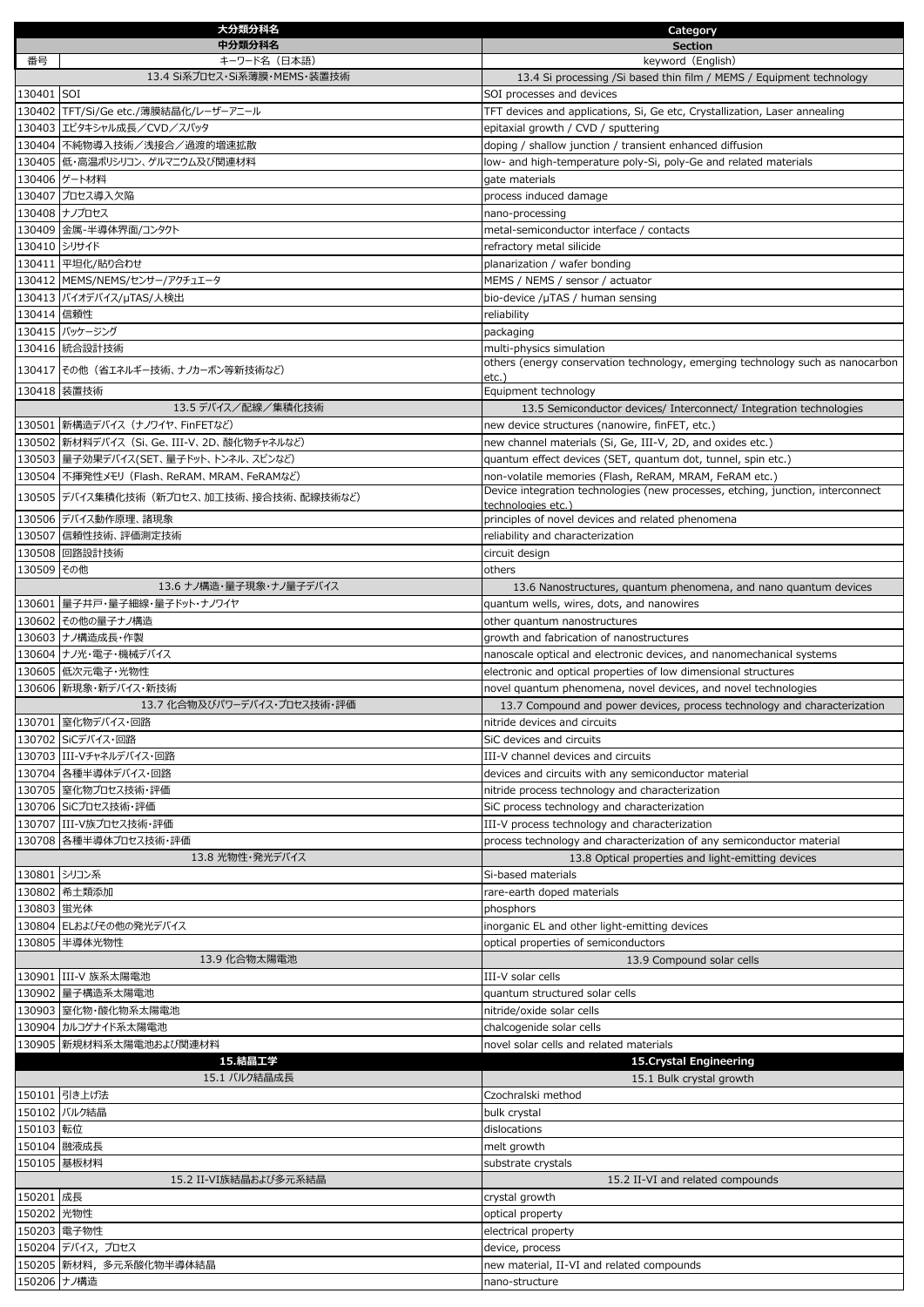|             | 大分類分科名                                       | Category                                                                                                                                  |
|-------------|----------------------------------------------|-------------------------------------------------------------------------------------------------------------------------------------------|
|             | 中分類分科名                                       | <b>Section</b>                                                                                                                            |
| 番号          | キーワード名 (日本語)<br>13.4 Si系プロセス・Si系薄膜・MEMS・装置技術 | keyword (English)                                                                                                                         |
| 130401 SOI  |                                              | 13.4 Si processing /Si based thin film / MEMS / Equipment technology<br>SOI processes and devices                                         |
|             | 130402 TFT/Si/Ge etc./薄膜結晶化/レーザーアニール         | TFT devices and applications, Si, Ge etc, Crystallization, Laser annealing                                                                |
|             | 130403 エピタキシャル成長/CVD/スパッタ                    | epitaxial growth / CVD / sputtering                                                                                                       |
|             | 130404 不純物導入技術/浅接合/過渡的増速拡散                   | doping / shallow junction / transient enhanced diffusion                                                                                  |
|             | 130405 低・高温ポリシリコン、ゲルマニウム及び関連材料               | low- and high-temperature poly-Si, poly-Ge and related materials                                                                          |
|             | 130406 ゲート材料                                 | gate materials                                                                                                                            |
|             | 130407 プロセス導入欠陥                              | process induced damage                                                                                                                    |
|             | 130408 ナノプロセス                                | nano-processing                                                                                                                           |
|             | 130409 金属-半導体界面/コンタクト                        | metal-semiconductor interface / contacts                                                                                                  |
|             | 130410 シリサイド                                 | refractory metal silicide                                                                                                                 |
|             | 130411 平坦化/貼り合わせ                             | planarization / wafer bonding                                                                                                             |
|             | 130412 MEMS/NEMS/センサー/アクチュエータ                | MEMS / NEMS / sensor / actuator                                                                                                           |
|             | 130413 バイオデバイス/µTAS/人検出                      | bio-device /µTAS / human sensing                                                                                                          |
| 130414 信頼性  | 130415 パッケージング                               | reliability                                                                                                                               |
|             | 130416 統合設計技術                                | packaging<br>multi-physics simulation                                                                                                     |
|             |                                              | others (energy conservation technology, emerging technology such as nanocarbon                                                            |
|             | 130417 その他 (省エネルギー技術、ナノカーボン等新技術など)           | $etc.$ )                                                                                                                                  |
|             | 130418 装置技術                                  | Equipment technology                                                                                                                      |
|             | 13.5 デバイス/配線/集積化技術                           | 13.5 Semiconductor devices/ Interconnect/ Integration technologies                                                                        |
|             | 130501 新構造デバイス (ナノワイヤ、FinFETなど)              | new device structures (nanowire, finFET, etc.)                                                                                            |
|             | 130502   新材料デバイス (Si、Ge、III-V、2D、酸化物チャネルなど)  | new channel materials (Si, Ge, III-V, 2D, and oxides etc.)                                                                                |
|             | 130503   量子効果デバイス(SET、量子ドット、トンネル、スピンなど)      | quantum effect devices (SET, quantum dot, tunnel, spin etc.)                                                                              |
|             | 130504 不揮発性メモリ (Flash、ReRAM、MRAM、FeRAMなど)    | non-volatile memories (Flash, ReRAM, MRAM, FeRAM etc.)<br>Device integration technologies (new processes, etching, junction, interconnect |
|             | 130505 デバイス集積化技術 (新プロセス、加工技術、接合技術、配線技術など)    | technologies etc.)                                                                                                                        |
|             | 130506 デバイス動作原理、諸現象                          | principles of novel devices and related phenomena                                                                                         |
|             | 130507 信頼性技術、評価測定技術                          | reliability and characterization                                                                                                          |
|             | 130508 回路設計技術                                | circuit design                                                                                                                            |
| 130509 その他  |                                              | others                                                                                                                                    |
|             | 13.6 ナノ構造・量子現象・ナノ量子デバイス                      | 13.6 Nanostructures, quantum phenomena, and nano quantum devices                                                                          |
|             | 130601 量子井戸・量子細線・量子ドット・ナノワイヤ                 | quantum wells, wires, dots, and nanowires                                                                                                 |
|             | 130602 その他の量子ナノ構造                            | other quantum nanostructures                                                                                                              |
|             | 130603 ナノ構造成長・作製                             | growth and fabrication of nanostructures                                                                                                  |
|             | 130604 ナノ光・電子・機械デバイス                         | nanoscale optical and electronic devices, and nanomechanical systems                                                                      |
|             | 130605 低次元電子・光物性<br>130606 新現象・新デバイス・新技術     | electronic and optical properties of low dimensional structures<br>novel quantum phenomena, novel devices, and novel technologies         |
|             | 13.7 化合物及びパワーデバイス・プロセス技術・評価                  | 13.7 Compound and power devices, process technology and characterization                                                                  |
|             | 130701 窒化物デバイス・回路                            | nitride devices and circuits                                                                                                              |
|             | 130702 SiCデバイス・回路                            | SiC devices and circuits                                                                                                                  |
|             | 130703 III-Vチャネルデバイス・回路                      | III-V channel devices and circuits                                                                                                        |
|             | 130704 各種半導体デバイス・回路                          | devices and circuits with any semiconductor material                                                                                      |
|             | 130705 窒化物プロセス技術・評価                          | nitride process technology and characterization                                                                                           |
|             | 130706 SiCプロセス技術·評価                          | SiC process technology and characterization                                                                                               |
|             | 130707 III-V族プロセス技術·評価                       | III-V process technology and characterization                                                                                             |
|             | 130708 各種半導体プロセス技術・評価                        | process technology and characterization of any semiconductor material                                                                     |
|             | 13.8 光物性・発光デバイス                              | 13.8 Optical properties and light-emitting devices                                                                                        |
|             | 130801 シリコン系                                 | Si-based materials                                                                                                                        |
|             | 130802 希土類添加                                 | rare-earth doped materials                                                                                                                |
| 130803 蛍光体  |                                              | phosphors                                                                                                                                 |
|             | 130804 ELおよびその他の発光デバイス                       | inorganic EL and other light-emitting devices                                                                                             |
|             | 130805 半導体光物性<br>13.9 化合物太陽電池                | optical properties of semiconductors<br>13.9 Compound solar cells                                                                         |
|             | 130901 III-V 族系太陽電池                          | III-V solar cells                                                                                                                         |
|             | 130902 量子構造系太陽電池                             | quantum structured solar cells                                                                                                            |
|             | 130903 至化物·酸化物系太陽電池                          | nitride/oxide solar cells                                                                                                                 |
|             | 130904 カルコゲナイド系太陽電池                          | chalcogenide solar cells                                                                                                                  |
|             | 130905 新規材料系太陽電池および関連材料                      | novel solar cells and related materials                                                                                                   |
|             | 15.結晶工学                                      | 15. Crystal Engineering                                                                                                                   |
|             | 15.1 バルク結晶成長                                 | 15.1 Bulk crystal growth                                                                                                                  |
|             | 150101 引き上げ法                                 | Czochralski method                                                                                                                        |
|             | 150102 バルク結晶                                 | bulk crystal                                                                                                                              |
| 150103 転位   |                                              | dislocations                                                                                                                              |
|             | 150104 融液成長                                  | melt growth                                                                                                                               |
|             | 150105 基板材料                                  | substrate crystals                                                                                                                        |
|             | 15.2 II-VI族結晶および多元系結晶                        | 15.2 II-VI and related compounds                                                                                                          |
| 150201 成長   |                                              | crystal growth                                                                                                                            |
| 150202 光物性  |                                              | optical property                                                                                                                          |
|             | 150203 電子物性<br>150204 デバイス,プロセス              | electrical property<br>device, process                                                                                                    |
|             | 150205 新材料, 多元系酸化物半導体結晶                      | new material, II-VI and related compounds                                                                                                 |
| 150206 ナノ構造 |                                              | nano-structure                                                                                                                            |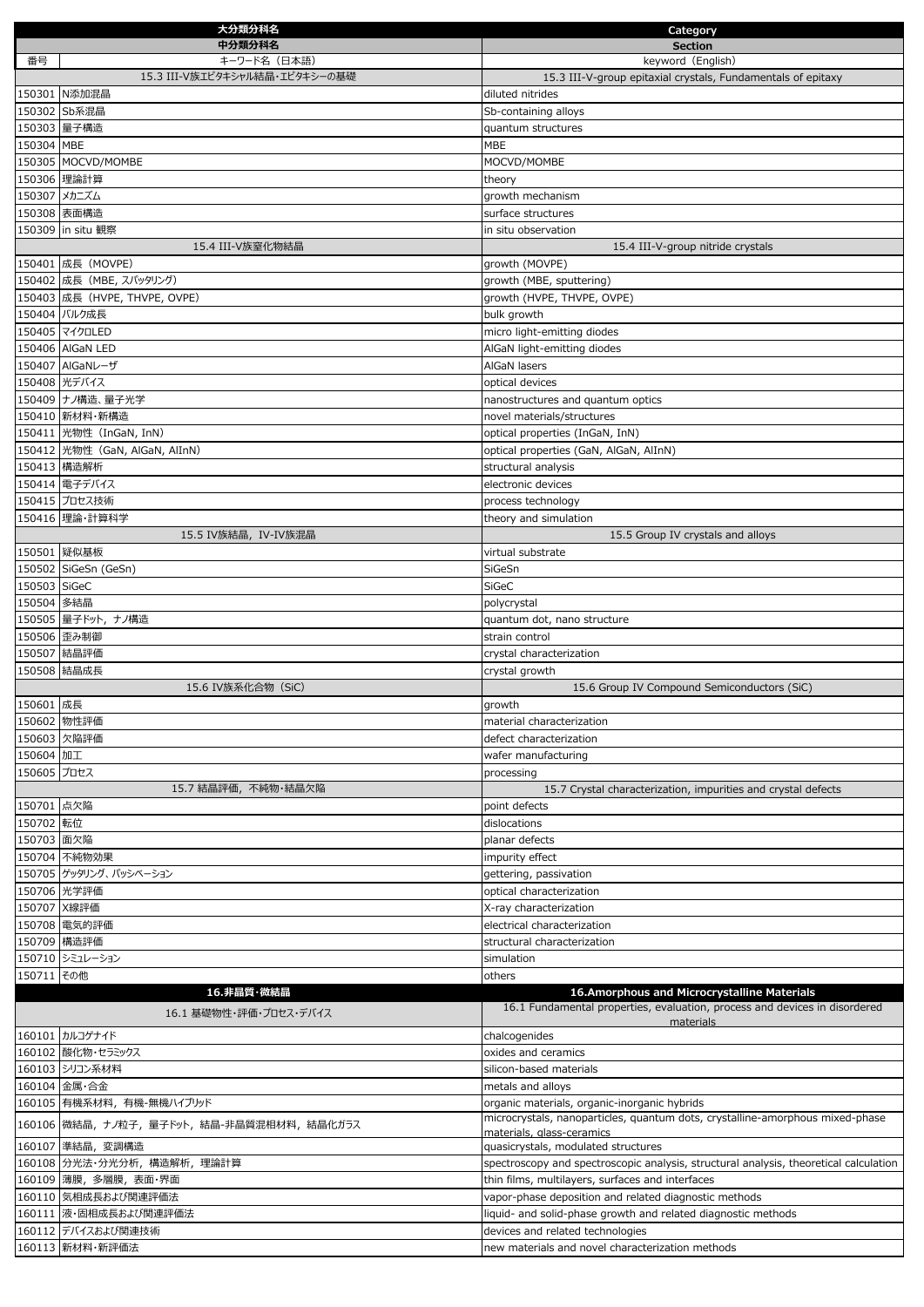|                         | 大分類分科名                                        | Category                                                                                                                      |
|-------------------------|-----------------------------------------------|-------------------------------------------------------------------------------------------------------------------------------|
|                         | 中分類分科名                                        | <b>Section</b>                                                                                                                |
| 番号                      | キーワード名(日本語)<br>15.3 III-V族エピタキシャル結晶・エピタキシーの基礎 | keyword (English)                                                                                                             |
|                         | 150301 N添加混晶                                  | 15.3 III-V-group epitaxial crystals, Fundamentals of epitaxy<br>diluted nitrides                                              |
|                         | 150302 Sb系混晶                                  | Sb-containing alloys                                                                                                          |
|                         | 150303 量子構造                                   | quantum structures                                                                                                            |
| 150304 MBE              |                                               | <b>MBE</b>                                                                                                                    |
|                         | 150305 MOCVD/MOMBE                            | MOCVD/MOMBE                                                                                                                   |
|                         | 150306 理論計算                                   | theory                                                                                                                        |
|                         | 150307 メカニズム                                  | growth mechanism                                                                                                              |
|                         | 150308 表面構造                                   | surface structures                                                                                                            |
|                         | 150309 in situ 観察                             | in situ observation                                                                                                           |
|                         | 15.4 III-V族窒化物結晶                              | 15.4 III-V-group nitride crystals                                                                                             |
|                         | 150401 成長 (MOVPE)                             | growth (MOVPE)                                                                                                                |
|                         | 150402 成長 (MBE, スパッタリング)                      | growth (MBE, sputtering)                                                                                                      |
|                         | 150403 成長 (HVPE, THVPE, OVPE)                 | growth (HVPE, THVPE, OVPE)                                                                                                    |
|                         | 150404 バルク成長                                  | bulk growth                                                                                                                   |
|                         | 150405 マイクロLED                                | micro light-emitting diodes                                                                                                   |
|                         | 150406 AlGaN LED                              | AlGaN light-emitting diodes                                                                                                   |
|                         | 150407 AlGaNレーザ                               | AlGaN lasers                                                                                                                  |
|                         | 150408 光デバイス<br>150409 ナノ構造、量子光学              | optical devices<br>nanostructures and quantum optics                                                                          |
|                         | 150410 新材料·新構造                                | novel materials/structures                                                                                                    |
|                         | 150411 光物性 (InGaN, InN)                       | optical properties (InGaN, InN)                                                                                               |
|                         | 150412 光物性 (GaN, AlGaN, AlInN)                | optical properties (GaN, AlGaN, AlInN)                                                                                        |
|                         | 150413 構造解析                                   | structural analysis                                                                                                           |
|                         | 150414 電子デバイス                                 | electronic devices                                                                                                            |
|                         | 150415 プロセス技術                                 | process technology                                                                                                            |
|                         | 150416 理論·計算科学                                | theory and simulation                                                                                                         |
|                         | 15.5 IV族結晶, IV-IV族混晶                          | 15.5 Group IV crystals and alloys                                                                                             |
|                         | 150501 疑似基板                                   | virtual substrate                                                                                                             |
|                         | 150502 SiGeSn (GeSn)                          | SiGeSn                                                                                                                        |
| 150503 SiGeC            |                                               | SiGeC                                                                                                                         |
| 150504 多結晶              |                                               | polycrystal                                                                                                                   |
|                         | 150505  量子ドット, ナノ構造                           | quantum dot, nano structure                                                                                                   |
|                         | 150506 歪み制御<br>150507 結晶評価                    | strain control<br>crystal characterization                                                                                    |
|                         | 150508 結晶成長                                   | crystal growth                                                                                                                |
|                         | 15.6 IV族系化合物 (SiC)                            | 15.6 Group IV Compound Semiconductors (SiC)                                                                                   |
| 150601 成長               |                                               | growth                                                                                                                        |
|                         | 150602 物性評価                                   | material characterization                                                                                                     |
|                         | 150603 欠陥評価                                   | defect characterization                                                                                                       |
| 150604 加工               |                                               | wafer manufacturing                                                                                                           |
| 150605 プロセス             |                                               | processing                                                                                                                    |
|                         | 15.7 結晶評価, 不純物·結晶欠陥                           | 15.7 Crystal characterization, impurities and crystal defects                                                                 |
| 150701 点欠陥<br>150702 転位 |                                               | point defects<br>dislocations                                                                                                 |
| 150703 面欠陥              |                                               | planar defects                                                                                                                |
|                         | 150704 不純物効果                                  | impurity effect                                                                                                               |
|                         | 150705 ゲッタリング、パッシベーション                        | gettering, passivation                                                                                                        |
|                         | 150706 光学評価                                   | optical characterization                                                                                                      |
|                         | 150707 X線評価                                   | X-ray characterization                                                                                                        |
|                         | 150708 電気的評価                                  | electrical characterization                                                                                                   |
|                         | 150709 構造評価                                   | structural characterization                                                                                                   |
|                         | 150710 シミュレーション                               | simulation                                                                                                                    |
| 150711 その他              |                                               | others                                                                                                                        |
|                         | 16.非晶質・微結晶                                    | 16.Amorphous and Microcrystalline Materials<br>16.1 Fundamental properties, evaluation, process and devices in disordered     |
|                         | 16.1 基礎物性・評価・プロセス・デバイス                        | materials                                                                                                                     |
|                         | 160101 カルコゲナイド                                | chalcogenides                                                                                                                 |
|                         | 160102 酸化物・セラミックス                             | oxides and ceramics                                                                                                           |
|                         | 160103 シリコン系材料                                | silicon-based materials                                                                                                       |
|                         | 160104 金属·合金                                  | metals and alloys                                                                                                             |
|                         | 160105 有機系材料, 有機-無機ハイブリッド                     | organic materials, organic-inorganic hybrids<br>microcrystals, nanoparticles, quantum dots, crystalline-amorphous mixed-phase |
|                         | 160106 微結晶, ナノ粒子, 量子ドット, 結晶-非晶質混相材料, 結晶化ガラス   | materials, glass-ceramics                                                                                                     |
|                         | 160107 準結晶, 変調構造                              | quasicrystals, modulated structures                                                                                           |
|                         | 160108 分光法·分光分析, 構造解析, 理論計算                   | spectroscopy and spectroscopic analysis, structural analysis, theoretical calculation                                         |
|                         | 160109  薄膜, 多層膜, 表面・界面                        | thin films, multilayers, surfaces and interfaces                                                                              |
|                         | 160110 気相成長および関連評価法                           | vapor-phase deposition and related diagnostic methods                                                                         |
|                         | 160111 液・固相成長および関連評価法                         | liquid- and solid-phase growth and related diagnostic methods                                                                 |
|                         | 160112 デバイスおよび関連技術                            | devices and related technologies                                                                                              |
|                         | 160113 新材料·新評価法                               | new materials and novel characterization methods                                                                              |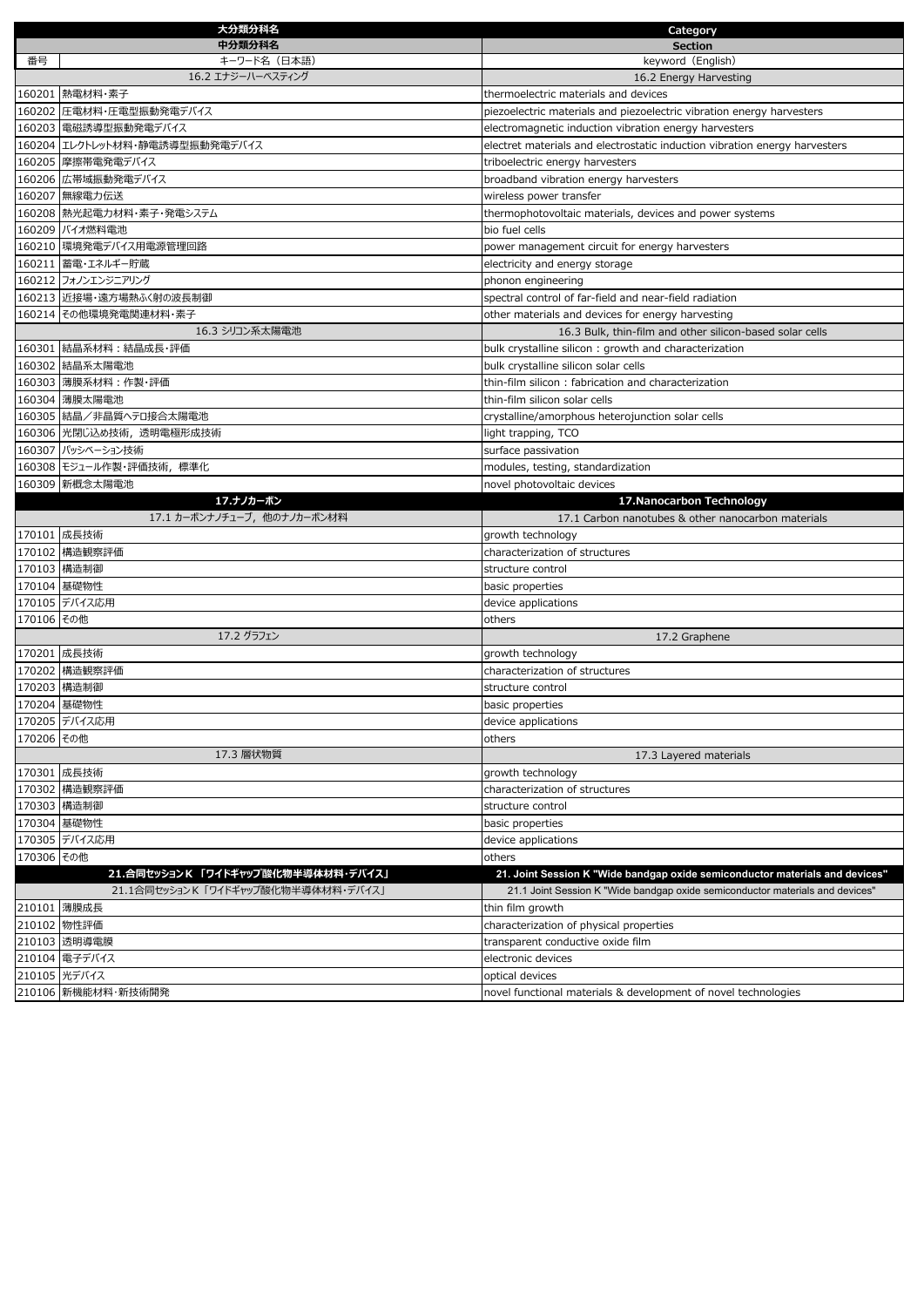|            | 大分類分科名                             | Category                                                                      |
|------------|------------------------------------|-------------------------------------------------------------------------------|
|            | 中分類分科名                             | <b>Section</b>                                                                |
| 番号         | キーワード名(日本語)                        | keyword (English)                                                             |
|            | 16.2 エナジーハーベスティング                  | 16.2 Energy Harvesting                                                        |
|            | 160201 熱電材料·素子                     | thermoelectric materials and devices                                          |
|            | 160202 圧電材料・圧電型振動発電デバイス            | piezoelectric materials and piezoelectric vibration energy harvesters         |
|            | 160203 電磁誘導型振動発電デバイス               | electromagnetic induction vibration energy harvesters                         |
|            | 160204 エレクトレット材料・静電誘導型振動発電デバイス     | electret materials and electrostatic induction vibration energy harvesters    |
|            | 160205  摩擦帯電発電デバイス                 | triboelectric energy harvesters                                               |
|            | 160206 広帯域振動発電デバイス                 | broadband vibration energy harvesters                                         |
|            | 160207 無線電力伝送                      | wireless power transfer                                                       |
|            | 160208  熱光起電力材料・素子・発電システム          | thermophotovoltaic materials, devices and power systems                       |
|            | 160209 バイオ燃料電池                     | bio fuel cells                                                                |
|            | 160210  環境発電デバイス用電源管理回路            | power management circuit for energy harvesters                                |
|            | 160211  蓄電・エネルギー貯蔵                 | electricity and energy storage                                                |
|            | 160212 フォノンエンジニアリング                | phonon engineering                                                            |
|            | 160213 近接場・遠方場熱ふく射の波長制御            | spectral control of far-field and near-field radiation                        |
|            | 160214 その他環境発電関連材料・素子              | other materials and devices for energy harvesting                             |
|            | 16.3 シリコン系太陽電池                     | 16.3 Bulk, thin-film and other silicon-based solar cells                      |
|            | 160301 結晶系材料 : 結晶成長・評価             | bulk crystalline silicon: growth and characterization                         |
|            | 160302 結晶系太陽電池                     | bulk crystalline silicon solar cells                                          |
|            | 160303 薄膜系材料:作製・評価                 | thin-film silicon: fabrication and characterization                           |
|            | 160304 薄膜太陽電池                      | thin-film silicon solar cells                                                 |
|            | 160305 結晶/非晶質へテロ接合太陽電池             | crystalline/amorphous heterojunction solar cells                              |
|            | 160306 光閉じ込め技術、透明電極形成技術            | light trapping, TCO                                                           |
|            | 160307 パッシベーション技術                  | surface passivation                                                           |
|            | 160308 モジュール作製・評価技術, 標準化           | modules, testing, standardization                                             |
|            | 160309 新概念太陽電池                     | novel photovoltaic devices                                                    |
|            | 17.ナノカーボン                          | 17. Nanocarbon Technology                                                     |
|            | 17.1 カーボンナノチューブ, 他のナノカーボン材料        | 17.1 Carbon nanotubes & other nanocarbon materials                            |
|            | 170101 成長技術                        | growth technology                                                             |
|            | 170102 構造観察評価                      | characterization of structures                                                |
|            | 170103 構造制御                        | structure control                                                             |
|            | 170104 基礎物性                        | basic properties                                                              |
|            | 170105 デバイス応用                      | device applications                                                           |
| 170106 その他 |                                    | others                                                                        |
|            | 17.2 グラフェン<br>170201 成長技術          | 17.2 Graphene                                                                 |
|            | 170202 構造観察評価                      | growth technology<br>characterization of structures                           |
|            | 170203 構造制御                        | structure control                                                             |
|            | 170204 基礎物性                        |                                                                               |
|            | 170205 デバイス応用                      | basic properties<br>device applications                                       |
| 170206 その他 |                                    | others                                                                        |
|            | 17.3 層状物質                          | 17.3 Layered materials                                                        |
|            | 170301 成長技術                        | growth technology                                                             |
|            | 170302 構造観察評価                      | characterization of structures                                                |
|            | 170303 構造制御                        | structure control                                                             |
|            | 170304 基礎物性                        | basic properties                                                              |
|            | 170305 デバイス応用                      | device applications                                                           |
| 170306 その他 |                                    | others                                                                        |
|            | 21.合同セッションK「ワイドギャップ酸化物半導体材料·デバイス」  | 21. Joint Session K "Wide bandgap oxide semiconductor materials and devices"  |
|            | 21.1合同セッションK「ワイドギャップ酸化物半導体材料・デバイス」 | 21.1 Joint Session K "Wide bandgap oxide semiconductor materials and devices" |
|            | 210101 薄膜成長                        | thin film growth                                                              |
|            | 210102 物性評価                        | characterization of physical properties                                       |
|            | 210103 透明導電膜                       | transparent conductive oxide film                                             |
|            | 210104 電子デバイス                      | electronic devices                                                            |
|            | 210105 光デバイス                       | optical devices                                                               |
|            | 210106 新機能材料·新技術開発                 | novel functional materials & development of novel technologies                |